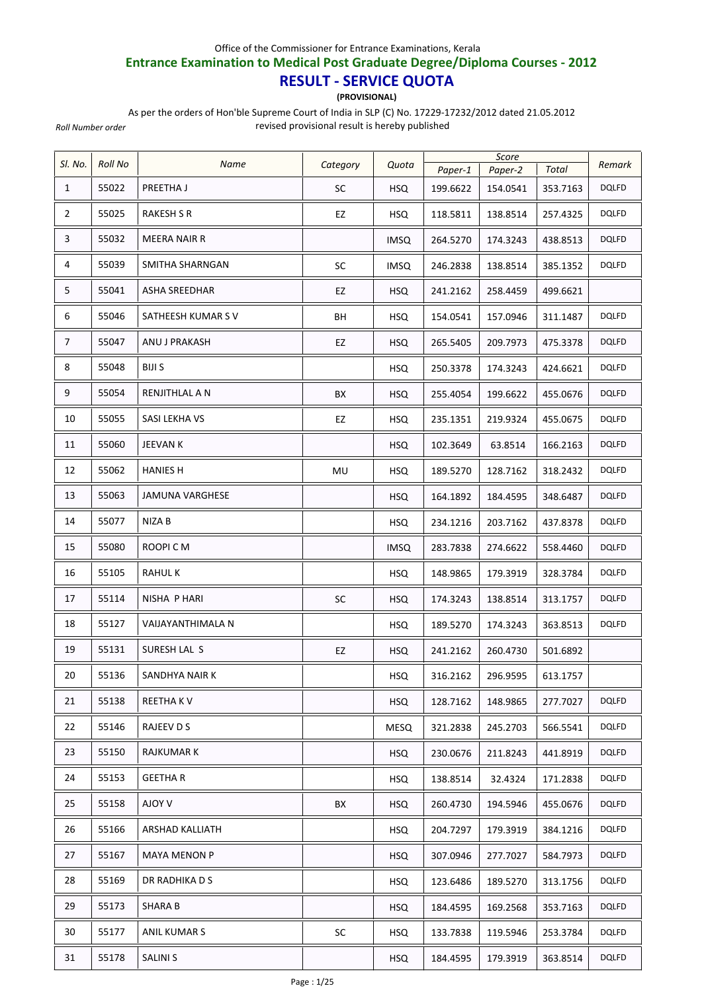## Office of the Commissioner for Entrance Examinations, Kerala

## **Entrance Examination to Medical Post Graduate Degree/Diploma Courses ‐ 2012**

## **RESULT ‐ SERVICE QUOTA**

**(PROVISIONAL)**

As per the orders of Hon'ble Supreme Court of India in SLP (C) No. 17229‐17232/2012 dated 21.05.2012

*Roll Number order*

revised provisional result is hereby published

| SI. No.        | <b>Roll No</b> | Name               | Category  | Quota       |          | Score    |          | Remark       |
|----------------|----------------|--------------------|-----------|-------------|----------|----------|----------|--------------|
|                |                |                    |           |             | Paper-1  | Paper-2  | Total    |              |
| $\mathbf{1}$   | 55022          | PREETHA J          | <b>SC</b> | <b>HSQ</b>  | 199.6622 | 154.0541 | 353.7163 | <b>DQLFD</b> |
| $\overline{2}$ | 55025          | <b>RAKESH S R</b>  | EZ        | HSQ.        | 118.5811 | 138.8514 | 257.4325 | <b>DQLFD</b> |
| 3              | 55032          | MEERA NAIR R       |           | <b>IMSQ</b> | 264.5270 | 174.3243 | 438.8513 | <b>DQLFD</b> |
| 4              | 55039          | SMITHA SHARNGAN    | <b>SC</b> | <b>IMSQ</b> | 246.2838 | 138.8514 | 385.1352 | DQLFD        |
| 5              | 55041          | ASHA SREEDHAR      | EZ        | <b>HSQ</b>  | 241.2162 | 258.4459 | 499.6621 |              |
| 6              | 55046          | SATHEESH KUMAR S V | ВH        | <b>HSQ</b>  | 154.0541 | 157.0946 | 311.1487 | <b>DQLFD</b> |
| 7              | 55047          | ANU J PRAKASH      | EZ        | <b>HSQ</b>  | 265.5405 | 209.7973 | 475.3378 | <b>DQLFD</b> |
| 8              | 55048          | BIJI S             |           | <b>HSQ</b>  | 250.3378 | 174.3243 | 424.6621 | <b>DQLFD</b> |
| 9              | 55054          | RENJITHLAL A N     | BX        | <b>HSQ</b>  | 255.4054 | 199.6622 | 455.0676 | <b>DQLFD</b> |
| 10             | 55055          | SASI LEKHA VS      | EZ        | <b>HSQ</b>  | 235.1351 | 219.9324 | 455.0675 | <b>DQLFD</b> |
| 11             | 55060          | <b>JEEVAN K</b>    |           | <b>HSQ</b>  | 102.3649 | 63.8514  | 166.2163 | <b>DQLFD</b> |
| 12             | 55062          | <b>HANIES H</b>    | MU        | <b>HSQ</b>  | 189.5270 | 128.7162 | 318.2432 | <b>DQLFD</b> |
| 13             | 55063          | JAMUNA VARGHESE    |           | <b>HSQ</b>  | 164.1892 | 184.4595 | 348.6487 | <b>DQLFD</b> |
| 14             | 55077          | NIZA B             |           | <b>HSQ</b>  | 234.1216 | 203.7162 | 437.8378 | <b>DQLFD</b> |
| 15             | 55080          | ROOPI C M          |           | <b>IMSQ</b> | 283.7838 | 274.6622 | 558.4460 | <b>DQLFD</b> |
| 16             | 55105          | <b>RAHULK</b>      |           | <b>HSQ</b>  | 148.9865 | 179.3919 | 328.3784 | <b>DQLFD</b> |
| 17             | 55114          | NISHA P HARI       | <b>SC</b> | <b>HSQ</b>  | 174.3243 | 138.8514 | 313.1757 | <b>DQLFD</b> |
| 18             | 55127          | VAIJAYANTHIMALA N  |           | <b>HSQ</b>  | 189.5270 | 174.3243 | 363.8513 | DQLFD        |
| 19             | 55131          | SURESH LAL S       | EZ        | <b>HSQ</b>  | 241.2162 | 260.4730 | 501.6892 |              |
| 20             | 55136          | SANDHYA NAIR K     |           | <b>HSQ</b>  | 316.2162 | 296.9595 | 613.1757 |              |
| 21             | 55138          | REETHA KV          |           | <b>HSQ</b>  | 128.7162 | 148.9865 | 277.7027 | <b>DQLFD</b> |
| 22             | 55146          | RAJEEV D S         |           | <b>MESQ</b> | 321.2838 | 245.2703 | 566.5541 | <b>DQLFD</b> |
| 23             | 55150          | <b>RAJKUMAR K</b>  |           | <b>HSQ</b>  | 230.0676 | 211.8243 | 441.8919 | <b>DQLFD</b> |
| 24             | 55153          | <b>GEETHAR</b>     |           | <b>HSQ</b>  | 138.8514 | 32.4324  | 171.2838 | <b>DQLFD</b> |
| 25             | 55158          | V YOLA             | BX        | <b>HSQ</b>  | 260.4730 | 194.5946 | 455.0676 | <b>DQLFD</b> |
| 26             | 55166          | ARSHAD KALLIATH    |           | <b>HSQ</b>  | 204.7297 | 179.3919 | 384.1216 | <b>DQLFD</b> |
| 27             | 55167          | MAYA MENON P       |           | <b>HSQ</b>  | 307.0946 | 277.7027 | 584.7973 | <b>DQLFD</b> |
| 28             | 55169          | DR RADHIKA D S     |           | <b>HSQ</b>  | 123.6486 | 189.5270 | 313.1756 | <b>DQLFD</b> |
| 29             | 55173          | SHARA B            |           | <b>HSQ</b>  | 184.4595 | 169.2568 | 353.7163 | <b>DQLFD</b> |
| 30             | 55177          | ANIL KUMAR S       | SC        | HSQ         | 133.7838 | 119.5946 | 253.3784 | <b>DQLFD</b> |
| 31             | 55178          | <b>SALINI S</b>    |           | <b>HSQ</b>  | 184.4595 | 179.3919 | 363.8514 | <b>DQLFD</b> |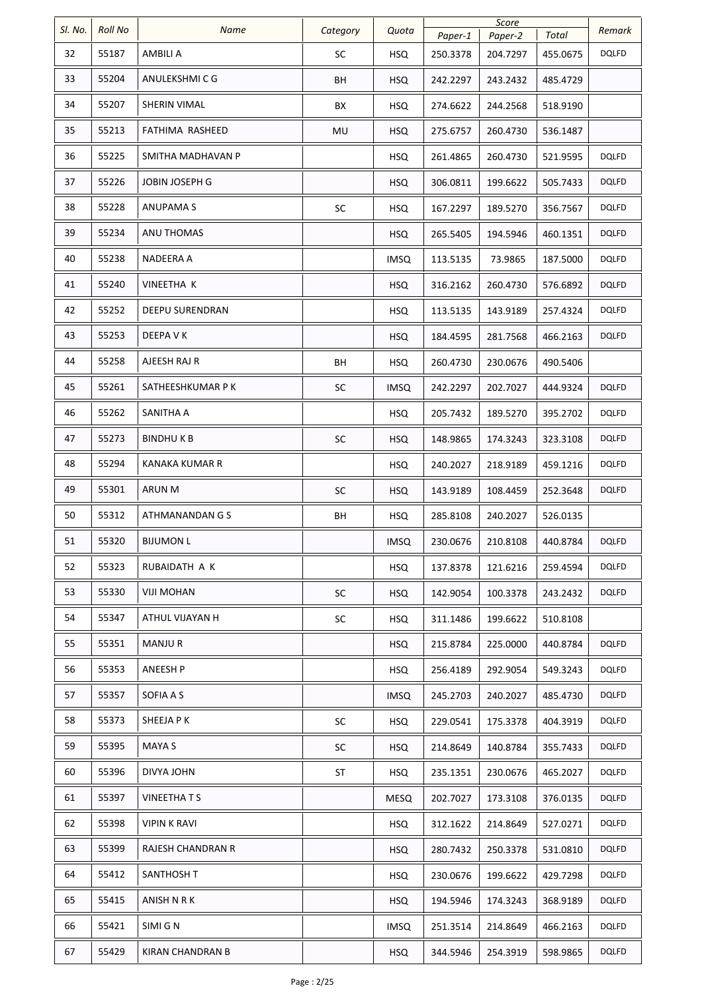| SI. No. | <b>Roll No</b> | Name              |           |             |          | Score    |          |              |
|---------|----------------|-------------------|-----------|-------------|----------|----------|----------|--------------|
|         |                |                   | Category  | Quota       | Paper-1  | Paper-2  | Total    | Remark       |
| 32      | 55187          | AMBILI A          | SC        | <b>HSQ</b>  | 250.3378 | 204.7297 | 455.0675 | <b>DQLFD</b> |
| 33      | 55204          | ANULEKSHMI C G    | BH        | <b>HSQ</b>  | 242.2297 | 243.2432 | 485.4729 |              |
| 34      | 55207          | SHERIN VIMAL      | ВX        | <b>HSQ</b>  | 274.6622 | 244.2568 | 518.9190 |              |
| 35      | 55213          | FATHIMA RASHEED   | MU        | <b>HSQ</b>  | 275.6757 | 260.4730 | 536.1487 |              |
| 36      | 55225          | SMITHA MADHAVAN P |           | <b>HSQ</b>  | 261.4865 | 260.4730 | 521.9595 | <b>DQLFD</b> |
| 37      | 55226          | JOBIN JOSEPH G    |           | <b>HSQ</b>  | 306.0811 | 199.6622 | 505.7433 | <b>DQLFD</b> |
| 38      | 55228          | <b>ANUPAMAS</b>   | SC        | <b>HSQ</b>  | 167.2297 | 189.5270 | 356.7567 | <b>DQLFD</b> |
| 39      | 55234          | ANU THOMAS        |           | <b>HSQ</b>  | 265.5405 | 194.5946 | 460.1351 | <b>DQLFD</b> |
| 40      | 55238          | NADEERA A         |           | <b>IMSQ</b> | 113.5135 | 73.9865  | 187.5000 | <b>DQLFD</b> |
| 41      | 55240          | VINEETHA K        |           | <b>HSQ</b>  | 316.2162 | 260.4730 | 576.6892 | <b>DQLFD</b> |
| 42      | 55252          | DEEPU SURENDRAN   |           | <b>HSQ</b>  | 113.5135 | 143.9189 | 257.4324 | <b>DQLFD</b> |
| 43      | 55253          | DEEPA V K         |           | <b>HSQ</b>  | 184.4595 | 281.7568 | 466.2163 | <b>DQLFD</b> |
| 44      | 55258          | AJEESH RAJ R      | BH        | <b>HSQ</b>  | 260.4730 | 230.0676 | 490.5406 |              |
| 45      | 55261          | SATHEESHKUMAR P K | SC        | <b>IMSQ</b> | 242.2297 | 202.7027 | 444.9324 | <b>DQLFD</b> |
| 46      | 55262          | SANITHA A         |           | <b>HSQ</b>  | 205.7432 | 189.5270 | 395.2702 | <b>DQLFD</b> |
| 47      | 55273          | BINDHU K B        | SC        | <b>HSQ</b>  | 148.9865 | 174.3243 | 323.3108 | <b>DQLFD</b> |
| 48      | 55294          | KANAKA KUMAR R    |           | <b>HSQ</b>  | 240.2027 | 218.9189 | 459.1216 | <b>DQLFD</b> |
| 49      | 55301          | ARUN M            | SC        | <b>HSQ</b>  | 143.9189 | 108.4459 | 252.3648 | <b>DQLFD</b> |
| 50      | 55312          | ATHMANANDAN G S   | BH        | <b>HSQ</b>  | 285.8108 | 240.2027 | 526.0135 |              |
| 51      | 55320          | <b>BIJUMON L</b>  |           | <b>IMSQ</b> | 230.0676 | 210.8108 | 440.8784 | <b>DQLFD</b> |
| 52      | 55323          | RUBAIDATH A K     |           | <b>HSQ</b>  | 137.8378 | 121.6216 | 259.4594 | <b>DQLFD</b> |
| 53      | 55330          | <b>VIJI MOHAN</b> | SC        | <b>HSQ</b>  | 142.9054 | 100.3378 | 243.2432 | <b>DQLFD</b> |
| 54      | 55347          | ATHUL VIJAYAN H   | <b>SC</b> | <b>HSQ</b>  | 311.1486 | 199.6622 | 510.8108 |              |
| 55      | 55351          | <b>MANJUR</b>     |           | <b>HSQ</b>  | 215.8784 | 225.0000 | 440.8784 | <b>DQLFD</b> |
| 56      | 55353          | ANEESH P          |           | <b>HSQ</b>  | 256.4189 | 292.9054 | 549.3243 | DQLFD        |
| 57      | 55357          | SOFIA A S         |           | <b>IMSQ</b> | 245.2703 | 240.2027 | 485.4730 | <b>DQLFD</b> |
| 58      | 55373          | SHEEJA P K        | SC        | <b>HSQ</b>  | 229.0541 | 175.3378 | 404.3919 | <b>DQLFD</b> |
| 59      | 55395          | <b>MAYA S</b>     | SC        | <b>HSQ</b>  | 214.8649 | 140.8784 | 355.7433 | <b>DQLFD</b> |
| 60      | 55396          | DIVYA JOHN        | ST        | <b>HSQ</b>  | 235.1351 | 230.0676 | 465.2027 | <b>DQLFD</b> |
| 61      | 55397          | <b>VINEETHATS</b> |           | <b>MESQ</b> | 202.7027 | 173.3108 | 376.0135 | <b>DQLFD</b> |
| 62      | 55398          | VIPIN K RAVI      |           | <b>HSQ</b>  | 312.1622 | 214.8649 | 527.0271 | DQLFD        |
| 63      | 55399          | RAJESH CHANDRAN R |           | <b>HSQ</b>  | 280.7432 | 250.3378 | 531.0810 | <b>DQLFD</b> |
| 64      | 55412          | SANTHOSH T        |           | <b>HSQ</b>  | 230.0676 | 199.6622 | 429.7298 | <b>DQLFD</b> |
| 65      | 55415          | ANISH N R K       |           | <b>HSQ</b>  | 194.5946 | 174.3243 | 368.9189 | <b>DQLFD</b> |
| 66      | 55421          | SIMI G N          |           | <b>IMSQ</b> | 251.3514 | 214.8649 | 466.2163 | <b>DQLFD</b> |
| 67      | 55429          | KIRAN CHANDRAN B  |           | <b>HSQ</b>  | 344.5946 | 254.3919 | 598.9865 | <b>DQLFD</b> |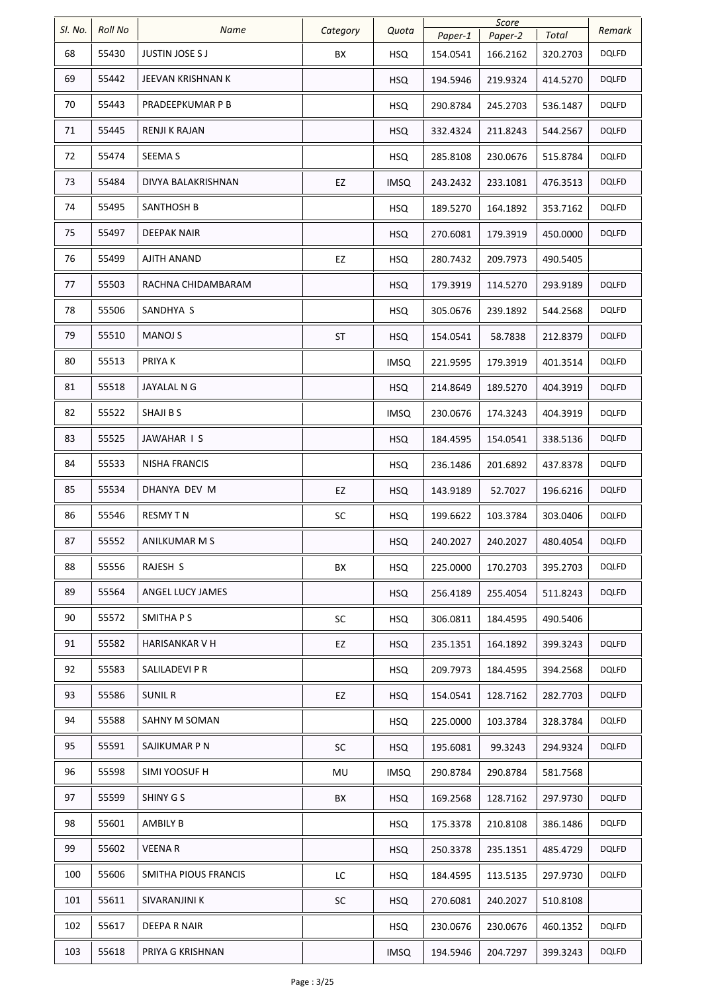| SI. No. | <b>Roll No</b> | Name                   | Category  | Quota       | Paper-1  | Score<br>Paper-2 | Total    | Remark       |
|---------|----------------|------------------------|-----------|-------------|----------|------------------|----------|--------------|
| 68      | 55430          | <b>JUSTIN JOSE S J</b> | BX        | <b>HSQ</b>  | 154.0541 | 166.2162         | 320.2703 | <b>DQLFD</b> |
| 69      | 55442          | JEEVAN KRISHNAN K      |           | <b>HSQ</b>  | 194.5946 | 219.9324         | 414.5270 | <b>DQLFD</b> |
| 70      | 55443          | PRADEEPKUMAR P B       |           | <b>HSQ</b>  | 290.8784 | 245.2703         | 536.1487 | <b>DQLFD</b> |
| 71      | 55445          | RENJI K RAJAN          |           | <b>HSQ</b>  | 332.4324 | 211.8243         | 544.2567 | DQLFD        |
| 72      | 55474          | SEEMA S                |           | <b>HSQ</b>  | 285.8108 | 230.0676         | 515.8784 | <b>DQLFD</b> |
| 73      | 55484          | DIVYA BALAKRISHNAN     | EZ        | <b>IMSQ</b> | 243.2432 | 233.1081         | 476.3513 | DQLFD        |
| 74      | 55495          | <b>SANTHOSH B</b>      |           | <b>HSQ</b>  | 189.5270 | 164.1892         | 353.7162 | DQLFD        |
| 75      | 55497          | DEEPAK NAIR            |           | <b>HSQ</b>  | 270.6081 | 179.3919         | 450.0000 | <b>DQLFD</b> |
| 76      | 55499          | AJITH ANAND            | EZ        | <b>HSQ</b>  | 280.7432 | 209.7973         | 490.5405 |              |
| 77      | 55503          | RACHNA CHIDAMBARAM     |           | <b>HSQ</b>  | 179.3919 | 114.5270         | 293.9189 | <b>DQLFD</b> |
| 78      | 55506          | SANDHYA S              |           | <b>HSQ</b>  | 305.0676 | 239.1892         | 544.2568 | DQLFD        |
| 79      | 55510          | <b>MANOJ S</b>         | <b>ST</b> | <b>HSQ</b>  | 154.0541 | 58.7838          | 212.8379 | <b>DQLFD</b> |
| 80      | 55513          | PRIYA K                |           | <b>IMSQ</b> | 221.9595 | 179.3919         | 401.3514 | <b>DQLFD</b> |
| 81      | 55518          | JAYALAL N G            |           | <b>HSQ</b>  | 214.8649 | 189.5270         | 404.3919 | <b>DQLFD</b> |
| 82      | 55522          | SHAJI B S              |           | <b>IMSQ</b> | 230.0676 | 174.3243         | 404.3919 | DQLFD        |
| 83      | 55525          | JAWAHAR I S            |           | <b>HSQ</b>  | 184.4595 | 154.0541         | 338.5136 | <b>DQLFD</b> |
| 84      | 55533          | NISHA FRANCIS          |           | <b>HSQ</b>  | 236.1486 | 201.6892         | 437.8378 | DQLFD        |
| 85      | 55534          | DHANYA DEV M           | EZ        | <b>HSQ</b>  | 143.9189 | 52.7027          | 196.6216 | <b>DQLFD</b> |
| 86      | 55546          | <b>RESMY TN</b>        | SC        | <b>HSQ</b>  | 199.6622 | 103.3784         | 303.0406 | DQLFD        |
| 87      | 55552          | ANILKUMAR M S          |           | <b>HSQ</b>  | 240.2027 | 240.2027         | 480.4054 | <b>DQLFD</b> |
| 88      | 55556          | RAJESH S               | BX        | <b>HSQ</b>  | 225.0000 | 170.2703         | 395.2703 | <b>DQLFD</b> |
| 89      | 55564          | ANGEL LUCY JAMES       |           | <b>HSQ</b>  | 256.4189 | 255.4054         | 511.8243 | <b>DQLFD</b> |
| 90      | 55572          | SMITHA P S             | SC        | <b>HSQ</b>  | 306.0811 | 184.4595         | 490.5406 |              |
| 91      | 55582          | HARISANKAR V H         | EZ        | <b>HSQ</b>  | 235.1351 | 164.1892         | 399.3243 | <b>DQLFD</b> |
| 92      | 55583          | SALILADEVI P R         |           | <b>HSQ</b>  | 209.7973 | 184.4595         | 394.2568 | DQLFD        |
| 93      | 55586          | <b>SUNIL R</b>         | EZ        | <b>HSQ</b>  | 154.0541 | 128.7162         | 282.7703 | <b>DQLFD</b> |
| 94      | 55588          | SAHNY M SOMAN          |           | HSQ         | 225.0000 | 103.3784         | 328.3784 | <b>DQLFD</b> |
| 95      | 55591          | SAJIKUMAR P N          | SC        | <b>HSQ</b>  | 195.6081 | 99.3243          | 294.9324 | <b>DQLFD</b> |
| 96      | 55598          | SIMI YOOSUF H          | MU        | <b>IMSQ</b> | 290.8784 | 290.8784         | 581.7568 |              |
| 97      | 55599          | SHINY G S              | BX        | <b>HSQ</b>  | 169.2568 | 128.7162         | 297.9730 | <b>DQLFD</b> |
| 98      | 55601          | <b>AMBILY B</b>        |           | <b>HSQ</b>  | 175.3378 | 210.8108         | 386.1486 | DQLFD        |
| 99      | 55602          | <b>VEENAR</b>          |           | <b>HSQ</b>  | 250.3378 | 235.1351         | 485.4729 | <b>DQLFD</b> |
| 100     | 55606          | SMITHA PIOUS FRANCIS   | LC        | <b>HSQ</b>  | 184.4595 | 113.5135         | 297.9730 | <b>DQLFD</b> |
| 101     | 55611          | SIVARANJINI K          | SC        | <b>HSQ</b>  | 270.6081 | 240.2027         | 510.8108 |              |
| 102     | 55617          | DEEPA R NAIR           |           | <b>HSQ</b>  | 230.0676 | 230.0676         | 460.1352 | <b>DQLFD</b> |
| 103     | 55618          | PRIYA G KRISHNAN       |           | <b>IMSQ</b> | 194.5946 | 204.7297         | 399.3243 | <b>DQLFD</b> |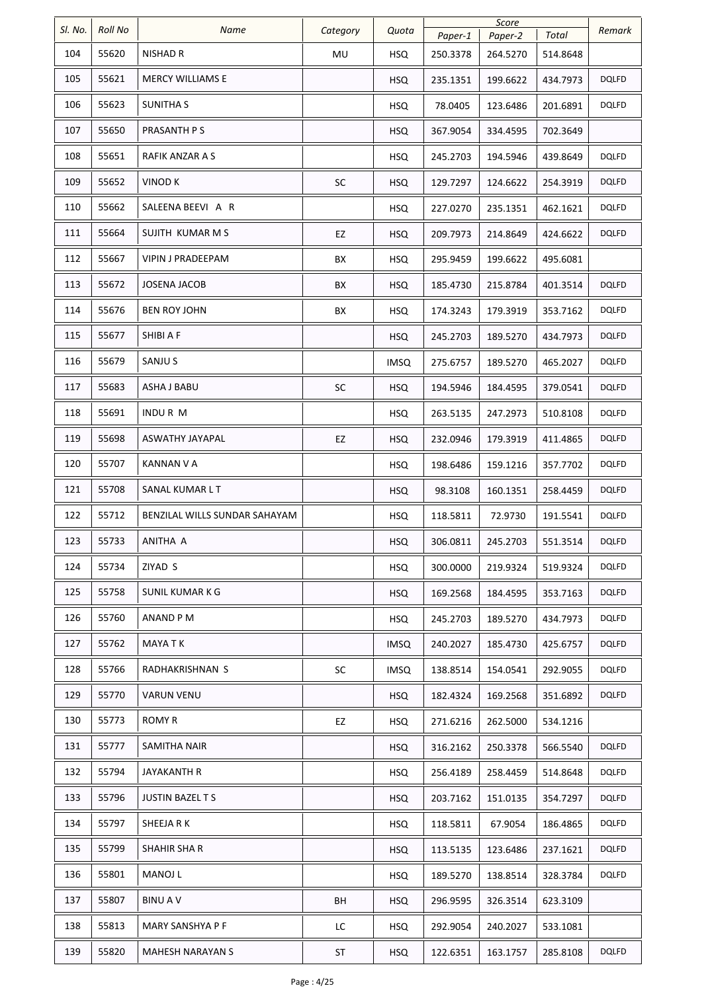| SI. No. | <b>Roll No</b> | <b>Name</b>                   |          | Quota       |          | Score    |          | Remark       |
|---------|----------------|-------------------------------|----------|-------------|----------|----------|----------|--------------|
|         |                |                               | Category |             | Paper-1  | Paper-2  | Total    |              |
| 104     | 55620          | NISHAD R                      | MU       | <b>HSQ</b>  | 250.3378 | 264.5270 | 514.8648 |              |
| 105     | 55621          | <b>MERCY WILLIAMS E</b>       |          | <b>HSQ</b>  | 235.1351 | 199.6622 | 434.7973 | <b>DQLFD</b> |
| 106     | 55623          | <b>SUNITHA S</b>              |          | <b>HSQ</b>  | 78.0405  | 123.6486 | 201.6891 | DQLFD        |
| 107     | 55650          | PRASANTH P S                  |          | <b>HSQ</b>  | 367.9054 | 334.4595 | 702.3649 |              |
| 108     | 55651          | RAFIK ANZAR A S               |          | <b>HSQ</b>  | 245.2703 | 194.5946 | 439.8649 | <b>DQLFD</b> |
| 109     | 55652          | <b>VINOD K</b>                | SC       | <b>HSQ</b>  | 129.7297 | 124.6622 | 254.3919 | DQLFD        |
| 110     | 55662          | SALEENA BEEVI A R             |          | <b>HSQ</b>  | 227.0270 | 235.1351 | 462.1621 | DQLFD        |
| 111     | 55664          | SUJITH KUMAR M S              | EZ       | <b>HSQ</b>  | 209.7973 | 214.8649 | 424.6622 | DQLFD        |
| 112     | 55667          | VIPIN J PRADEEPAM             | ВX       | <b>HSQ</b>  | 295.9459 | 199.6622 | 495.6081 |              |
| 113     | 55672          | <b>JOSENA JACOB</b>           | BX       | <b>HSQ</b>  | 185.4730 | 215.8784 | 401.3514 | DQLFD        |
| 114     | 55676          | <b>BEN ROY JOHN</b>           | ВX       | <b>HSQ</b>  | 174.3243 | 179.3919 | 353.7162 | DQLFD        |
| 115     | 55677          | SHIBI A F                     |          | <b>HSQ</b>  | 245.2703 | 189.5270 | 434.7973 | DQLFD        |
| 116     | 55679          | SANJU S                       |          | <b>IMSQ</b> | 275.6757 | 189.5270 | 465.2027 | <b>DQLFD</b> |
| 117     | 55683          | ASHA J BABU                   | SC       | <b>HSQ</b>  | 194.5946 | 184.4595 | 379.0541 | <b>DQLFD</b> |
| 118     | 55691          | <b>INDURM</b>                 |          | <b>HSQ</b>  | 263.5135 | 247.2973 | 510.8108 | <b>DQLFD</b> |
| 119     | 55698          | ASWATHY JAYAPAL               | EZ       | <b>HSQ</b>  | 232.0946 | 179.3919 | 411.4865 | <b>DQLFD</b> |
| 120     | 55707          | <b>KANNAN V A</b>             |          | <b>HSQ</b>  | 198.6486 | 159.1216 | 357.7702 | <b>DQLFD</b> |
| 121     | 55708          | SANAL KUMAR L T               |          | <b>HSQ</b>  | 98.3108  | 160.1351 | 258.4459 | DQLFD        |
| 122     | 55712          | BENZILAL WILLS SUNDAR SAHAYAM |          | <b>HSQ</b>  | 118.5811 | 72.9730  | 191.5541 | <b>DQLFD</b> |
| 123     | 55733          | ANITHA A                      |          | <b>HSQ</b>  | 306.0811 | 245.2703 | 551.3514 | <b>DQLFD</b> |
| 124     | 55734          | ZIYAD S                       |          | <b>HSQ</b>  | 300.0000 | 219.9324 | 519.9324 | <b>DQLFD</b> |
| 125     | 55758          | SUNIL KUMAR K G               |          | <b>HSQ</b>  | 169.2568 | 184.4595 | 353.7163 | <b>DQLFD</b> |
| 126     | 55760          | ANAND P M                     |          | <b>HSQ</b>  | 245.2703 | 189.5270 | 434.7973 | <b>DQLFD</b> |
| 127     | 55762          | <b>MAYA T K</b>               |          | <b>IMSQ</b> | 240.2027 | 185.4730 | 425.6757 | <b>DQLFD</b> |
| 128     | 55766          | RADHAKRISHNAN S               | SC       | <b>IMSQ</b> | 138.8514 | 154.0541 | 292.9055 | <b>DQLFD</b> |
| 129     | 55770          | <b>VARUN VENU</b>             |          | <b>HSQ</b>  | 182.4324 | 169.2568 | 351.6892 | DQLFD        |
| 130     | 55773          | ROMY R                        | EZ       | <b>HSQ</b>  | 271.6216 | 262.5000 | 534.1216 |              |
| 131     | 55777          | SAMITHA NAIR                  |          | <b>HSQ</b>  | 316.2162 | 250.3378 | 566.5540 | <b>DQLFD</b> |
| 132     | 55794          | JAYAKANTH R                   |          | <b>HSQ</b>  | 256.4189 | 258.4459 | 514.8648 | <b>DQLFD</b> |
| 133     | 55796          | <b>JUSTIN BAZEL T S</b>       |          | <b>HSQ</b>  | 203.7162 | 151.0135 | 354.7297 | <b>DQLFD</b> |
| 134     | 55797          | SHEEJA R K                    |          | <b>HSQ</b>  | 118.5811 | 67.9054  | 186.4865 | DQLFD        |
| 135     | 55799          | SHAHIR SHA R                  |          | <b>HSQ</b>  | 113.5135 | 123.6486 | 237.1621 | <b>DQLFD</b> |
| 136     | 55801          | MANOJ L                       |          | <b>HSQ</b>  | 189.5270 | 138.8514 | 328.3784 | <b>DQLFD</b> |
| 137     | 55807          | <b>BINUAV</b>                 | BH       | <b>HSQ</b>  | 296.9595 | 326.3514 | 623.3109 |              |
| 138     | 55813          | MARY SANSHYA P F              | LC       | <b>HSQ</b>  | 292.9054 | 240.2027 | 533.1081 |              |
| 139     | 55820          | <b>MAHESH NARAYAN S</b>       | ST       | <b>HSQ</b>  | 122.6351 | 163.1757 | 285.8108 | <b>DQLFD</b> |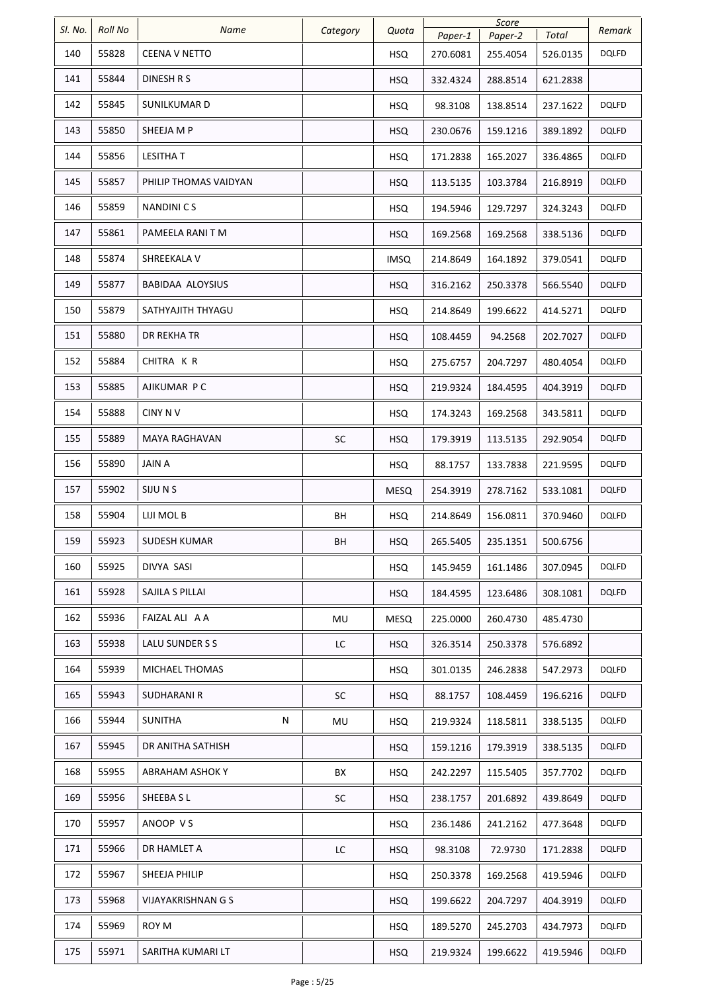| SI. No. | <b>Roll No</b> | Name                      |          |             |          | Score    |          |              |
|---------|----------------|---------------------------|----------|-------------|----------|----------|----------|--------------|
|         |                |                           | Category | Quota       | Paper-1  | Paper-2  | Total    | Remark       |
| 140     | 55828          | <b>CEENA V NETTO</b>      |          | <b>HSQ</b>  | 270.6081 | 255.4054 | 526.0135 | <b>DQLFD</b> |
| 141     | 55844          | DINESH R S                |          | <b>HSQ</b>  | 332.4324 | 288.8514 | 621.2838 |              |
| 142     | 55845          | SUNILKUMAR D              |          | <b>HSQ</b>  | 98.3108  | 138.8514 | 237.1622 | <b>DQLFD</b> |
| 143     | 55850          | SHEEJA M P                |          | <b>HSQ</b>  | 230.0676 | 159.1216 | 389.1892 | <b>DQLFD</b> |
| 144     | 55856          | <b>LESITHA T</b>          |          | <b>HSQ</b>  | 171.2838 | 165.2027 | 336.4865 | <b>DQLFD</b> |
| 145     | 55857          | PHILIP THOMAS VAIDYAN     |          | <b>HSQ</b>  | 113.5135 | 103.3784 | 216.8919 | DQLFD        |
| 146     | 55859          | <b>NANDINICS</b>          |          | <b>HSQ</b>  | 194.5946 | 129.7297 | 324.3243 | DQLFD        |
| 147     | 55861          | PAMEELA RANI T M          |          | <b>HSQ</b>  | 169.2568 | 169.2568 | 338.5136 | <b>DQLFD</b> |
| 148     | 55874          | SHREEKALA V               |          | <b>IMSQ</b> | 214.8649 | 164.1892 | 379.0541 | DQLFD        |
| 149     | 55877          | BABIDAA ALOYSIUS          |          | <b>HSQ</b>  | 316.2162 | 250.3378 | 566.5540 | DQLFD        |
| 150     | 55879          | SATHYAJITH THYAGU         |          | <b>HSQ</b>  | 214.8649 | 199.6622 | 414.5271 | DQLFD        |
| 151     | 55880          | DR REKHA TR               |          | <b>HSQ</b>  | 108.4459 | 94.2568  | 202.7027 | DQLFD        |
| 152     | 55884          | CHITRA K R                |          | <b>HSQ</b>  | 275.6757 | 204.7297 | 480.4054 | <b>DQLFD</b> |
| 153     | 55885          | AJIKUMAR PC               |          | <b>HSQ</b>  | 219.9324 | 184.4595 | 404.3919 | DQLFD        |
| 154     | 55888          | <b>CINY NV</b>            |          | <b>HSQ</b>  | 174.3243 | 169.2568 | 343.5811 | <b>DQLFD</b> |
| 155     | 55889          | MAYA RAGHAVAN             | SC       | <b>HSQ</b>  | 179.3919 | 113.5135 | 292.9054 | <b>DQLFD</b> |
| 156     | 55890          | <b>JAIN A</b>             |          | <b>HSQ</b>  | 88.1757  | 133.7838 | 221.9595 | DQLFD        |
| 157     | 55902          | SIJU N S                  |          | <b>MESQ</b> | 254.3919 | 278.7162 | 533.1081 | <b>DQLFD</b> |
| 158     | 55904          | LIJI MOL B                | BH       | <b>HSQ</b>  | 214.8649 | 156.0811 | 370.9460 | DQLFD        |
| 159     | 55923          | <b>SUDESH KUMAR</b>       | BН       | <b>HSQ</b>  | 265.5405 | 235.1351 | 500.6756 |              |
| 160     | 55925          | DIVYA SASI                |          | <b>HSQ</b>  | 145.9459 | 161.1486 | 307.0945 | <b>DQLFD</b> |
| 161     | 55928          | SAJILA S PILLAI           |          | <b>HSQ</b>  | 184.4595 | 123.6486 | 308.1081 | <b>DQLFD</b> |
| 162     | 55936          | FAIZAL ALI A A            | MU       | <b>MESQ</b> | 225.0000 | 260.4730 | 485.4730 |              |
| 163     | 55938          | LALU SUNDER S S           | LC       | <b>HSQ</b>  | 326.3514 | 250.3378 | 576.6892 |              |
| 164     | 55939          | MICHAEL THOMAS            |          | <b>HSQ</b>  | 301.0135 | 246.2838 | 547.2973 | <b>DQLFD</b> |
| 165     | 55943          | <b>SUDHARANI R</b>        | SC       | <b>HSQ</b>  | 88.1757  | 108.4459 | 196.6216 | DQLFD        |
| 166     | 55944          | SUNITHA<br>N              | MU       | <b>HSQ</b>  | 219.9324 | 118.5811 | 338.5135 | <b>DQLFD</b> |
| 167     | 55945          | DR ANITHA SATHISH         |          | <b>HSQ</b>  | 159.1216 | 179.3919 | 338.5135 | DQLFD        |
| 168     | 55955          | <b>ABRAHAM ASHOK Y</b>    | BX       | <b>HSQ</b>  | 242.2297 | 115.5405 | 357.7702 | DQLFD        |
| 169     | 55956          | SHEEBA S L                | SC       | <b>HSQ</b>  | 238.1757 | 201.6892 | 439.8649 | <b>DQLFD</b> |
| 170     | 55957          | ANOOP VS                  |          | <b>HSQ</b>  | 236.1486 | 241.2162 | 477.3648 | DQLFD        |
| 171     | 55966          | DR HAMLET A               | LC       | <b>HSQ</b>  | 98.3108  | 72.9730  | 171.2838 | <b>DQLFD</b> |
| 172     | 55967          | SHEEJA PHILIP             |          | <b>HSQ</b>  | 250.3378 | 169.2568 | 419.5946 | <b>DQLFD</b> |
| 173     | 55968          | <b>VIJAYAKRISHNAN G S</b> |          | <b>HSQ</b>  | 199.6622 | 204.7297 | 404.3919 | <b>DQLFD</b> |
| 174     | 55969          | ROY M                     |          | <b>HSQ</b>  | 189.5270 | 245.2703 | 434.7973 | <b>DQLFD</b> |
| 175     | 55971          | SARITHA KUMARI LT         |          | <b>HSQ</b>  | 219.9324 | 199.6622 | 419.5946 | <b>DQLFD</b> |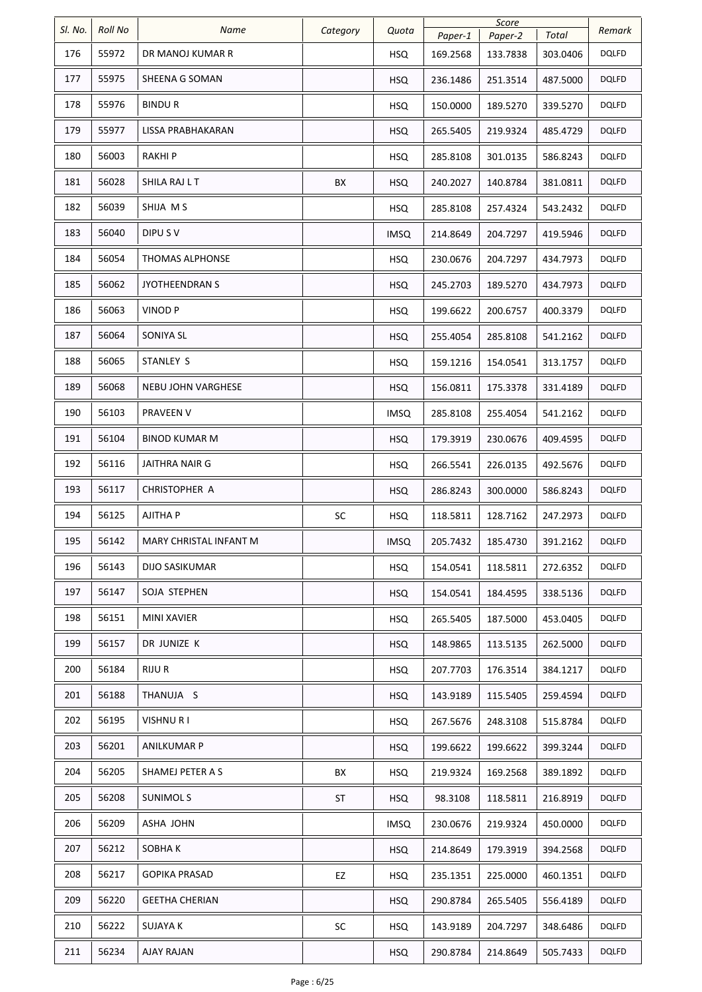| SI. No. | <b>Roll No</b> | Name                      | Category | Quota       | Paper-1  | Score<br>Paper-2 | Total    | Remark       |
|---------|----------------|---------------------------|----------|-------------|----------|------------------|----------|--------------|
| 176     | 55972          | DR MANOJ KUMAR R          |          | <b>HSQ</b>  | 169.2568 | 133.7838         | 303.0406 | <b>DQLFD</b> |
| 177     | 55975          | SHEENA G SOMAN            |          | <b>HSQ</b>  | 236.1486 | 251.3514         | 487.5000 | <b>DQLFD</b> |
| 178     | 55976          | <b>BINDUR</b>             |          | <b>HSQ</b>  | 150.0000 | 189.5270         | 339.5270 | <b>DQLFD</b> |
| 179     | 55977          | LISSA PRABHAKARAN         |          | <b>HSQ</b>  | 265.5405 | 219.9324         | 485.4729 | <b>DQLFD</b> |
| 180     | 56003          | <b>RAKHIP</b>             |          | <b>HSQ</b>  | 285.8108 | 301.0135         | 586.8243 | <b>DQLFD</b> |
| 181     | 56028          | SHILA RAJ L T             | BX       | <b>HSQ</b>  | 240.2027 | 140.8784         | 381.0811 | <b>DQLFD</b> |
| 182     | 56039          | SHIJA MS                  |          | <b>HSQ</b>  | 285.8108 | 257.4324         | 543.2432 | <b>DQLFD</b> |
| 183     | 56040          | DIPU S V                  |          | <b>IMSQ</b> | 214.8649 | 204.7297         | 419.5946 | <b>DQLFD</b> |
| 184     | 56054          | <b>THOMAS ALPHONSE</b>    |          | <b>HSQ</b>  | 230.0676 | 204.7297         | 434.7973 | <b>DQLFD</b> |
| 185     | 56062          | <b>JYOTHEENDRAN S</b>     |          | <b>HSQ</b>  | 245.2703 | 189.5270         | 434.7973 | <b>DQLFD</b> |
| 186     | 56063          | <b>VINOD P</b>            |          | <b>HSQ</b>  | 199.6622 | 200.6757         | 400.3379 | <b>DQLFD</b> |
| 187     | 56064          | SONIYA SL                 |          | <b>HSQ</b>  | 255.4054 | 285.8108         | 541.2162 | <b>DQLFD</b> |
| 188     | 56065          | STANLEY S                 |          | <b>HSQ</b>  | 159.1216 | 154.0541         | 313.1757 | <b>DQLFD</b> |
| 189     | 56068          | <b>NEBU JOHN VARGHESE</b> |          | <b>HSQ</b>  | 156.0811 | 175.3378         | 331.4189 | <b>DQLFD</b> |
| 190     | 56103          | PRAVEEN V                 |          | <b>IMSQ</b> | 285.8108 | 255.4054         | 541.2162 | <b>DQLFD</b> |
| 191     | 56104          | BINOD KUMAR M             |          | <b>HSQ</b>  | 179.3919 | 230.0676         | 409.4595 | <b>DQLFD</b> |
| 192     | 56116          | <b>JAITHRA NAIR G</b>     |          | <b>HSQ</b>  | 266.5541 | 226.0135         | 492.5676 | <b>DQLFD</b> |
| 193     | 56117          | CHRISTOPHER A             |          | <b>HSQ</b>  | 286.8243 | 300.0000         | 586.8243 | <b>DQLFD</b> |
| 194     | 56125          | AJITHA P                  | SC       | <b>HSQ</b>  | 118.5811 | 128.7162         | 247.2973 | <b>DQLFD</b> |
| 195     | 56142          | MARY CHRISTAL INFANT M    |          | <b>IMSQ</b> | 205.7432 | 185.4730         | 391.2162 | <b>DQLFD</b> |
| 196     | 56143          | DIJO SASIKUMAR            |          | <b>HSQ</b>  | 154.0541 | 118.5811         | 272.6352 | <b>DQLFD</b> |
| 197     | 56147          | SOJA STEPHEN              |          | <b>HSQ</b>  | 154.0541 | 184.4595         | 338.5136 | <b>DQLFD</b> |
| 198     | 56151          | MINI XAVIER               |          | <b>HSQ</b>  | 265.5405 | 187.5000         | 453.0405 | <b>DQLFD</b> |
| 199     | 56157          | DR JUNIZE K               |          | <b>HSQ</b>  | 148.9865 | 113.5135         | 262.5000 | <b>DQLFD</b> |
| 200     | 56184          | RIJU R                    |          | <b>HSQ</b>  | 207.7703 | 176.3514         | 384.1217 | <b>DQLFD</b> |
| 201     | 56188          | THANUJA S                 |          | <b>HSQ</b>  | 143.9189 | 115.5405         | 259.4594 | <b>DQLFD</b> |
| 202     | 56195          | <b>VISHNURI</b>           |          | <b>HSQ</b>  | 267.5676 | 248.3108         | 515.8784 | <b>DQLFD</b> |
| 203     | 56201          | ANILKUMAR P               |          | <b>HSQ</b>  | 199.6622 | 199.6622         | 399.3244 | <b>DQLFD</b> |
| 204     | 56205          | SHAMEJ PETER A S          | BX       | <b>HSQ</b>  | 219.9324 | 169.2568         | 389.1892 | <b>DQLFD</b> |
| 205     | 56208          | <b>SUNIMOLS</b>           | ST       | <b>HSQ</b>  | 98.3108  | 118.5811         | 216.8919 | <b>DQLFD</b> |
| 206     | 56209          | ASHA JOHN                 |          | <b>IMSQ</b> | 230.0676 | 219.9324         | 450.0000 | <b>DQLFD</b> |
| 207     | 56212          | SOBHA K                   |          | HSQ         | 214.8649 | 179.3919         | 394.2568 | <b>DQLFD</b> |
| 208     | 56217          | <b>GOPIKA PRASAD</b>      | EZ       | <b>HSQ</b>  | 235.1351 | 225.0000         | 460.1351 | <b>DQLFD</b> |
| 209     | 56220          | GEETHA CHERIAN            |          | <b>HSQ</b>  | 290.8784 | 265.5405         | 556.4189 | <b>DQLFD</b> |
| 210     | 56222          | SUJAYA K                  | SC       | <b>HSQ</b>  | 143.9189 | 204.7297         | 348.6486 | <b>DQLFD</b> |
| 211     | 56234          | <b>AJAY RAJAN</b>         |          | <b>HSQ</b>  | 290.8784 | 214.8649         | 505.7433 | <b>DQLFD</b> |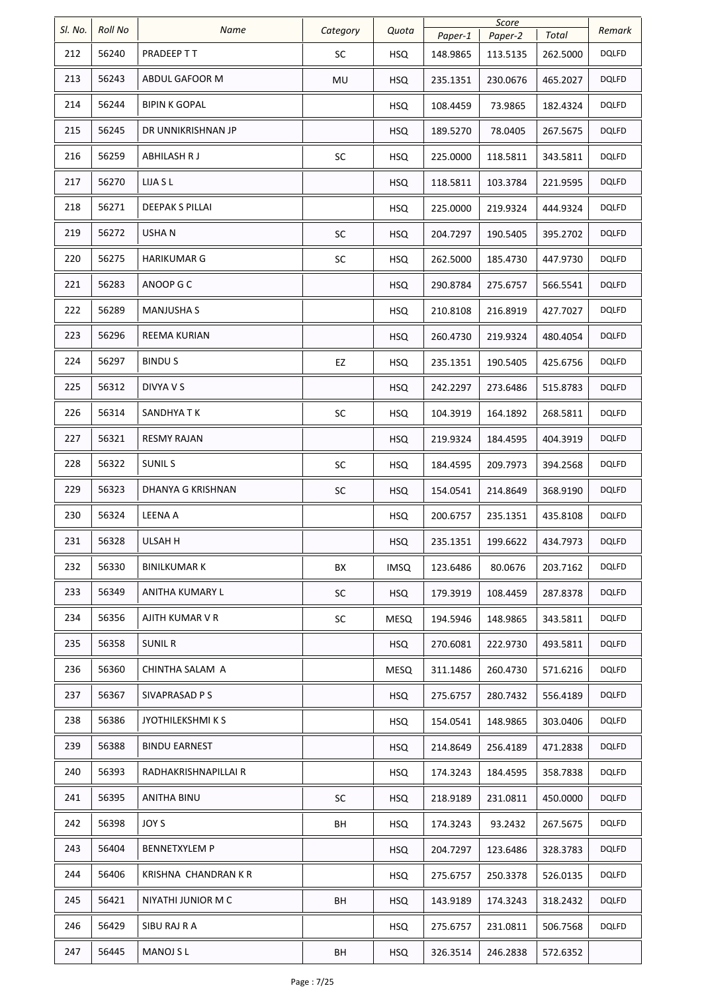| SI. No. | <b>Roll No</b> | Name                   | Category  | Quota       | Paper-1  | Score<br>Paper-2 | Total    | Remark       |
|---------|----------------|------------------------|-----------|-------------|----------|------------------|----------|--------------|
| 212     | 56240          | PRADEEP T T            | SC        | <b>HSQ</b>  | 148.9865 | 113.5135         | 262.5000 | DQLFD        |
| 213     | 56243          | ABDUL GAFOOR M         | MU        | <b>HSQ</b>  | 235.1351 | 230.0676         | 465.2027 | <b>DQLFD</b> |
| 214     | 56244          | <b>BIPIN K GOPAL</b>   |           | <b>HSQ</b>  | 108.4459 | 73.9865          | 182.4324 | DQLFD        |
| 215     | 56245          | DR UNNIKRISHNAN JP     |           | <b>HSQ</b>  | 189.5270 | 78.0405          | 267.5675 | <b>DQLFD</b> |
| 216     | 56259          | ABHILASH R J           | SC        | <b>HSQ</b>  | 225.0000 | 118.5811         | 343.5811 | <b>DQLFD</b> |
| 217     | 56270          | LIJA S L               |           | <b>HSQ</b>  | 118.5811 | 103.3784         | 221.9595 | <b>DQLFD</b> |
| 218     | 56271          | <b>DEEPAK S PILLAI</b> |           | <b>HSQ</b>  | 225.0000 | 219.9324         | 444.9324 | DQLFD        |
| 219     | 56272          | USHA N                 | SC        | <b>HSQ</b>  | 204.7297 | 190.5405         | 395.2702 | <b>DQLFD</b> |
| 220     | 56275          | HARIKUMAR G            | <b>SC</b> | <b>HSQ</b>  | 262.5000 | 185.4730         | 447.9730 | DQLFD        |
| 221     | 56283          | ANOOP G C              |           | <b>HSQ</b>  | 290.8784 | 275.6757         | 566.5541 | <b>DQLFD</b> |
| 222     | 56289          | <b>MANJUSHA S</b>      |           | <b>HSQ</b>  | 210.8108 | 216.8919         | 427.7027 | DQLFD        |
| 223     | 56296          | <b>REEMA KURIAN</b>    |           | <b>HSQ</b>  | 260.4730 | 219.9324         | 480.4054 | <b>DQLFD</b> |
| 224     | 56297          | <b>BINDUS</b>          | EZ        | <b>HSQ</b>  | 235.1351 | 190.5405         | 425.6756 | DQLFD        |
| 225     | 56312          | <b>DIVYA V S</b>       |           | <b>HSQ</b>  | 242.2297 | 273.6486         | 515.8783 | <b>DQLFD</b> |
| 226     | 56314          | SANDHYA T K            | SC        | <b>HSQ</b>  | 104.3919 | 164.1892         | 268.5811 | DQLFD        |
| 227     | 56321          | <b>RESMY RAJAN</b>     |           | <b>HSQ</b>  | 219.9324 | 184.4595         | 404.3919 | <b>DQLFD</b> |
| 228     | 56322          | <b>SUNILS</b>          | SC        | <b>HSQ</b>  | 184.4595 | 209.7973         | 394.2568 | DQLFD        |
| 229     | 56323          | DHANYA G KRISHNAN      | SC        | <b>HSQ</b>  | 154.0541 | 214.8649         | 368.9190 | <b>DQLFD</b> |
| 230     | 56324          | <b>LEENA A</b>         |           | HSQ.        | 200.6757 | 235.1351         | 435.8108 | DQLFD        |
| 231     | 56328          | ULSAH H                |           | <b>HSQ</b>  | 235.1351 | 199.6622         | 434.7973 | <b>DQLFD</b> |
| 232     | 56330          | BINILKUMAR K           | BX        | <b>IMSQ</b> | 123.6486 | 80.0676          | 203.7162 | <b>DQLFD</b> |
| 233     | 56349          | ANITHA KUMARY L        | <b>SC</b> | <b>HSQ</b>  | 179.3919 | 108.4459         | 287.8378 | <b>DQLFD</b> |
| 234     | 56356          | AJITH KUMAR V R        | <b>SC</b> | <b>MESQ</b> | 194.5946 | 148.9865         | 343.5811 | DQLFD        |
| 235     | 56358          | SUNIL R                |           | <b>HSQ</b>  | 270.6081 | 222.9730         | 493.5811 | <b>DQLFD</b> |
| 236     | 56360          | CHINTHA SALAM A        |           | MESQ        | 311.1486 | 260.4730         | 571.6216 | <b>DQLFD</b> |
| 237     | 56367          | SIVAPRASAD P S         |           | <b>HSQ</b>  | 275.6757 | 280.7432         | 556.4189 | DQLFD        |
| 238     | 56386          | JYOTHILEKSHMI K S      |           | <b>HSQ</b>  | 154.0541 | 148.9865         | 303.0406 | <b>DQLFD</b> |
| 239     | 56388          | <b>BINDU EARNEST</b>   |           | HSQ         | 214.8649 | 256.4189         | 471.2838 | DQLFD        |
| 240     | 56393          | RADHAKRISHNAPILLAI R   |           | HSQ         | 174.3243 | 184.4595         | 358.7838 | DQLFD        |
| 241     | 56395          | ANITHA BINU            | SC        | <b>HSQ</b>  | 218.9189 | 231.0811         | 450.0000 | <b>DQLFD</b> |
| 242     | 56398          | JOY S                  | BH        | <b>HSQ</b>  | 174.3243 | 93.2432          | 267.5675 | DQLFD        |
| 243     | 56404          | <b>BENNETXYLEM P</b>   |           | <b>HSQ</b>  | 204.7297 | 123.6486         | 328.3783 | <b>DQLFD</b> |
| 244     | 56406          | KRISHNA CHANDRAN K R   |           | <b>HSQ</b>  | 275.6757 | 250.3378         | 526.0135 | DQLFD        |
| 245     | 56421          | NIYATHI JUNIOR M C     | BH        | <b>HSQ</b>  | 143.9189 | 174.3243         | 318.2432 | <b>DQLFD</b> |
| 246     | 56429          | SIBU RAJ R A           |           | <b>HSQ</b>  | 275.6757 | 231.0811         | 506.7568 | <b>DQLFD</b> |
| 247     | 56445          | <b>MANOJ S L</b>       | BH        | <b>HSQ</b>  | 326.3514 | 246.2838         | 572.6352 |              |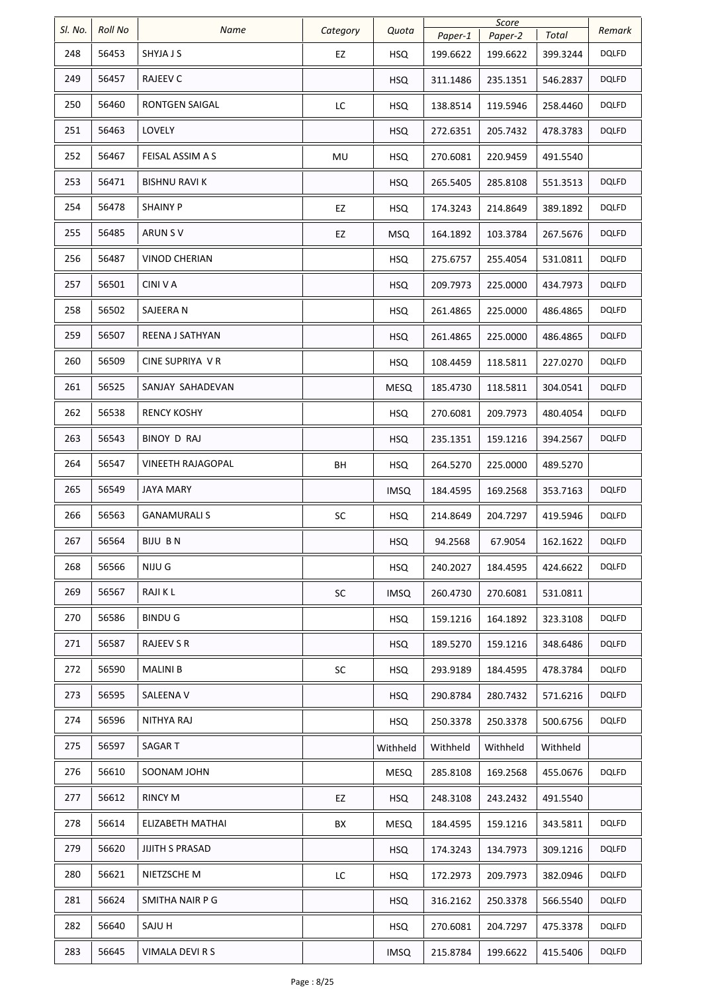| Sl. No. | <b>Roll No</b> | Name                   |           | Quota       |          | Score    |          | Remark       |
|---------|----------------|------------------------|-----------|-------------|----------|----------|----------|--------------|
|         |                |                        | Category  |             | Paper-1  | Paper-2  | Total    |              |
| 248     | 56453          | SHYJA J S              | EZ        | <b>HSQ</b>  | 199.6622 | 199.6622 | 399.3244 | <b>DQLFD</b> |
| 249     | 56457          | RAJEEV C               |           | <b>HSQ</b>  | 311.1486 | 235.1351 | 546.2837 | DQLFD        |
| 250     | 56460          | RONTGEN SAIGAL         | LC        | <b>HSQ</b>  | 138.8514 | 119.5946 | 258.4460 | DQLFD        |
| 251     | 56463          | LOVELY                 |           | <b>HSQ</b>  | 272.6351 | 205.7432 | 478.3783 | DQLFD        |
| 252     | 56467          | FEISAL ASSIM A S       | MU        | <b>HSQ</b>  | 270.6081 | 220.9459 | 491.5540 |              |
| 253     | 56471          | <b>BISHNU RAVI K</b>   |           | <b>HSQ</b>  | 265.5405 | 285.8108 | 551.3513 | <b>DQLFD</b> |
| 254     | 56478          | <b>SHAINY P</b>        | EZ        | <b>HSQ</b>  | 174.3243 | 214.8649 | 389.1892 | DQLFD        |
| 255     | 56485          | ARUN S V               | EZ        | <b>MSQ</b>  | 164.1892 | 103.3784 | 267.5676 | DQLFD        |
| 256     | 56487          | <b>VINOD CHERIAN</b>   |           | <b>HSQ</b>  | 275.6757 | 255.4054 | 531.0811 | DQLFD        |
| 257     | 56501          | CINI V A               |           | <b>HSQ</b>  | 209.7973 | 225.0000 | 434.7973 | <b>DQLFD</b> |
| 258     | 56502          | SAJEERA N              |           | <b>HSQ</b>  | 261.4865 | 225.0000 | 486.4865 | <b>DQLFD</b> |
| 259     | 56507          | REENA J SATHYAN        |           | <b>HSQ</b>  | 261.4865 | 225.0000 | 486.4865 | <b>DQLFD</b> |
| 260     | 56509          | CINE SUPRIYA V R       |           | <b>HSQ</b>  | 108.4459 | 118.5811 | 227.0270 | DQLFD        |
| 261     | 56525          | SANJAY SAHADEVAN       |           | <b>MESQ</b> | 185.4730 | 118.5811 | 304.0541 | DQLFD        |
| 262     | 56538          | <b>RENCY KOSHY</b>     |           | <b>HSQ</b>  | 270.6081 | 209.7973 | 480.4054 | DQLFD        |
| 263     | 56543          | BINOY D RAJ            |           | <b>HSQ</b>  | 235.1351 | 159.1216 | 394.2567 | <b>DQLFD</b> |
| 264     | 56547          | VINEETH RAJAGOPAL      | BH        | <b>HSQ</b>  | 264.5270 | 225.0000 | 489.5270 |              |
| 265     | 56549          | <b>JAYA MARY</b>       |           | <b>IMSQ</b> | 184.4595 | 169.2568 | 353.7163 | <b>DQLFD</b> |
| 266     | 56563          | <b>GANAMURALI S</b>    | SC        | <b>HSQ</b>  | 214.8649 | 204.7297 | 419.5946 | DQLFD        |
| 267     | 56564          | <b>BIJU BN</b>         |           | <b>HSQ</b>  | 94.2568  | 67.9054  | 162.1622 | <b>DQLFD</b> |
| 268     | 56566          | NIJU G                 |           | <b>HSQ</b>  | 240.2027 | 184.4595 | 424.6622 | <b>DQLFD</b> |
| 269     | 56567          | RAJI K L               | SC        | <b>IMSQ</b> | 260.4730 | 270.6081 | 531.0811 |              |
| 270     | 56586          | <b>BINDU G</b>         |           | <b>HSQ</b>  | 159.1216 | 164.1892 | 323.3108 | <b>DQLFD</b> |
| 271     | 56587          | RAJEEV S R             |           | <b>HSQ</b>  | 189.5270 | 159.1216 | 348.6486 | <b>DQLFD</b> |
| 272     | 56590          | MALINI B               | <b>SC</b> | <b>HSQ</b>  | 293.9189 | 184.4595 | 478.3784 | <b>DQLFD</b> |
| 273     | 56595          | SALEENA V              |           | <b>HSQ</b>  | 290.8784 | 280.7432 | 571.6216 | <b>DQLFD</b> |
| 274     | 56596          | NITHYA RAJ             |           | <b>HSQ</b>  | 250.3378 | 250.3378 | 500.6756 | DQLFD        |
| 275     | 56597          | SAGAR T                |           | Withheld    | Withheld | Withheld | Withheld |              |
| 276     | 56610          | SOONAM JOHN            |           | <b>MESQ</b> | 285.8108 | 169.2568 | 455.0676 | <b>DQLFD</b> |
| 277     | 56612          | RINCY M                | EZ        | <b>HSQ</b>  | 248.3108 | 243.2432 | 491.5540 |              |
| 278     | 56614          | ELIZABETH MATHAI       | ВX        | <b>MESQ</b> | 184.4595 | 159.1216 | 343.5811 | <b>DQLFD</b> |
| 279     | 56620          | <b>JIJITH S PRASAD</b> |           | <b>HSQ</b>  | 174.3243 | 134.7973 | 309.1216 | DQLFD        |
| 280     | 56621          | NIETZSCHE M            | LC        | <b>HSQ</b>  | 172.2973 | 209.7973 | 382.0946 | DQLFD        |
| 281     | 56624          | SMITHA NAIR P G        |           | <b>HSQ</b>  | 316.2162 | 250.3378 | 566.5540 | DQLFD        |
| 282     | 56640          | SAJU H                 |           | <b>HSQ</b>  | 270.6081 | 204.7297 | 475.3378 | DQLFD        |
| 283     | 56645          | VIMALA DEVI R S        |           | <b>IMSQ</b> | 215.8784 | 199.6622 | 415.5406 | <b>DQLFD</b> |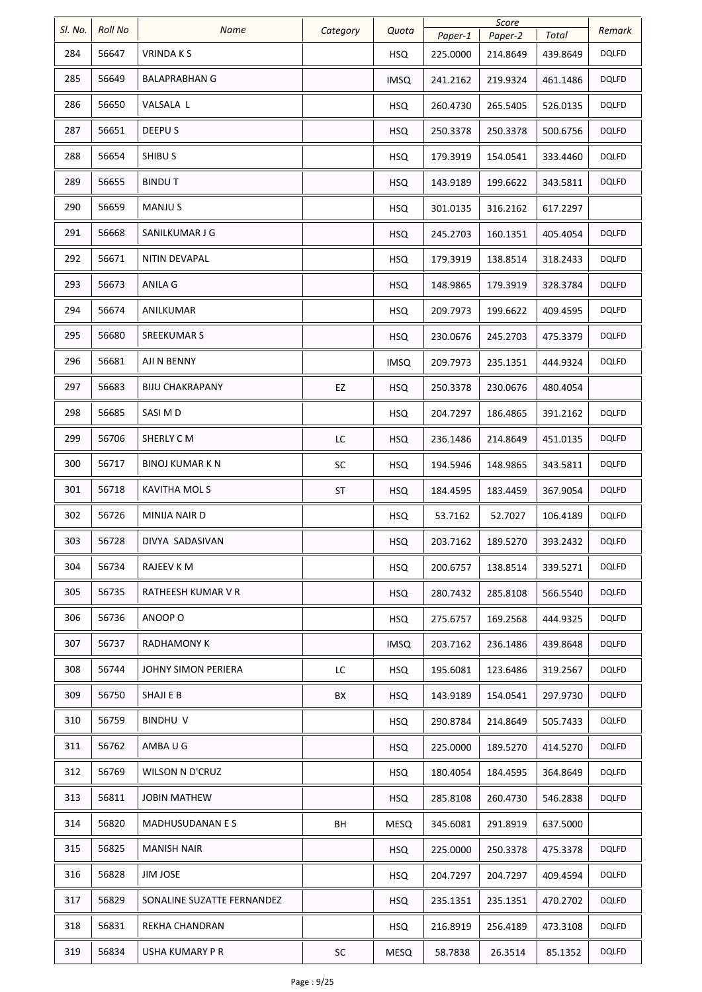| SI. No. | Roll No | Name                       | Category | Quota       |          | Score    |          | Remark       |
|---------|---------|----------------------------|----------|-------------|----------|----------|----------|--------------|
|         |         |                            |          |             | Paper-1  | Paper-2  | Total    |              |
| 284     | 56647   | <b>VRINDAKS</b>            |          | <b>HSQ</b>  | 225.0000 | 214.8649 | 439.8649 | DQLFD        |
| 285     | 56649   | BALAPRABHAN G              |          | <b>IMSQ</b> | 241.2162 | 219.9324 | 461.1486 | DQLFD        |
| 286     | 56650   | VALSALA L                  |          | <b>HSQ</b>  | 260.4730 | 265.5405 | 526.0135 | <b>DQLFD</b> |
| 287     | 56651   | DEEPU S                    |          | <b>HSQ</b>  | 250.3378 | 250.3378 | 500.6756 | <b>DQLFD</b> |
| 288     | 56654   | SHIBU S                    |          | <b>HSQ</b>  | 179.3919 | 154.0541 | 333.4460 | <b>DQLFD</b> |
| 289     | 56655   | <b>BINDUT</b>              |          | <b>HSQ</b>  | 143.9189 | 199.6622 | 343.5811 | <b>DQLFD</b> |
| 290     | 56659   | MANJU S                    |          | <b>HSQ</b>  | 301.0135 | 316.2162 | 617.2297 |              |
| 291     | 56668   | SANILKUMAR J G             |          | <b>HSQ</b>  | 245.2703 | 160.1351 | 405.4054 | DQLFD        |
| 292     | 56671   | NITIN DEVAPAL              |          | <b>HSQ</b>  | 179.3919 | 138.8514 | 318.2433 | <b>DQLFD</b> |
| 293     | 56673   | ANILA G                    |          | <b>HSQ</b>  | 148.9865 | 179.3919 | 328.3784 | <b>DQLFD</b> |
| 294     | 56674   | ANILKUMAR                  |          | <b>HSQ</b>  | 209.7973 | 199.6622 | 409.4595 | DQLFD        |
| 295     | 56680   | <b>SREEKUMAR S</b>         |          | <b>HSQ</b>  | 230.0676 | 245.2703 | 475.3379 | <b>DQLFD</b> |
| 296     | 56681   | AJI N BENNY                |          | <b>IMSQ</b> | 209.7973 | 235.1351 | 444.9324 | DQLFD        |
| 297     | 56683   | <b>BIJU CHAKRAPANY</b>     | EZ       | <b>HSQ</b>  | 250.3378 | 230.0676 | 480.4054 |              |
| 298     | 56685   | SASI M D                   |          | <b>HSQ</b>  | 204.7297 | 186.4865 | 391.2162 | DQLFD        |
| 299     | 56706   | SHERLY C M                 | LC       | <b>HSQ</b>  | 236.1486 | 214.8649 | 451.0135 | <b>DQLFD</b> |
| 300     | 56717   | BINOJ KUMAR K N            | SC       | <b>HSQ</b>  | 194.5946 | 148.9865 | 343.5811 | <b>DQLFD</b> |
| 301     | 56718   | KAVITHA MOLS               | ST       | <b>HSQ</b>  | 184.4595 | 183.4459 | 367.9054 | <b>DQLFD</b> |
| 302     | 56726   | MINIJA NAIR D              |          | <b>HSQ</b>  | 53.7162  | 52.7027  | 106.4189 | <b>DQLFD</b> |
| 303     | 56728   | DIVYA SADASIVAN            |          | <b>HSQ</b>  | 203.7162 | 189.5270 | 393.2432 | <b>DQLFD</b> |
| 304     | 56734   | RAJEEV K M                 |          | <b>HSQ</b>  | 200.6757 | 138.8514 | 339.5271 | DQLFD        |
| 305     | 56735   | RATHEESH KUMAR V R         |          | <b>HSQ</b>  | 280.7432 | 285.8108 | 566.5540 | <b>DQLFD</b> |
| 306     | 56736   | ANOOP O                    |          | <b>HSQ</b>  | 275.6757 | 169.2568 | 444.9325 | DQLFD        |
| 307     | 56737   | RADHAMONY K                |          | <b>IMSQ</b> | 203.7162 | 236.1486 | 439.8648 | DQLFD        |
| 308     | 56744   | JOHNY SIMON PERIERA        | LC       | <b>HSQ</b>  | 195.6081 | 123.6486 | 319.2567 | DQLFD        |
| 309     | 56750   | SHAJI E B                  | BX       | <b>HSQ</b>  | 143.9189 | 154.0541 | 297.9730 | DQLFD        |
| 310     | 56759   | BINDHU V                   |          | <b>HSQ</b>  | 290.8784 | 214.8649 | 505.7433 | DQLFD        |
| 311     | 56762   | AMBA U G                   |          | <b>HSQ</b>  | 225.0000 | 189.5270 | 414.5270 | <b>DQLFD</b> |
| 312     | 56769   | WILSON N D'CRUZ            |          | <b>HSQ</b>  | 180.4054 | 184.4595 | 364.8649 | <b>DQLFD</b> |
| 313     | 56811   | <b>JOBIN MATHEW</b>        |          | <b>HSQ</b>  | 285.8108 | 260.4730 | 546.2838 | <b>DQLFD</b> |
| 314     | 56820   | MADHUSUDANAN E S           | BH       | <b>MESQ</b> | 345.6081 | 291.8919 | 637.5000 |              |
| 315     | 56825   | <b>MANISH NAIR</b>         |          | <b>HSQ</b>  | 225.0000 | 250.3378 | 475.3378 | DQLFD        |
| 316     | 56828   | JIM JOSE                   |          | <b>HSQ</b>  | 204.7297 | 204.7297 | 409.4594 | DQLFD        |
| 317     | 56829   | SONALINE SUZATTE FERNANDEZ |          | <b>HSQ</b>  | 235.1351 | 235.1351 | 470.2702 | DQLFD        |
| 318     | 56831   | REKHA CHANDRAN             |          | <b>HSQ</b>  | 216.8919 | 256.4189 | 473.3108 | DQLFD        |
| 319     | 56834   | USHA KUMARY P R            | SC       | MESQ        | 58.7838  | 26.3514  | 85.1352  | <b>DQLFD</b> |
|         |         |                            |          |             |          |          |          |              |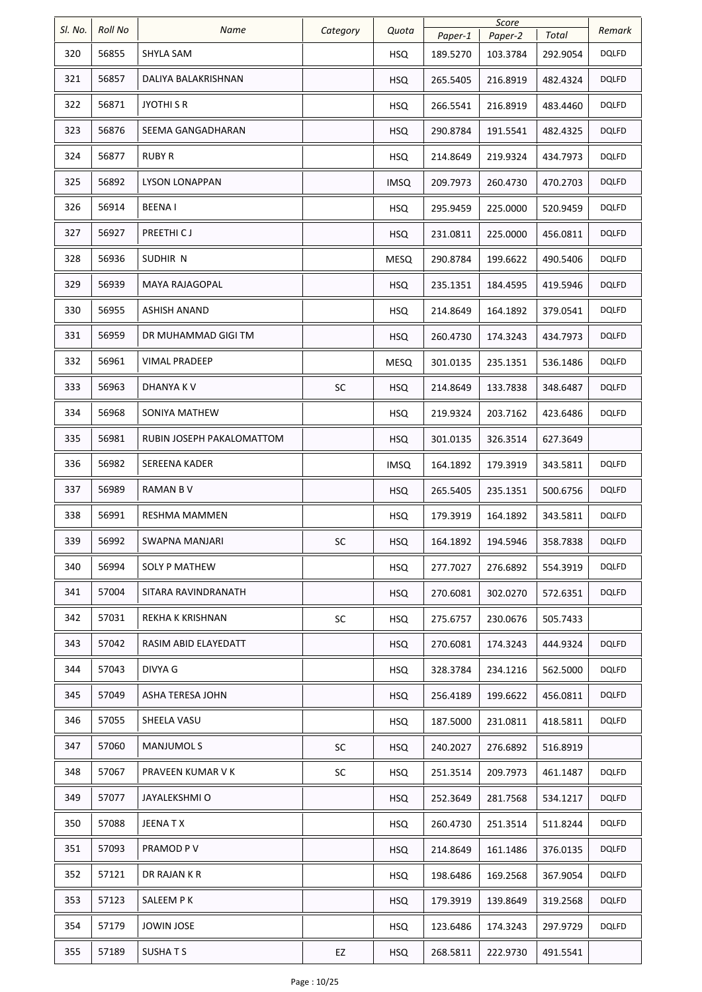| SI. No. | <b>Roll No</b> |                           |           |             |          | Score    |          |              |
|---------|----------------|---------------------------|-----------|-------------|----------|----------|----------|--------------|
|         |                | Name                      | Category  | Quota       | Paper-1  | Paper-2  | Total    | Remark       |
| 320     | 56855          | SHYLA SAM                 |           | <b>HSQ</b>  | 189.5270 | 103.3784 | 292.9054 | DQLFD        |
| 321     | 56857          | DALIYA BALAKRISHNAN       |           | <b>HSQ</b>  | 265.5405 | 216.8919 | 482.4324 | <b>DQLFD</b> |
| 322     | 56871          | <b>JYOTHI S R</b>         |           | <b>HSQ</b>  | 266.5541 | 216.8919 | 483.4460 | <b>DQLFD</b> |
| 323     | 56876          | SEEMA GANGADHARAN         |           | <b>HSQ</b>  | 290.8784 | 191.5541 | 482.4325 | <b>DQLFD</b> |
| 324     | 56877          | RUBY R                    |           | <b>HSQ</b>  | 214.8649 | 219.9324 | 434.7973 | DQLFD        |
| 325     | 56892          | <b>LYSON LONAPPAN</b>     |           | <b>IMSQ</b> | 209.7973 | 260.4730 | 470.2703 | DQLFD        |
| 326     | 56914          | <b>BEENAI</b>             |           | HSQ.        | 295.9459 | 225.0000 | 520.9459 | DQLFD        |
| 327     | 56927          | PREETHI CJ                |           | <b>HSQ</b>  | 231.0811 | 225.0000 | 456.0811 | <b>DQLFD</b> |
| 328     | 56936          | SUDHIR N                  |           | MESQ        | 290.8784 | 199.6622 | 490.5406 | DQLFD        |
| 329     | 56939          | <b>MAYA RAJAGOPAL</b>     |           | <b>HSQ</b>  | 235.1351 | 184.4595 | 419.5946 | DQLFD        |
| 330     | 56955          | <b>ASHISH ANAND</b>       |           | <b>HSQ</b>  | 214.8649 | 164.1892 | 379.0541 | DQLFD        |
| 331     | 56959          | DR MUHAMMAD GIGI TM       |           | <b>HSQ</b>  | 260.4730 | 174.3243 | 434.7973 | DQLFD        |
| 332     | 56961          | <b>VIMAL PRADEEP</b>      |           | MESQ        | 301.0135 | 235.1351 | 536.1486 | <b>DQLFD</b> |
| 333     | 56963          | DHANYA K V                | <b>SC</b> | <b>HSQ</b>  | 214.8649 | 133.7838 | 348.6487 | DQLFD        |
| 334     | 56968          | SONIYA MATHEW             |           | <b>HSQ</b>  | 219.9324 | 203.7162 | 423.6486 | <b>DQLFD</b> |
| 335     | 56981          | RUBIN JOSEPH PAKALOMATTOM |           | <b>HSQ</b>  | 301.0135 | 326.3514 | 627.3649 |              |
| 336     | 56982          | SEREENA KADER             |           | <b>IMSQ</b> | 164.1892 | 179.3919 | 343.5811 | DQLFD        |
| 337     | 56989          | RAMAN B V                 |           | <b>HSQ</b>  | 265.5405 | 235.1351 | 500.6756 | DQLFD        |
| 338     | 56991          | RESHMA MAMMEN             |           | <b>HSQ</b>  | 179.3919 | 164.1892 | 343.5811 | DQLFD        |
| 339     | 56992          | SWAPNA MANJARI            | <b>SC</b> | <b>HSQ</b>  | 164.1892 | 194.5946 | 358.7838 | <b>DQLFD</b> |
| 340     | 56994          | SOLY P MATHEW             |           | <b>HSQ</b>  | 277.7027 | 276.6892 | 554.3919 | <b>DQLFD</b> |
| 341     | 57004          | SITARA RAVINDRANATH       |           | <b>HSQ</b>  | 270.6081 | 302.0270 | 572.6351 | DQLFD        |
| 342     | 57031          | REKHA K KRISHNAN          | SC        | <b>HSQ</b>  | 275.6757 | 230.0676 | 505.7433 |              |
| 343     | 57042          | RASIM ABID ELAYEDATT      |           | <b>HSQ</b>  | 270.6081 | 174.3243 | 444.9324 | <b>DQLFD</b> |
| 344     | 57043          | DIVYA G                   |           | <b>HSQ</b>  | 328.3784 | 234.1216 | 562.5000 | <b>DQLFD</b> |
| 345     | 57049          | ASHA TERESA JOHN          |           | HSQ.        | 256.4189 | 199.6622 | 456.0811 | DQLFD        |
| 346     | 57055          | SHEELA VASU               |           | <b>HSQ</b>  | 187.5000 | 231.0811 | 418.5811 | DQLFD        |
| 347     | 57060          | <b>MANJUMOLS</b>          | <b>SC</b> | <b>HSQ</b>  | 240.2027 | 276.6892 | 516.8919 |              |
| 348     | 57067          | PRAVEEN KUMAR V K         | SC        | <b>HSQ</b>  | 251.3514 | 209.7973 | 461.1487 | DQLFD        |
| 349     | 57077          | JAYALEKSHMI O             |           | <b>HSQ</b>  | 252.3649 | 281.7568 | 534.1217 | <b>DQLFD</b> |
| 350     | 57088          | JEENA T X                 |           | HSQ         | 260.4730 | 251.3514 | 511.8244 | DQLFD        |
| 351     | 57093          | PRAMOD P V                |           | <b>HSQ</b>  | 214.8649 | 161.1486 | 376.0135 | <b>DQLFD</b> |
| 352     | 57121          | DR RAJAN K R              |           | <b>HSQ</b>  | 198.6486 | 169.2568 | 367.9054 | <b>DQLFD</b> |
| 353     | 57123          | SALEEM P K                |           | <b>HSQ</b>  | 179.3919 | 139.8649 | 319.2568 | <b>DQLFD</b> |
| 354     | 57179          | <b>JOWIN JOSE</b>         |           | <b>HSQ</b>  | 123.6486 | 174.3243 | 297.9729 | <b>DQLFD</b> |
| 355     | 57189          | <b>SUSHATS</b>            | EZ        | <b>HSQ</b>  | 268.5811 | 222.9730 | 491.5541 |              |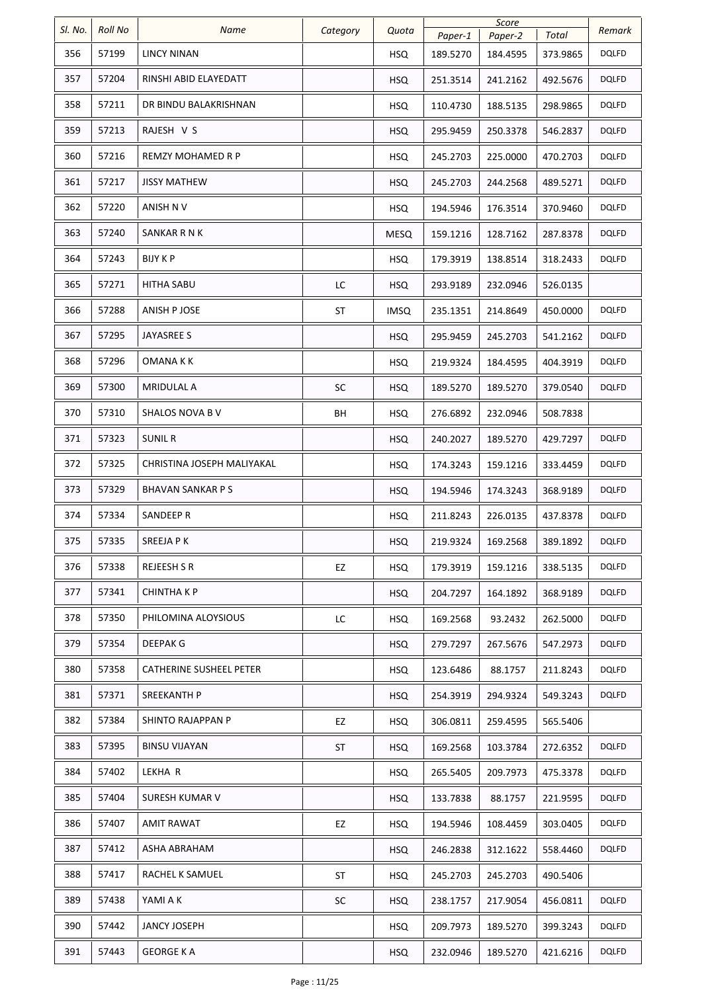| SI. No. | <b>Roll No</b> | Name                       | Category  | Quota       | Paper-1  | Score<br>Paper-2 | Total    | Remark       |
|---------|----------------|----------------------------|-----------|-------------|----------|------------------|----------|--------------|
| 356     | 57199          | <b>LINCY NINAN</b>         |           | <b>HSQ</b>  | 189.5270 | 184.4595         | 373.9865 | <b>DQLFD</b> |
| 357     | 57204          | RINSHI ABID ELAYEDATT      |           | <b>HSQ</b>  | 251.3514 | 241.2162         | 492.5676 | <b>DQLFD</b> |
| 358     | 57211          | DR BINDU BALAKRISHNAN      |           | <b>HSQ</b>  | 110.4730 | 188.5135         | 298.9865 | <b>DQLFD</b> |
| 359     | 57213          | RAJESH V S                 |           | <b>HSQ</b>  | 295.9459 | 250.3378         | 546.2837 | <b>DQLFD</b> |
| 360     | 57216          | REMZY MOHAMED R P          |           | <b>HSQ</b>  | 245.2703 | 225.0000         | 470.2703 | <b>DQLFD</b> |
| 361     | 57217          | <b>JISSY MATHEW</b>        |           | <b>HSQ</b>  | 245.2703 | 244.2568         | 489.5271 | DQLFD        |
| 362     | 57220          | ANISH N V                  |           | <b>HSQ</b>  | 194.5946 | 176.3514         | 370.9460 | DQLFD        |
| 363     | 57240          | SANKAR R N K               |           | MESQ        | 159.1216 | 128.7162         | 287.8378 | DQLFD        |
| 364     | 57243          | BIJY K P                   |           | <b>HSQ</b>  | 179.3919 | 138.8514         | 318.2433 | DQLFD        |
| 365     | 57271          | HITHA SABU                 | LC        | <b>HSQ</b>  | 293.9189 | 232.0946         | 526.0135 |              |
| 366     | 57288          | ANISH P JOSE               | ST        | <b>IMSQ</b> | 235.1351 | 214.8649         | 450.0000 | DQLFD        |
| 367     | 57295          | JAYASREE S                 |           | <b>HSQ</b>  | 295.9459 | 245.2703         | 541.2162 | <b>DQLFD</b> |
| 368     | 57296          | OMANA K K                  |           | <b>HSQ</b>  | 219.9324 | 184.4595         | 404.3919 | <b>DQLFD</b> |
| 369     | 57300          | <b>MRIDULAL A</b>          | <b>SC</b> | <b>HSQ</b>  | 189.5270 | 189.5270         | 379.0540 | DQLFD        |
| 370     | 57310          | SHALOS NOVA B V            | BH        | <b>HSQ</b>  | 276.6892 | 232.0946         | 508.7838 |              |
| 371     | 57323          | <b>SUNIL R</b>             |           | <b>HSQ</b>  | 240.2027 | 189.5270         | 429.7297 | DQLFD        |
| 372     | 57325          | CHRISTINA JOSEPH MALIYAKAL |           | <b>HSQ</b>  | 174.3243 | 159.1216         | 333.4459 | DQLFD        |
| 373     | 57329          | <b>BHAVAN SANKAR P S</b>   |           | <b>HSQ</b>  | 194.5946 | 174.3243         | 368.9189 | <b>DQLFD</b> |
| 374     | 57334          | SANDEEP R                  |           | <b>HSQ</b>  | 211.8243 | 226.0135         | 437.8378 | DQLFD        |
| 375     | 57335          | SREEJA P K                 |           | <b>HSQ</b>  | 219.9324 | 169.2568         | 389.1892 | <b>DQLFD</b> |
| 376     | 57338          | <b>REJEESH S R</b>         | EZ        | <b>HSQ</b>  | 179.3919 | 159.1216         | 338.5135 | <b>DQLFD</b> |
| 377     | 57341          | <b>CHINTHAKP</b>           |           | <b>HSQ</b>  | 204.7297 | 164.1892         | 368.9189 | <b>DQLFD</b> |
| 378     | 57350          | PHILOMINA ALOYSIOUS        | LC        | <b>HSQ</b>  | 169.2568 | 93.2432          | 262.5000 | <b>DQLFD</b> |
| 379     | 57354          | DEEPAK G                   |           | <b>HSQ</b>  | 279.7297 | 267.5676         | 547.2973 | <b>DQLFD</b> |
| 380     | 57358          | CATHERINE SUSHEEL PETER    |           | <b>HSQ</b>  | 123.6486 | 88.1757          | 211.8243 | <b>DQLFD</b> |
| 381     | 57371          | SREEKANTH P                |           | <b>HSQ</b>  | 254.3919 | 294.9324         | 549.3243 | DQLFD        |
| 382     | 57384          | SHINTO RAJAPPAN P          | EZ        | HSQ         | 306.0811 | 259.4595         | 565.5406 |              |
| 383     | 57395          | <b>BINSU VIJAYAN</b>       | ST        | <b>HSQ</b>  | 169.2568 | 103.3784         | 272.6352 | <b>DQLFD</b> |
| 384     | 57402          | LEKHA R                    |           | <b>HSQ</b>  | 265.5405 | 209.7973         | 475.3378 | DQLFD        |
| 385     | 57404          | SURESH KUMAR V             |           | <b>HSQ</b>  | 133.7838 | 88.1757          | 221.9595 | DQLFD        |
| 386     | 57407          | <b>AMIT RAWAT</b>          | EZ        | <b>HSQ</b>  | 194.5946 | 108.4459         | 303.0405 | DQLFD        |
| 387     | 57412          | ASHA ABRAHAM               |           | <b>HSQ</b>  | 246.2838 | 312.1622         | 558.4460 | <b>DQLFD</b> |
| 388     | 57417          | RACHEL K SAMUEL            | <b>ST</b> | <b>HSQ</b>  | 245.2703 | 245.2703         | 490.5406 |              |
| 389     | 57438          | YAMI A K                   | SC        | <b>HSQ</b>  | 238.1757 | 217.9054         | 456.0811 | <b>DQLFD</b> |
| 390     | 57442          | <b>JANCY JOSEPH</b>        |           | <b>HSQ</b>  | 209.7973 | 189.5270         | 399.3243 | <b>DQLFD</b> |
| 391     | 57443          | <b>GEORGE KA</b>           |           | <b>HSQ</b>  | 232.0946 | 189.5270         | 421.6216 | <b>DQLFD</b> |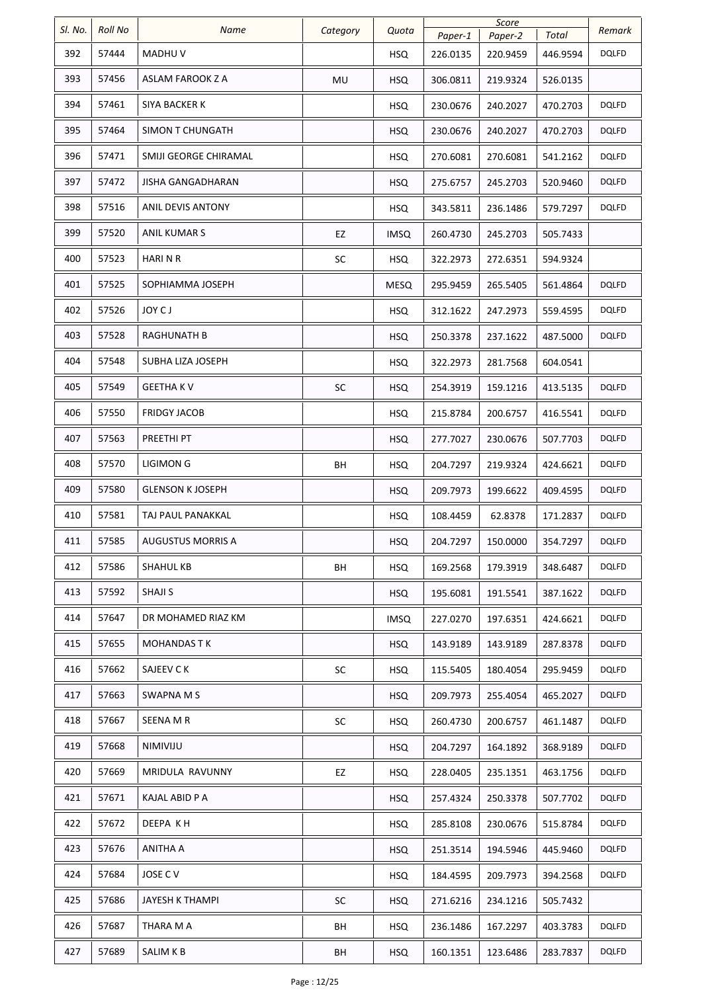| SI. No. | <b>Roll No</b> | Name                    | Category  | Quota       |                     | Score               |                   | Remark       |
|---------|----------------|-------------------------|-----------|-------------|---------------------|---------------------|-------------------|--------------|
| 392     | 57444          | MADHU V                 |           | <b>HSQ</b>  | Paper-1<br>226.0135 | Paper-2<br>220.9459 | Total<br>446.9594 | DQLFD        |
| 393     | 57456          | ASLAM FAROOK Z A        | MU        | HSQ         | 306.0811            | 219.9324            | 526.0135          |              |
| 394     | 57461          | SIYA BACKER K           |           | <b>HSQ</b>  | 230.0676            | 240.2027            | 470.2703          | <b>DQLFD</b> |
| 395     | 57464          | SIMON T CHUNGATH        |           | <b>HSQ</b>  | 230.0676            | 240.2027            | 470.2703          | <b>DQLFD</b> |
| 396     | 57471          | SMIJI GEORGE CHIRAMAL   |           | <b>HSQ</b>  | 270.6081            | 270.6081            | 541.2162          | <b>DQLFD</b> |
| 397     | 57472          | JISHA GANGADHARAN       |           | <b>HSQ</b>  | 275.6757            | 245.2703            | 520.9460          | <b>DQLFD</b> |
| 398     | 57516          | ANIL DEVIS ANTONY       |           | <b>HSQ</b>  | 343.5811            | 236.1486            | 579.7297          | DQLFD        |
| 399     | 57520          | ANIL KUMAR S            | EZ        | <b>IMSQ</b> | 260.4730            | 245.2703            | 505.7433          |              |
| 400     | 57523          | <b>HARINR</b>           | SC        | <b>HSQ</b>  | 322.2973            | 272.6351            | 594.9324          |              |
| 401     | 57525          | SOPHIAMMA JOSEPH        |           | <b>MESQ</b> | 295.9459            | 265.5405            | 561.4864          | <b>DQLFD</b> |
| 402     | 57526          | JOY CJ                  |           | <b>HSQ</b>  | 312.1622            | 247.2973            | 559.4595          | DQLFD        |
| 403     | 57528          | RAGHUNATH B             |           | <b>HSQ</b>  | 250.3378            | 237.1622            | 487.5000          | <b>DQLFD</b> |
| 404     | 57548          | SUBHA LIZA JOSEPH       |           | <b>HSQ</b>  | 322.2973            | 281.7568            | 604.0541          |              |
| 405     | 57549          | <b>GEETHAKV</b>         | <b>SC</b> | <b>HSQ</b>  | 254.3919            | 159.1216            | 413.5135          | <b>DQLFD</b> |
| 406     | 57550          | <b>FRIDGY JACOB</b>     |           | <b>HSQ</b>  | 215.8784            | 200.6757            | 416.5541          | <b>DQLFD</b> |
| 407     | 57563          | PREETHI PT              |           | <b>HSQ</b>  | 277.7027            | 230.0676            | 507.7703          | <b>DQLFD</b> |
| 408     | 57570          | <b>LIGIMON G</b>        | BH        | <b>HSQ</b>  | 204.7297            | 219.9324            | 424.6621          | DQLFD        |
| 409     | 57580          | <b>GLENSON K JOSEPH</b> |           | <b>HSQ</b>  | 209.7973            | 199.6622            | 409.4595          | <b>DQLFD</b> |
| 410     | 57581          | TAJ PAUL PANAKKAL       |           | <b>HSQ</b>  | 108.4459            | 62.8378             | 171.2837          | <b>DQLFD</b> |
| 411     | 57585          | AUGUSTUS MORRIS A       |           | <b>HSQ</b>  | 204.7297            | 150.0000            | 354.7297          | <b>DQLFD</b> |
| 412     | 57586          | SHAHUL KB               | BH        | <b>HSQ</b>  | 169.2568            | 179.3919            | 348.6487          | <b>DQLFD</b> |
| 413     | 57592          | <b>SHAJI S</b>          |           | <b>HSQ</b>  | 195.6081            | 191.5541            | 387.1622          | <b>DQLFD</b> |
| 414     | 57647          | DR MOHAMED RIAZ KM      |           | <b>IMSQ</b> | 227.0270            | 197.6351            | 424.6621          | <b>DQLFD</b> |
| 415     | 57655          | MOHANDAS T K            |           | <b>HSQ</b>  | 143.9189            | 143.9189            | 287.8378          | <b>DQLFD</b> |
| 416     | 57662          | SAJEEV C K              | SC        | <b>HSQ</b>  | 115.5405            | 180.4054            | 295.9459          | DQLFD        |
| 417     | 57663          | SWAPNA M S              |           | <b>HSQ</b>  | 209.7973            | 255.4054            | 465.2027          | <b>DQLFD</b> |
| 418     | 57667          | SEENA M R               | SC        | <b>HSQ</b>  | 260.4730            | 200.6757            | 461.1487          | <b>DQLFD</b> |
| 419     | 57668          | NIMIVIJU                |           | <b>HSQ</b>  | 204.7297            | 164.1892            | 368.9189          | <b>DQLFD</b> |
| 420     | 57669          | MRIDULA RAVUNNY         | EZ        | <b>HSQ</b>  | 228.0405            | 235.1351            | 463.1756          | DQLFD        |
| 421     | 57671          | KAJAL ABID P A          |           | <b>HSQ</b>  | 257.4324            | 250.3378            | 507.7702          | <b>DQLFD</b> |
| 422     | 57672          | DEEPA KH                |           | <b>HSQ</b>  | 285.8108            | 230.0676            | 515.8784          | <b>DQLFD</b> |
| 423     | 57676          | <b>ANITHA A</b>         |           | <b>HSQ</b>  | 251.3514            | 194.5946            | 445.9460          | <b>DQLFD</b> |
| 424     | 57684          | JOSE C V                |           | <b>HSQ</b>  | 184.4595            | 209.7973            | 394.2568          | <b>DQLFD</b> |
| 425     | 57686          | JAYESH K THAMPI         | SC        | <b>HSQ</b>  | 271.6216            | 234.1216            | 505.7432          |              |
| 426     | 57687          | THARA M A               | ВH        | <b>HSQ</b>  | 236.1486            | 167.2297            | 403.3783          | <b>DQLFD</b> |
| 427     | 57689          | SALIM K B               | BH        | <b>HSQ</b>  | 160.1351            | 123.6486            | 283.7837          | <b>DQLFD</b> |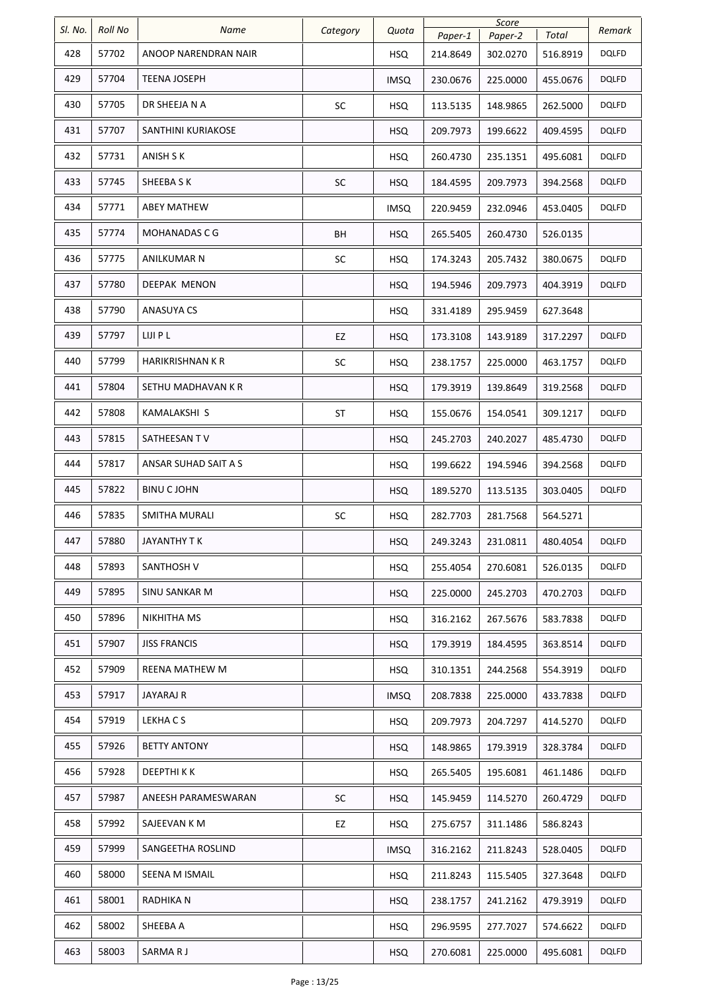|         |                |                         |           |             |          | Score    |          |              |
|---------|----------------|-------------------------|-----------|-------------|----------|----------|----------|--------------|
| SI. No. | <b>Roll No</b> | Name                    | Category  | Quota       | Paper-1  | Paper-2  | Total    | Remark       |
| 428     | 57702          | ANOOP NARENDRAN NAIR    |           | <b>HSQ</b>  | 214.8649 | 302.0270 | 516.8919 | <b>DQLFD</b> |
| 429     | 57704          | <b>TEENA JOSEPH</b>     |           | <b>IMSQ</b> | 230.0676 | 225.0000 | 455.0676 | <b>DQLFD</b> |
| 430     | 57705          | DR SHEEJA N A           | SC        | <b>HSQ</b>  | 113.5135 | 148.9865 | 262.5000 | <b>DQLFD</b> |
| 431     | 57707          | SANTHINI KURIAKOSE      |           | <b>HSQ</b>  | 209.7973 | 199.6622 | 409.4595 | <b>DQLFD</b> |
| 432     | 57731          | ANISH S K               |           | <b>HSQ</b>  | 260.4730 | 235.1351 | 495.6081 | <b>DQLFD</b> |
| 433     | 57745          | SHEEBA S K              | SC        | <b>HSQ</b>  | 184.4595 | 209.7973 | 394.2568 | <b>DQLFD</b> |
| 434     | 57771          | <b>ABEY MATHEW</b>      |           | IMSQ        | 220.9459 | 232.0946 | 453.0405 | DQLFD        |
| 435     | 57774          | MOHANADAS C G           | BH        | <b>HSQ</b>  | 265.5405 | 260.4730 | 526.0135 |              |
| 436     | 57775          | ANILKUMAR N             | <b>SC</b> | <b>HSQ</b>  | 174.3243 | 205.7432 | 380.0675 | <b>DQLFD</b> |
| 437     | 57780          | <b>DEEPAK MENON</b>     |           | <b>HSQ</b>  | 194.5946 | 209.7973 | 404.3919 | <b>DQLFD</b> |
| 438     | 57790          | <b>ANASUYA CS</b>       |           | <b>HSQ</b>  | 331.4189 | 295.9459 | 627.3648 |              |
| 439     | 57797          | LIJI P L                | EZ        | <b>HSQ</b>  | 173.3108 | 143.9189 | 317.2297 | <b>DQLFD</b> |
| 440     | 57799          | <b>HARIKRISHNAN K R</b> | SC        | <b>HSQ</b>  | 238.1757 | 225.0000 | 463.1757 | <b>DQLFD</b> |
| 441     | 57804          | SETHU MADHAVAN K R      |           | <b>HSQ</b>  | 179.3919 | 139.8649 | 319.2568 | <b>DQLFD</b> |
| 442     | 57808          | KAMALAKSHI S            | <b>ST</b> | <b>HSQ</b>  | 155.0676 | 154.0541 | 309.1217 | <b>DQLFD</b> |
| 443     | 57815          | SATHEESAN TV            |           | <b>HSQ</b>  | 245.2703 | 240.2027 | 485.4730 | <b>DQLFD</b> |
| 444     | 57817          | ANSAR SUHAD SAIT A S    |           | <b>HSQ</b>  | 199.6622 | 194.5946 | 394.2568 | <b>DQLFD</b> |
| 445     | 57822          | <b>BINU CJOHN</b>       |           | <b>HSQ</b>  | 189.5270 | 113.5135 | 303.0405 | <b>DQLFD</b> |
| 446     | 57835          | <b>SMITHA MURALI</b>    | SC        | <b>HSQ</b>  | 282.7703 | 281.7568 | 564.5271 |              |
| 447     | 57880          | JAYANTHY T K            |           | <b>HSQ</b>  | 249.3243 | 231.0811 | 480.4054 | <b>DQLFD</b> |
| 448     | 57893          | SANTHOSH V              |           | <b>HSQ</b>  | 255.4054 | 270.6081 | 526.0135 | <b>DQLFD</b> |
| 449     | 57895          | SINU SANKAR M           |           | <b>HSQ</b>  | 225.0000 | 245.2703 | 470.2703 | <b>DQLFD</b> |
| 450     | 57896          | NIKHITHA MS             |           | <b>HSQ</b>  | 316.2162 | 267.5676 | 583.7838 | <b>DQLFD</b> |
| 451     | 57907          | <b>JISS FRANCIS</b>     |           | <b>HSQ</b>  | 179.3919 | 184.4595 | 363.8514 | <b>DQLFD</b> |
| 452     | 57909          | REENA MATHEW M          |           | <b>HSQ</b>  | 310.1351 | 244.2568 | 554.3919 | <b>DQLFD</b> |
| 453     | 57917          | <b>JAYARAJ R</b>        |           | <b>IMSQ</b> | 208.7838 | 225.0000 | 433.7838 | <b>DQLFD</b> |
| 454     | 57919          | LEKHACS                 |           | <b>HSQ</b>  | 209.7973 | 204.7297 | 414.5270 | <b>DQLFD</b> |
| 455     | 57926          | <b>BETTY ANTONY</b>     |           | <b>HSQ</b>  | 148.9865 | 179.3919 | 328.3784 | <b>DQLFD</b> |
| 456     | 57928          | DEEPTHI K K             |           | <b>HSQ</b>  | 265.5405 | 195.6081 | 461.1486 | <b>DQLFD</b> |
| 457     | 57987          | ANEESH PARAMESWARAN     | SC        | <b>HSQ</b>  | 145.9459 | 114.5270 | 260.4729 | <b>DQLFD</b> |
| 458     | 57992          | SAJEEVAN K M            | EZ        | HSQ         | 275.6757 | 311.1486 | 586.8243 |              |
| 459     | 57999          | SANGEETHA ROSLIND       |           | <b>IMSQ</b> | 316.2162 | 211.8243 | 528.0405 | <b>DQLFD</b> |
| 460     | 58000          | SEENA M ISMAIL          |           | <b>HSQ</b>  | 211.8243 | 115.5405 | 327.3648 | <b>DQLFD</b> |
| 461     | 58001          | RADHIKA N               |           | <b>HSQ</b>  | 238.1757 | 241.2162 | 479.3919 | <b>DQLFD</b> |
| 462     | 58002          | SHEEBA A                |           | <b>HSQ</b>  | 296.9595 | 277.7027 | 574.6622 | <b>DQLFD</b> |
| 463     | 58003          | SARMARJ                 |           | <b>HSQ</b>  | 270.6081 | 225.0000 | 495.6081 | <b>DQLFD</b> |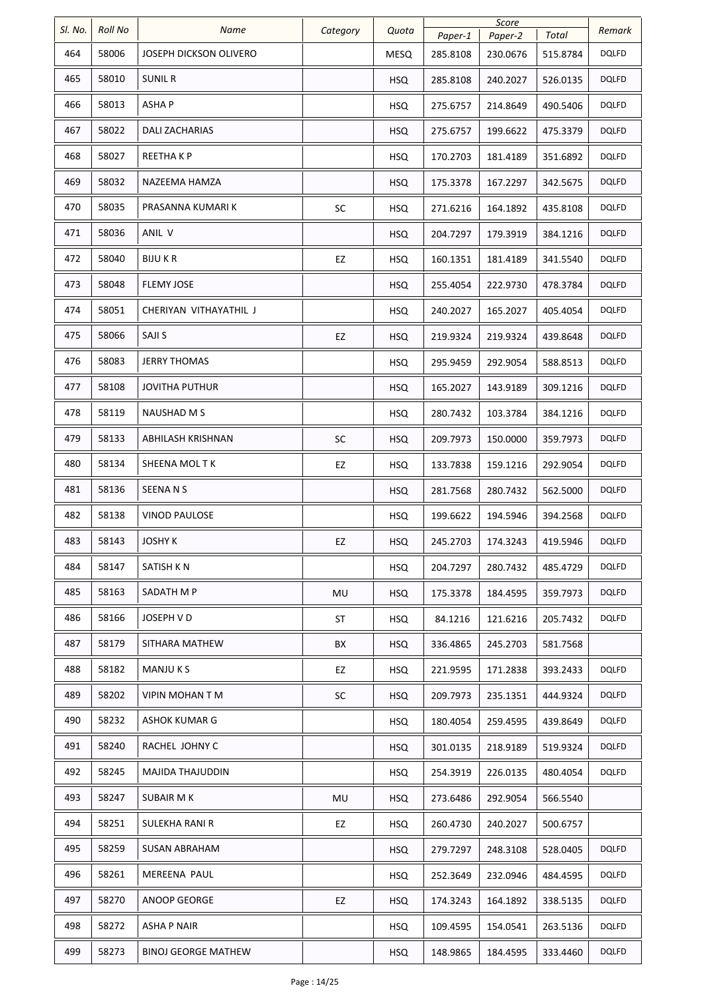| SI. No. | Roll No | Name                          | Category | Quota      | Paper-1  | Score<br>Paper-2 | Total    | Remark       |
|---------|---------|-------------------------------|----------|------------|----------|------------------|----------|--------------|
| 464     | 58006   | <b>JOSEPH DICKSON OLIVERO</b> |          | MESQ       | 285.8108 | 230.0676         | 515.8784 | <b>DQLFD</b> |
| 465     | 58010   | SUNIL R                       |          | <b>HSQ</b> | 285.8108 | 240.2027         | 526.0135 | <b>DQLFD</b> |
| 466     | 58013   | ASHA P                        |          | <b>HSQ</b> | 275.6757 | 214.8649         | 490.5406 | <b>DQLFD</b> |
| 467     | 58022   | <b>DALI ZACHARIAS</b>         |          | <b>HSQ</b> | 275.6757 | 199.6622         | 475.3379 | <b>DQLFD</b> |
| 468     | 58027   | REETHA K P                    |          | <b>HSQ</b> | 170.2703 | 181.4189         | 351.6892 | <b>DQLFD</b> |
| 469     | 58032   | NAZEEMA HAMZA                 |          | <b>HSQ</b> | 175.3378 | 167.2297         | 342.5675 | <b>DQLFD</b> |
| 470     | 58035   | PRASANNA KUMARI K             | SC       | <b>HSQ</b> | 271.6216 | 164.1892         | 435.8108 | <b>DQLFD</b> |
| 471     | 58036   | ANIL V                        |          | <b>HSQ</b> | 204.7297 | 179.3919         | 384.1216 | <b>DQLFD</b> |
| 472     | 58040   | BIJU K R                      | EZ       | <b>HSQ</b> | 160.1351 | 181.4189         | 341.5540 | DQLFD        |
| 473     | 58048   | <b>FLEMY JOSE</b>             |          | <b>HSQ</b> | 255.4054 | 222.9730         | 478.3784 | <b>DQLFD</b> |
| 474     | 58051   | CHERIYAN VITHAYATHIL J        |          | HSQ        | 240.2027 | 165.2027         | 405.4054 | DQLFD        |
| 475     | 58066   | SAJI S                        | EZ       | <b>HSQ</b> | 219.9324 | 219.9324         | 439.8648 | <b>DQLFD</b> |
| 476     | 58083   | <b>JERRY THOMAS</b>           |          | <b>HSQ</b> | 295.9459 | 292.9054         | 588.8513 | <b>DQLFD</b> |
| 477     | 58108   | <b>JOVITHA PUTHUR</b>         |          | <b>HSQ</b> | 165.2027 | 143.9189         | 309.1216 | <b>DQLFD</b> |
| 478     | 58119   | NAUSHAD M S                   |          | <b>HSQ</b> | 280.7432 | 103.3784         | 384.1216 | <b>DQLFD</b> |
| 479     | 58133   | ABHILASH KRISHNAN             | SC       | <b>HSQ</b> | 209.7973 | 150.0000         | 359.7973 | <b>DQLFD</b> |
| 480     | 58134   | SHEENA MOL TK                 | EZ       | <b>HSQ</b> | 133.7838 | 159.1216         | 292.9054 | <b>DQLFD</b> |
| 481     | 58136   | SEENA N S                     |          | <b>HSQ</b> | 281.7568 | 280.7432         | 562.5000 | <b>DQLFD</b> |
| 482     | 58138   | <b>VINOD PAULOSE</b>          |          | <b>HSQ</b> | 199.6622 | 194.5946         | 394.2568 | <b>DQLFD</b> |
| 483     | 58143   | <b>JOSHY K</b>                | EZ       | <b>HSQ</b> | 245.2703 | 174.3243         | 419.5946 | <b>DQLFD</b> |
| 484     | 58147   | SATISH KN                     |          | <b>HSQ</b> | 204.7297 | 280.7432         | 485.4729 | <b>DQLFD</b> |
| 485     | 58163   | SADATH M P                    | MU       | <b>HSQ</b> | 175.3378 | 184.4595         | 359.7973 | <b>DQLFD</b> |
| 486     | 58166   | JOSEPH V D                    | ST       | <b>HSQ</b> | 84.1216  | 121.6216         | 205.7432 | <b>DQLFD</b> |
| 487     | 58179   | SITHARA MATHEW                | BX       | <b>HSQ</b> | 336.4865 | 245.2703         | 581.7568 |              |
| 488     | 58182   | MANJU K S                     | EZ       | HSQ        | 221.9595 | 171.2838         | 393.2433 | <b>DQLFD</b> |
| 489     | 58202   | VIPIN MOHAN T M               | SC       | <b>HSQ</b> | 209.7973 | 235.1351         | 444.9324 | <b>DQLFD</b> |
| 490     | 58232   | <b>ASHOK KUMAR G</b>          |          | <b>HSQ</b> | 180.4054 | 259.4595         | 439.8649 | <b>DQLFD</b> |
| 491     | 58240   | RACHEL JOHNY C                |          | <b>HSQ</b> | 301.0135 | 218.9189         | 519.9324 | <b>DQLFD</b> |
| 492     | 58245   | MAJIDA THAJUDDIN              |          | <b>HSQ</b> | 254.3919 | 226.0135         | 480.4054 | <b>DQLFD</b> |
| 493     | 58247   | SUBAIR M K                    | MU       | <b>HSQ</b> | 273.6486 | 292.9054         | 566.5540 |              |
| 494     | 58251   | SULEKHA RANI R                | EZ       | <b>HSQ</b> | 260.4730 | 240.2027         | 500.6757 |              |
| 495     | 58259   | SUSAN ABRAHAM                 |          | <b>HSQ</b> | 279.7297 | 248.3108         | 528.0405 | <b>DQLFD</b> |
| 496     | 58261   | MEREENA PAUL                  |          | <b>HSQ</b> | 252.3649 | 232.0946         | 484.4595 | <b>DQLFD</b> |
| 497     | 58270   | ANOOP GEORGE                  | EZ       | <b>HSQ</b> | 174.3243 | 164.1892         | 338.5135 | <b>DQLFD</b> |
| 498     | 58272   | <b>ASHA P NAIR</b>            |          | <b>HSQ</b> | 109.4595 | 154.0541         | 263.5136 | <b>DQLFD</b> |
| 499     | 58273   | <b>BINOJ GEORGE MATHEW</b>    |          | <b>HSQ</b> | 148.9865 | 184.4595         | 333.4460 | <b>DQLFD</b> |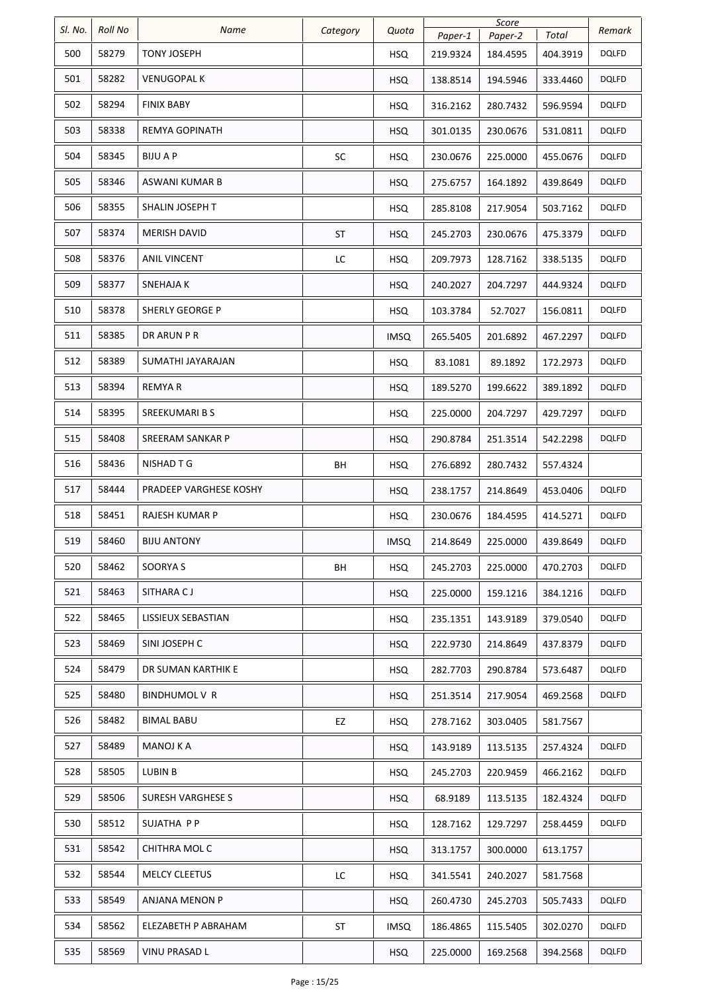| SI. No. | Roll No | Name                   | Category | Quota       | Paper-1  | Score<br>Paper-2 | Total    | Remark       |
|---------|---------|------------------------|----------|-------------|----------|------------------|----------|--------------|
| 500     | 58279   | <b>TONY JOSEPH</b>     |          | <b>HSQ</b>  | 219.9324 | 184.4595         | 404.3919 | <b>DQLFD</b> |
| 501     | 58282   | <b>VENUGOPAL K</b>     |          | <b>HSQ</b>  | 138.8514 | 194.5946         | 333.4460 | <b>DQLFD</b> |
| 502     | 58294   | <b>FINIX BABY</b>      |          | <b>HSQ</b>  | 316.2162 | 280.7432         | 596.9594 | <b>DQLFD</b> |
| 503     | 58338   | REMYA GOPINATH         |          | <b>HSQ</b>  | 301.0135 | 230.0676         | 531.0811 | <b>DQLFD</b> |
| 504     | 58345   | <b>BIJUAP</b>          | SC       | <b>HSQ</b>  | 230.0676 | 225.0000         | 455.0676 | <b>DQLFD</b> |
| 505     | 58346   | ASWANI KUMAR B         |          | <b>HSQ</b>  | 275.6757 | 164.1892         | 439.8649 | <b>DQLFD</b> |
| 506     | 58355   | SHALIN JOSEPH T        |          | <b>HSQ</b>  | 285.8108 | 217.9054         | 503.7162 | <b>DQLFD</b> |
| 507     | 58374   | <b>MERISH DAVID</b>    | ST       | <b>HSQ</b>  | 245.2703 | 230.0676         | 475.3379 | <b>DQLFD</b> |
| 508     | 58376   | ANIL VINCENT           | LC       | <b>HSQ</b>  | 209.7973 | 128.7162         | 338.5135 | <b>DQLFD</b> |
| 509     | 58377   | SNEHAJA K              |          | <b>HSQ</b>  | 240.2027 | 204.7297         | 444.9324 | <b>DQLFD</b> |
| 510     | 58378   | SHERLY GEORGE P        |          | <b>HSQ</b>  | 103.3784 | 52.7027          | 156.0811 | <b>DQLFD</b> |
| 511     | 58385   | DR ARUN P R            |          | <b>IMSQ</b> | 265.5405 | 201.6892         | 467.2297 | <b>DQLFD</b> |
| 512     | 58389   | SUMATHI JAYARAJAN      |          | <b>HSQ</b>  | 83.1081  | 89.1892          | 172.2973 | <b>DQLFD</b> |
| 513     | 58394   | REMYA R                |          | <b>HSQ</b>  | 189.5270 | 199.6622         | 389.1892 | <b>DQLFD</b> |
| 514     | 58395   | <b>SREEKUMARI B S</b>  |          | <b>HSQ</b>  | 225.0000 | 204.7297         | 429.7297 | <b>DQLFD</b> |
| 515     | 58408   | SREERAM SANKAR P       |          | <b>HSQ</b>  | 290.8784 | 251.3514         | 542.2298 | <b>DQLFD</b> |
| 516     | 58436   | NISHAD T G             | BH       | <b>HSQ</b>  | 276.6892 | 280.7432         | 557.4324 |              |
| 517     | 58444   | PRADEEP VARGHESE KOSHY |          | <b>HSQ</b>  | 238.1757 | 214.8649         | 453.0406 | <b>DQLFD</b> |
| 518     | 58451   | RAJESH KUMAR P         |          | HSQ         | 230.0676 | 184.4595         | 414.5271 | <b>DQLFD</b> |
| 519     | 58460   | <b>BIJU ANTONY</b>     |          | <b>IMSQ</b> | 214.8649 | 225.0000         | 439.8649 | <b>DQLFD</b> |
| 520     | 58462   | SOORYA S               | BH       | <b>HSQ</b>  | 245.2703 | 225.0000         | 470.2703 | <b>DQLFD</b> |
| 521     | 58463   | SITHARA CJ             |          | <b>HSQ</b>  | 225.0000 | 159.1216         | 384.1216 | <b>DQLFD</b> |
| 522     | 58465   | LISSIEUX SEBASTIAN     |          | <b>HSQ</b>  | 235.1351 | 143.9189         | 379.0540 | <b>DQLFD</b> |
| 523     | 58469   | SINI JOSEPH C          |          | <b>HSQ</b>  | 222.9730 | 214.8649         | 437.8379 | <b>DQLFD</b> |
| 524     | 58479   | DR SUMAN KARTHIK E     |          | <b>HSQ</b>  | 282.7703 | 290.8784         | 573.6487 | <b>DQLFD</b> |
| 525     | 58480   | BINDHUMOL V R          |          | <b>HSQ</b>  | 251.3514 | 217.9054         | 469.2568 | <b>DQLFD</b> |
| 526     | 58482   | BIMAL BABU             | EZ       | <b>HSQ</b>  | 278.7162 | 303.0405         | 581.7567 |              |
| 527     | 58489   | MANOJ K A              |          | <b>HSQ</b>  | 143.9189 | 113.5135         | 257.4324 | <b>DQLFD</b> |
| 528     | 58505   | LUBIN B                |          | <b>HSQ</b>  | 245.2703 | 220.9459         | 466.2162 | <b>DQLFD</b> |
| 529     | 58506   | SURESH VARGHESE S      |          | <b>HSQ</b>  | 68.9189  | 113.5135         | 182.4324 | <b>DQLFD</b> |
| 530     | 58512   | SUJATHA P P            |          | <b>HSQ</b>  | 128.7162 | 129.7297         | 258.4459 | DQLFD        |
| 531     | 58542   | CHITHRA MOL C          |          | HSQ         | 313.1757 | 300.0000         | 613.1757 |              |
| 532     | 58544   | <b>MELCY CLEETUS</b>   | LC       | <b>HSQ</b>  | 341.5541 | 240.2027         | 581.7568 |              |
| 533     | 58549   | ANJANA MENON P         |          | <b>HSQ</b>  | 260.4730 | 245.2703         | 505.7433 | <b>DQLFD</b> |
| 534     | 58562   | ELEZABETH P ABRAHAM    | ST       | <b>IMSQ</b> | 186.4865 | 115.5405         | 302.0270 | <b>DQLFD</b> |
| 535     | 58569   | VINU PRASAD L          |          | <b>HSQ</b>  | 225.0000 | 169.2568         | 394.2568 | <b>DQLFD</b> |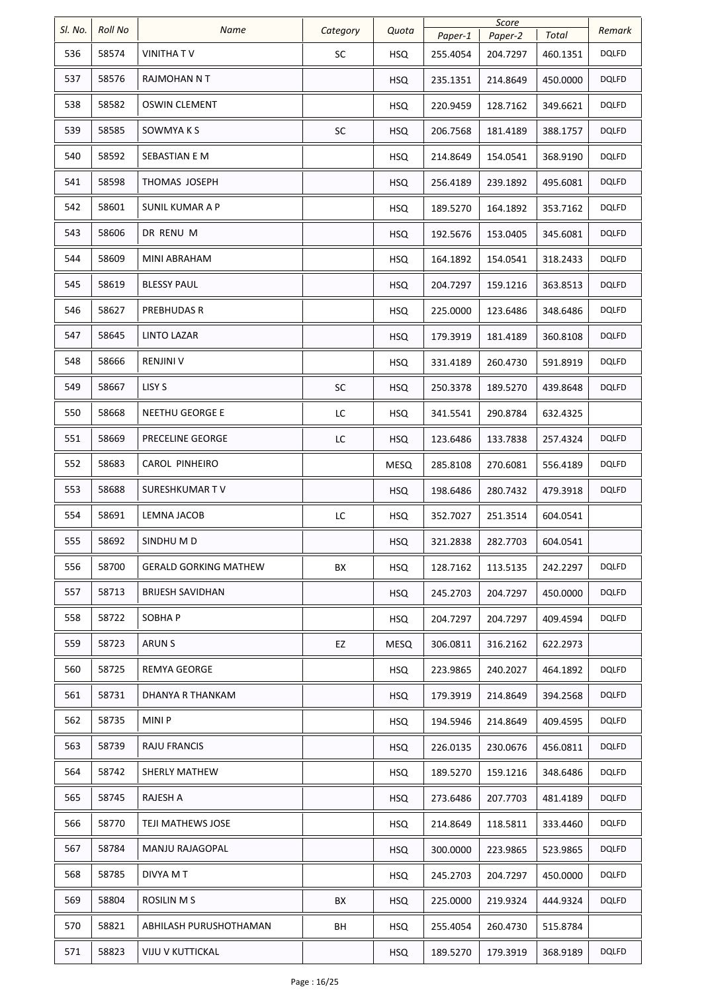| SI. No. | <b>Roll No</b> | Name                         | Category  | Quota       |          | Score    |          | Remark       |
|---------|----------------|------------------------------|-----------|-------------|----------|----------|----------|--------------|
|         |                |                              |           |             | Paper-1  | Paper-2  | Total    |              |
| 536     | 58574          | VINITHA T V                  | <b>SC</b> | <b>HSQ</b>  | 255.4054 | 204.7297 | 460.1351 | DQLFD        |
| 537     | 58576          | RAJMOHAN N T                 |           | <b>HSQ</b>  | 235.1351 | 214.8649 | 450.0000 | <b>DQLFD</b> |
| 538     | 58582          | <b>OSWIN CLEMENT</b>         |           | <b>HSQ</b>  | 220.9459 | 128.7162 | 349.6621 | DQLFD        |
| 539     | 58585          | SOWMYA K S                   | SC        | <b>HSQ</b>  | 206.7568 | 181.4189 | 388.1757 | <b>DQLFD</b> |
| 540     | 58592          | SEBASTIAN E M                |           | <b>HSQ</b>  | 214.8649 | 154.0541 | 368.9190 | <b>DQLFD</b> |
| 541     | 58598          | THOMAS JOSEPH                |           | <b>HSQ</b>  | 256.4189 | 239.1892 | 495.6081 | <b>DQLFD</b> |
| 542     | 58601          | SUNIL KUMAR A P              |           | <b>HSQ</b>  | 189.5270 | 164.1892 | 353.7162 | DQLFD        |
| 543     | 58606          | DR RENU M                    |           | <b>HSQ</b>  | 192.5676 | 153.0405 | 345.6081 | <b>DQLFD</b> |
| 544     | 58609          | MINI ABRAHAM                 |           | <b>HSQ</b>  | 164.1892 | 154.0541 | 318.2433 | <b>DQLFD</b> |
| 545     | 58619          | <b>BLESSY PAUL</b>           |           | <b>HSQ</b>  | 204.7297 | 159.1216 | 363.8513 | <b>DQLFD</b> |
| 546     | 58627          | PREBHUDAS R                  |           | <b>HSQ</b>  | 225.0000 | 123.6486 | 348.6486 | DQLFD        |
| 547     | 58645          | LINTO LAZAR                  |           | <b>HSQ</b>  | 179.3919 | 181.4189 | 360.8108 | <b>DQLFD</b> |
| 548     | 58666          | <b>RENJINI V</b>             |           | <b>HSQ</b>  | 331.4189 | 260.4730 | 591.8919 | DQLFD        |
| 549     | 58667          | LISY S                       | <b>SC</b> | <b>HSQ</b>  | 250.3378 | 189.5270 | 439.8648 | <b>DQLFD</b> |
| 550     | 58668          | NEETHU GEORGE E              | LC        | <b>HSQ</b>  | 341.5541 | 290.8784 | 632.4325 |              |
| 551     | 58669          | PRECELINE GEORGE             | LC        | <b>HSQ</b>  | 123.6486 | 133.7838 | 257.4324 | <b>DQLFD</b> |
| 552     | 58683          | CAROL PINHEIRO               |           | <b>MESQ</b> | 285.8108 | 270.6081 | 556.4189 | DQLFD        |
| 553     | 58688          | SURESHKUMAR TV               |           | <b>HSQ</b>  | 198.6486 | 280.7432 | 479.3918 | <b>DQLFD</b> |
| 554     | 58691          | LEMNA JACOB                  | LC        | <b>HSQ</b>  | 352.7027 | 251.3514 | 604.0541 |              |
| 555     | 58692          | SINDHU M D                   |           | <b>HSQ</b>  | 321.2838 | 282.7703 | 604.0541 |              |
| 556     | 58700          | <b>GERALD GORKING MATHEW</b> | BX        | <b>HSQ</b>  | 128.7162 | 113.5135 | 242.2297 | DQLFD        |
| 557     | 58713          | <b>BRIJESH SAVIDHAN</b>      |           | <b>HSQ</b>  | 245.2703 | 204.7297 | 450.0000 | <b>DQLFD</b> |
| 558     | 58722          | SOBHA P                      |           | <b>HSQ</b>  | 204.7297 | 204.7297 | 409.4594 | <b>DQLFD</b> |
| 559     | 58723          | ARUN S                       | EZ        | <b>MESQ</b> | 306.0811 | 316.2162 | 622.2973 |              |
| 560     | 58725          | REMYA GEORGE                 |           | <b>HSQ</b>  | 223.9865 | 240.2027 | 464.1892 | <b>DQLFD</b> |
| 561     | 58731          | DHANYA R THANKAM             |           | <b>HSQ</b>  | 179.3919 | 214.8649 | 394.2568 | <b>DQLFD</b> |
| 562     | 58735          | MINI P                       |           | <b>HSQ</b>  | 194.5946 | 214.8649 | 409.4595 | DQLFD        |
| 563     | 58739          | RAJU FRANCIS                 |           | <b>HSQ</b>  | 226.0135 | 230.0676 | 456.0811 | <b>DQLFD</b> |
| 564     | 58742          | <b>SHERLY MATHEW</b>         |           | <b>HSQ</b>  | 189.5270 | 159.1216 | 348.6486 | <b>DQLFD</b> |
| 565     | 58745          | RAJESH A                     |           | <b>HSQ</b>  | 273.6486 | 207.7703 | 481.4189 | DQLFD        |
| 566     | 58770          | TEJI MATHEWS JOSE            |           | <b>HSQ</b>  | 214.8649 | 118.5811 | 333.4460 | DQLFD        |
| 567     | 58784          | MANJU RAJAGOPAL              |           | <b>HSQ</b>  | 300.0000 | 223.9865 | 523.9865 | DQLFD        |
| 568     | 58785          | DIVYA M T                    |           | <b>HSQ</b>  | 245.2703 | 204.7297 | 450.0000 | <b>DQLFD</b> |
| 569     | 58804          | ROSILIN M S                  | BX        | <b>HSQ</b>  | 225.0000 | 219.9324 | 444.9324 | DQLFD        |
| 570     | 58821          | ABHILASH PURUSHOTHAMAN       | BH        | <b>HSQ</b>  | 255.4054 | 260.4730 | 515.8784 |              |
| 571     | 58823          | VIJU V KUTTICKAL             |           | <b>HSQ</b>  | 189.5270 | 179.3919 | 368.9189 | <b>DQLFD</b> |
|         |                |                              |           |             |          |          |          |              |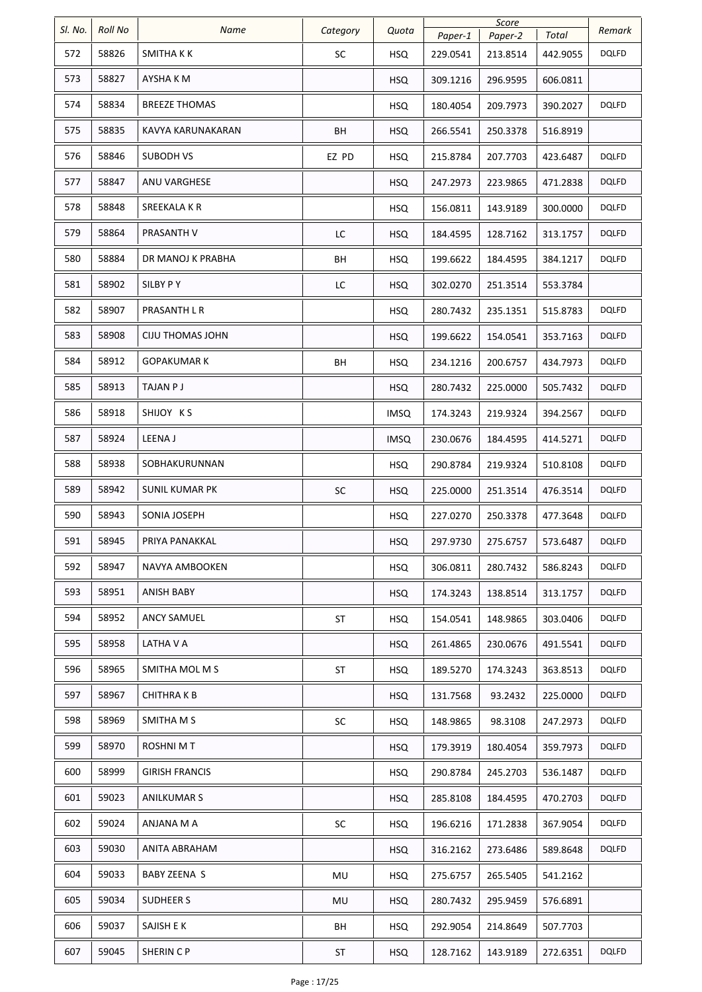| SI. No. | <b>Roll No</b> | Name                    |            |             | Score    |          |          |              |
|---------|----------------|-------------------------|------------|-------------|----------|----------|----------|--------------|
|         |                |                         | Category   | Quota       | Paper-1  | Paper-2  | Total    | Remark       |
| 572     | 58826          | SMITHA K K              | SC         | <b>HSQ</b>  | 229.0541 | 213.8514 | 442.9055 | <b>DQLFD</b> |
| 573     | 58827          | AYSHA K M               |            | <b>HSQ</b>  | 309.1216 | 296.9595 | 606.0811 |              |
| 574     | 58834          | <b>BREEZE THOMAS</b>    |            | <b>HSQ</b>  | 180.4054 | 209.7973 | 390.2027 | <b>DQLFD</b> |
| 575     | 58835          | KAVYA KARUNAKARAN       | ВH         | <b>HSQ</b>  | 266.5541 | 250.3378 | 516.8919 |              |
| 576     | 58846          | SUBODH VS               | EZ PD      | <b>HSQ</b>  | 215.8784 | 207.7703 | 423.6487 | <b>DQLFD</b> |
| 577     | 58847          | ANU VARGHESE            |            | <b>HSQ</b>  | 247.2973 | 223.9865 | 471.2838 | <b>DQLFD</b> |
| 578     | 58848          | SREEKALA K R            |            | HSQ.        | 156.0811 | 143.9189 | 300.0000 | <b>DQLFD</b> |
| 579     | 58864          | PRASANTH V              | LC         | <b>HSQ</b>  | 184.4595 | 128.7162 | 313.1757 | <b>DQLFD</b> |
| 580     | 58884          | DR MANOJ K PRABHA       | ВH         | <b>HSQ</b>  | 199.6622 | 184.4595 | 384.1217 | DQLFD        |
| 581     | 58902          | SILBY PY                | LC         | <b>HSQ</b>  | 302.0270 | 251.3514 | 553.3784 |              |
| 582     | 58907          | PRASANTH L R            |            | <b>HSQ</b>  | 280.7432 | 235.1351 | 515.8783 | <b>DQLFD</b> |
| 583     | 58908          | <b>CIJU THOMAS JOHN</b> |            | <b>HSQ</b>  | 199.6622 | 154.0541 | 353.7163 | <b>DQLFD</b> |
| 584     | 58912          | GOPAKUMAR K             | BH         | <b>HSQ</b>  | 234.1216 | 200.6757 | 434.7973 | <b>DQLFD</b> |
| 585     | 58913          | TAJAN P J               |            | <b>HSQ</b>  | 280.7432 | 225.0000 | 505.7432 | <b>DQLFD</b> |
| 586     | 58918          | SHIJOY KS               |            | <b>IMSQ</b> | 174.3243 | 219.9324 | 394.2567 | <b>DQLFD</b> |
| 587     | 58924          | LEENA J                 |            | <b>IMSQ</b> | 230.0676 | 184.4595 | 414.5271 | <b>DQLFD</b> |
| 588     | 58938          | SOBHAKURUNNAN           |            | <b>HSQ</b>  | 290.8784 | 219.9324 | 510.8108 | DQLFD        |
| 589     | 58942          | <b>SUNIL KUMAR PK</b>   | ${\sf SC}$ | <b>HSQ</b>  | 225.0000 | 251.3514 | 476.3514 | <b>DQLFD</b> |
| 590     | 58943          | SONIA JOSEPH            |            | <b>HSQ</b>  | 227.0270 | 250.3378 | 477.3648 | DQLFD        |
| 591     | 58945          | PRIYA PANAKKAL          |            | <b>HSQ</b>  | 297.9730 | 275.6757 | 573.6487 | <b>DQLFD</b> |
| 592     | 58947          | NAVYA AMBOOKEN          |            | <b>HSQ</b>  | 306.0811 | 280.7432 | 586.8243 | <b>DQLFD</b> |
| 593     | 58951          | ANISH BABY              |            | <b>HSQ</b>  | 174.3243 | 138.8514 | 313.1757 | <b>DQLFD</b> |
| 594     | 58952          | ANCY SAMUEL             | <b>ST</b>  | <b>HSQ</b>  | 154.0541 | 148.9865 | 303.0406 | <b>DQLFD</b> |
| 595     | 58958          | LATHA V A               |            | <b>HSQ</b>  | 261.4865 | 230.0676 | 491.5541 | <b>DQLFD</b> |
| 596     | 58965          | SMITHA MOL M S          | ST         | <b>HSQ</b>  | 189.5270 | 174.3243 | 363.8513 | <b>DQLFD</b> |
| 597     | 58967          | <b>CHITHRAKB</b>        |            | HSQ         | 131.7568 | 93.2432  | 225.0000 | <b>DQLFD</b> |
| 598     | 58969          | SMITHA M S              | SC         | <b>HSQ</b>  | 148.9865 | 98.3108  | 247.2973 | <b>DQLFD</b> |
| 599     | 58970          | <b>ROSHNIMT</b>         |            | <b>HSQ</b>  | 179.3919 | 180.4054 | 359.7973 | <b>DQLFD</b> |
| 600     | 58999          | GIRISH FRANCIS          |            | <b>HSQ</b>  | 290.8784 | 245.2703 | 536.1487 | <b>DQLFD</b> |
| 601     | 59023          | <b>ANILKUMAR S</b>      |            | <b>HSQ</b>  | 285.8108 | 184.4595 | 470.2703 | <b>DQLFD</b> |
| 602     | 59024          | ANJANA M A              | SC         | HSQ         | 196.6216 | 171.2838 | 367.9054 | DQLFD        |
| 603     | 59030          | ANITA ABRAHAM           |            | <b>HSQ</b>  | 316.2162 | 273.6486 | 589.8648 | <b>DQLFD</b> |
| 604     | 59033          | BABY ZEENA S            | MU         | <b>HSQ</b>  | 275.6757 | 265.5405 | 541.2162 |              |
| 605     | 59034          | <b>SUDHEER S</b>        | MU         | <b>HSQ</b>  | 280.7432 | 295.9459 | 576.6891 |              |
| 606     | 59037          | SAJISH E K              | BH         | <b>HSQ</b>  | 292.9054 | 214.8649 | 507.7703 |              |
| 607     | 59045          | SHERIN C P              | ST         | <b>HSQ</b>  | 128.7162 | 143.9189 | 272.6351 | <b>DQLFD</b> |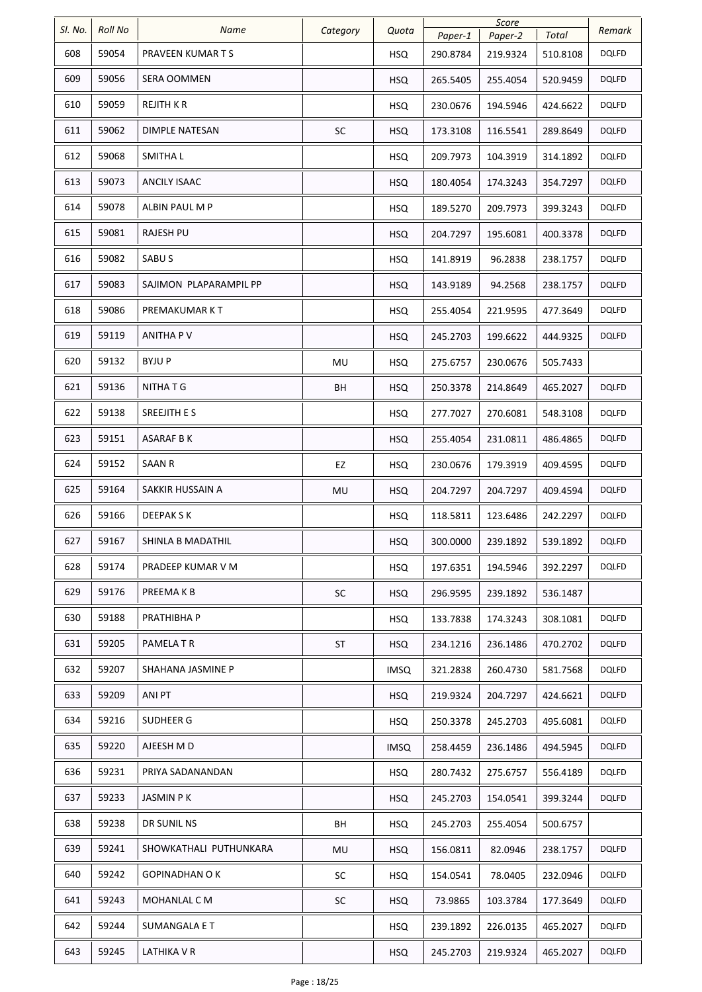| SI. No. | <b>Roll No</b> | <b>Name</b>            | Category  | Quota       | Score    |          | Remark   |              |
|---------|----------------|------------------------|-----------|-------------|----------|----------|----------|--------------|
|         |                |                        |           |             | Paper-1  | Paper-2  | Total    |              |
| 608     | 59054          | PRAVEEN KUMAR T S      |           | <b>HSQ</b>  | 290.8784 | 219.9324 | 510.8108 | <b>DQLFD</b> |
| 609     | 59056          | <b>SERA OOMMEN</b>     |           | <b>HSQ</b>  | 265.5405 | 255.4054 | 520.9459 | <b>DQLFD</b> |
| 610     | 59059          | REJITH K R             |           | <b>HSQ</b>  | 230.0676 | 194.5946 | 424.6622 | DQLFD        |
| 611     | 59062          | DIMPLE NATESAN         | SC        | <b>HSQ</b>  | 173.3108 | 116.5541 | 289.8649 | <b>DQLFD</b> |
| 612     | 59068          | <b>SMITHAL</b>         |           | <b>HSQ</b>  | 209.7973 | 104.3919 | 314.1892 | <b>DQLFD</b> |
| 613     | 59073          | ANCILY ISAAC           |           | <b>HSQ</b>  | 180.4054 | 174.3243 | 354.7297 | <b>DQLFD</b> |
| 614     | 59078          | ALBIN PAUL M P         |           | <b>HSQ</b>  | 189.5270 | 209.7973 | 399.3243 | DQLFD        |
| 615     | 59081          | RAJESH PU              |           | <b>HSQ</b>  | 204.7297 | 195.6081 | 400.3378 | <b>DQLFD</b> |
| 616     | 59082          | SABU S                 |           | <b>HSQ</b>  | 141.8919 | 96.2838  | 238.1757 | <b>DQLFD</b> |
| 617     | 59083          | SAJIMON PLAPARAMPIL PP |           | <b>HSQ</b>  | 143.9189 | 94.2568  | 238.1757 | <b>DQLFD</b> |
| 618     | 59086          | PREMAKUMAR KT          |           | <b>HSQ</b>  | 255.4054 | 221.9595 | 477.3649 | DQLFD        |
| 619     | 59119          | ANITHA P V             |           | <b>HSQ</b>  | 245.2703 | 199.6622 | 444.9325 | <b>DQLFD</b> |
| 620     | 59132          | <b>BYJUP</b>           | MU        | <b>HSQ</b>  | 275.6757 | 230.0676 | 505.7433 |              |
| 621     | 59136          | NITHA T G              | BH        | <b>HSQ</b>  | 250.3378 | 214.8649 | 465.2027 | <b>DQLFD</b> |
| 622     | 59138          | SREEJITH E S           |           | <b>HSQ</b>  | 277.7027 | 270.6081 | 548.3108 | <b>DQLFD</b> |
| 623     | 59151          | ASARAF B K             |           | <b>HSQ</b>  | 255.4054 | 231.0811 | 486.4865 | <b>DQLFD</b> |
| 624     | 59152          | <b>SAAN R</b>          | EZ        | <b>HSQ</b>  | 230.0676 | 179.3919 | 409.4595 | <b>DQLFD</b> |
| 625     | 59164          | SAKKIR HUSSAIN A       | MU        | <b>HSQ</b>  | 204.7297 | 204.7297 | 409.4594 | <b>DQLFD</b> |
| 626     | 59166          | <b>DEEPAKSK</b>        |           | <b>HSQ</b>  | 118.5811 | 123.6486 | 242.2297 | DQLFD        |
| 627     | 59167          | SHINLA B MADATHIL      |           | <b>HSQ</b>  | 300.0000 | 239.1892 | 539.1892 | <b>DQLFD</b> |
| 628     | 59174          | PRADEEP KUMAR V M      |           | <b>HSQ</b>  | 197.6351 | 194.5946 | 392.2297 | <b>DQLFD</b> |
| 629     | 59176          | PREEMA K B             | SC        | <b>HSQ</b>  | 296.9595 | 239.1892 | 536.1487 |              |
| 630     | 59188          | PRATHIBHA P            |           | <b>HSQ</b>  | 133.7838 | 174.3243 | 308.1081 | <b>DQLFD</b> |
| 631     | 59205          | PAMELA T R             | ST        | <b>HSQ</b>  | 234.1216 | 236.1486 | 470.2702 | <b>DQLFD</b> |
| 632     | 59207          | SHAHANA JASMINE P      |           | <b>IMSQ</b> | 321.2838 | 260.4730 | 581.7568 | <b>DQLFD</b> |
| 633     | 59209          | ANI PT                 |           | <b>HSQ</b>  | 219.9324 | 204.7297 | 424.6621 | <b>DQLFD</b> |
| 634     | 59216          | SUDHEER G              |           | <b>HSQ</b>  | 250.3378 | 245.2703 | 495.6081 | <b>DQLFD</b> |
| 635     | 59220          | AJEESH M D             |           | <b>IMSQ</b> | 258.4459 | 236.1486 | 494.5945 | <b>DQLFD</b> |
| 636     | 59231          | PRIYA SADANANDAN       |           | <b>HSQ</b>  | 280.7432 | 275.6757 | 556.4189 | <b>DQLFD</b> |
| 637     | 59233          | <b>JASMIN PK</b>       |           | <b>HSQ</b>  | 245.2703 | 154.0541 | 399.3244 | <b>DQLFD</b> |
| 638     | 59238          | DR SUNIL NS            | BH        | HSQ         | 245.2703 | 255.4054 | 500.6757 |              |
| 639     | 59241          | SHOWKATHALI PUTHUNKARA | MU        | <b>HSQ</b>  | 156.0811 | 82.0946  | 238.1757 | <b>DQLFD</b> |
| 640     | 59242          | GOPINADHAN O K         | <b>SC</b> | <b>HSQ</b>  | 154.0541 | 78.0405  | 232.0946 | <b>DQLFD</b> |
| 641     | 59243          | MOHANLAL C M           | SC        | <b>HSQ</b>  | 73.9865  | 103.3784 | 177.3649 | <b>DQLFD</b> |
| 642     | 59244          | SUMANGALA E T          |           | <b>HSQ</b>  | 239.1892 | 226.0135 | 465.2027 | <b>DQLFD</b> |
| 643     | 59245          | LATHIKA V R            |           | <b>HSQ</b>  | 245.2703 | 219.9324 | 465.2027 | <b>DQLFD</b> |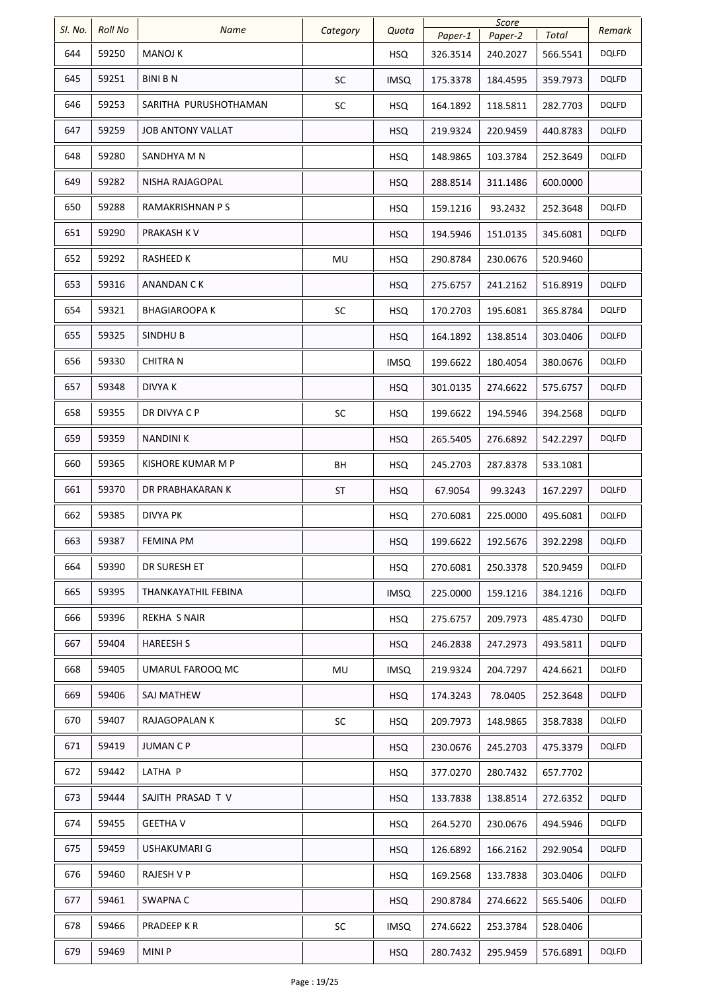| SI. No. | <b>Roll No</b> | Name                     | Category  | Quota       |                     | Score               |                   | Remark       |
|---------|----------------|--------------------------|-----------|-------------|---------------------|---------------------|-------------------|--------------|
| 644     | 59250          | <b>MANOJ K</b>           |           | <b>HSQ</b>  | Paper-1<br>326.3514 | Paper-2<br>240.2027 | Total<br>566.5541 | DQLFD        |
| 645     | 59251          | <b>BINI B N</b>          | <b>SC</b> | <b>IMSQ</b> | 175.3378            | 184.4595            | 359.7973          | <b>DQLFD</b> |
| 646     | 59253          | SARITHA PURUSHOTHAMAN    | SC        | HSQ.        | 164.1892            | 118.5811            | 282.7703          | <b>DQLFD</b> |
| 647     | 59259          | <b>JOB ANTONY VALLAT</b> |           | <b>HSQ</b>  | 219.9324            | 220.9459            | 440.8783          | <b>DQLFD</b> |
| 648     | 59280          | SANDHYA M N              |           | <b>HSQ</b>  | 148.9865            | 103.3784            | 252.3649          | <b>DQLFD</b> |
| 649     | 59282          | NISHA RAJAGOPAL          |           | <b>HSQ</b>  | 288.8514            | 311.1486            | 600.0000          |              |
| 650     | 59288          | RAMAKRISHNAN P S         |           | <b>HSQ</b>  | 159.1216            | 93.2432             | 252.3648          | DQLFD        |
| 651     | 59290          | PRAKASH K V              |           | <b>HSQ</b>  | 194.5946            | 151.0135            | 345.6081          | <b>DQLFD</b> |
| 652     | 59292          | RASHEED K                | MU        | <b>HSQ</b>  | 290.8784            | 230.0676            | 520.9460          |              |
| 653     | 59316          | <b>ANANDAN CK</b>        |           | <b>HSQ</b>  | 275.6757            | 241.2162            | 516.8919          | <b>DQLFD</b> |
| 654     | 59321          | BHAGIAROOPA K            | SC        | <b>HSQ</b>  | 170.2703            | 195.6081            | 365.8784          | <b>DQLFD</b> |
| 655     | 59325          | SINDHU B                 |           | <b>HSQ</b>  | 164.1892            | 138.8514            | 303.0406          | <b>DQLFD</b> |
| 656     | 59330          | <b>CHITRA N</b>          |           | <b>IMSQ</b> | 199.6622            | 180.4054            | 380.0676          | <b>DQLFD</b> |
| 657     | 59348          | <b>DIVYA K</b>           |           | <b>HSQ</b>  | 301.0135            | 274.6622            | 575.6757          | <b>DQLFD</b> |
| 658     | 59355          | DR DIVYA C P             | SC        | <b>HSQ</b>  | 199.6622            | 194.5946            | 394.2568          | <b>DQLFD</b> |
| 659     | 59359          | <b>NANDINIK</b>          |           | <b>HSQ</b>  | 265.5405            | 276.6892            | 542.2297          | <b>DQLFD</b> |
| 660     | 59365          | KISHORE KUMAR M P        | BH        | <b>HSQ</b>  | 245.2703            | 287.8378            | 533.1081          |              |
| 661     | 59370          | DR PRABHAKARAN K         | ST        | <b>HSQ</b>  | 67.9054             | 99.3243             | 167.2297          | <b>DQLFD</b> |
| 662     | 59385          | <b>DIVYA PK</b>          |           | <b>HSQ</b>  | 270.6081            | 225.0000            | 495.6081          | <b>DQLFD</b> |
| 663     | 59387          | <b>FEMINA PM</b>         |           | <b>HSQ</b>  | 199.6622            | 192.5676            | 392.2298          | <b>DQLFD</b> |
| 664     | 59390          | DR SURESH ET             |           | <b>HSQ</b>  | 270.6081            | 250.3378            | 520.9459          | <b>DQLFD</b> |
| 665     | 59395          | THANKAYATHIL FEBINA      |           | <b>IMSQ</b> | 225.0000            | 159.1216            | 384.1216          | <b>DQLFD</b> |
| 666     | 59396          | REKHA S NAIR             |           | <b>HSQ</b>  | 275.6757            | 209.7973            | 485.4730          | <b>DQLFD</b> |
| 667     | 59404          | <b>HAREESH S</b>         |           | <b>HSQ</b>  | 246.2838            | 247.2973            | 493.5811          | <b>DQLFD</b> |
| 668     | 59405          | UMARUL FAROOQ MC         | MU        | <b>IMSQ</b> | 219.9324            | 204.7297            | 424.6621          | <b>DQLFD</b> |
| 669     | 59406          | SAJ MATHEW               |           | <b>HSQ</b>  | 174.3243            | 78.0405             | 252.3648          | <b>DQLFD</b> |
| 670     | 59407          | RAJAGOPALAN K            | SC        | <b>HSQ</b>  | 209.7973            | 148.9865            | 358.7838          | <b>DQLFD</b> |
| 671     | 59419          | JUMAN C P                |           | <b>HSQ</b>  | 230.0676            | 245.2703            | 475.3379          | DQLFD        |
| 672     | 59442          | LATHA P                  |           | <b>HSQ</b>  | 377.0270            | 280.7432            | 657.7702          |              |
| 673     | 59444          | SAJITH PRASAD T V        |           | <b>HSQ</b>  | 133.7838            | 138.8514            | 272.6352          | <b>DQLFD</b> |
| 674     | 59455          | <b>GEETHA V</b>          |           | <b>HSQ</b>  | 264.5270            | 230.0676            | 494.5946          | <b>DQLFD</b> |
| 675     | 59459          | <b>USHAKUMARI G</b>      |           | <b>HSQ</b>  | 126.6892            | 166.2162            | 292.9054          | <b>DQLFD</b> |
| 676     | 59460          | <b>RAJESH V P</b>        |           | <b>HSQ</b>  | 169.2568            | 133.7838            | 303.0406          | <b>DQLFD</b> |
| 677     | 59461          | SWAPNA C                 |           | <b>HSQ</b>  | 290.8784            | 274.6622            | 565.5406          | <b>DQLFD</b> |
| 678     | 59466          | PRADEEP K R              | SC        | <b>IMSQ</b> | 274.6622            | 253.3784            | 528.0406          |              |
| 679     | 59469          | <b>MINIP</b>             |           | <b>HSQ</b>  | 280.7432            | 295.9459            | 576.6891          | <b>DQLFD</b> |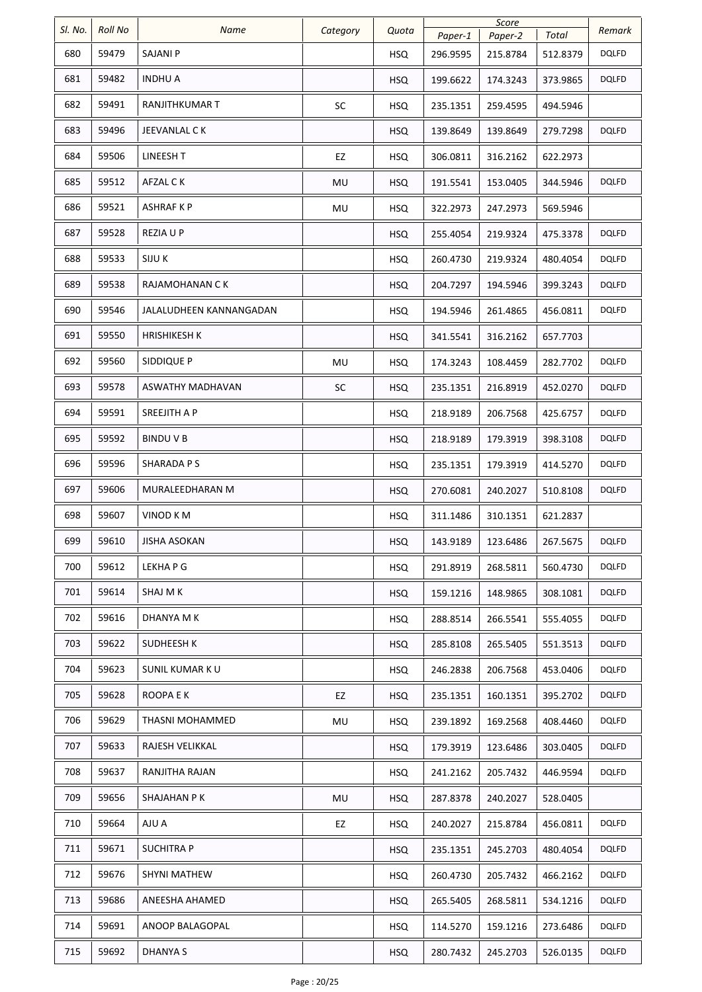| Total<br>Paper-1<br>Paper-2<br>59479<br>680<br>SAJANI P<br>DQLFD<br><b>HSQ</b><br>296.9595<br>215.8784<br>512.8379<br>59482<br>681<br><b>INDHU A</b><br>373.9865<br><b>DQLFD</b><br><b>HSQ</b><br>199.6622<br>174.3243<br>59491<br>682<br>RANJITHKUMAR T<br>SC<br><b>HSQ</b><br>235.1351<br>259.4595<br>494.5946<br>683<br>59496<br>JEEVANLAL C K<br><b>DQLFD</b><br><b>HSQ</b><br>139.8649<br>139.8649<br>279.7298<br>684<br>59506<br>LINEESH T<br>EZ<br><b>HSQ</b><br>306.0811<br>316.2162<br>622.2973<br>685<br>59512<br>AFZAL C K<br><b>DQLFD</b><br>MU<br><b>HSQ</b><br>191.5541<br>153.0405<br>344.5946<br>59521<br>686<br><b>ASHRAF K P</b><br>MU<br><b>HSQ</b><br>322.2973<br>247.2973<br>569.5946<br>687<br>59528<br><b>DQLFD</b><br>REZIA U P<br><b>HSQ</b><br>255.4054<br>219.9324<br>475.3378<br>688<br>59533<br><b>DQLFD</b><br>SIJU K<br><b>HSQ</b><br>260.4730<br>219.9324<br>480.4054<br>689<br>59538<br><b>DQLFD</b><br>RAJAMOHANAN C K<br>399.3243<br><b>HSQ</b><br>204.7297<br>194.5946<br>690<br>59546<br><b>DQLFD</b><br>JALALUDHEEN KANNANGADAN<br><b>HSQ</b><br>194.5946<br>261.4865<br>456.0811<br>691<br>59550<br><b>HRISHIKESH K</b><br><b>HSQ</b><br>316.2162<br>341.5541<br>657.7703<br>59560<br>692<br>SIDDIQUE P<br>DQLFD<br>MU<br><b>HSQ</b><br>174.3243<br>108.4459<br>282.7702<br>59578<br>693<br>ASWATHY MADHAVAN<br><b>DQLFD</b><br><b>SC</b><br><b>HSQ</b><br>235.1351<br>216.8919<br>452.0270<br>59591<br>694<br>SREEJITH A P<br>DQLFD<br><b>HSQ</b><br>218.9189<br>206.7568<br>425.6757<br>695<br>59592<br>BINDU V B<br><b>DQLFD</b><br>398.3108<br><b>HSQ</b><br>218.9189<br>179.3919<br>59596<br>696<br><b>SHARADA PS</b><br>DQLFD<br><b>HSQ</b><br>235.1351<br>179.3919<br>414.5270<br>697<br>59606<br><b>DQLFD</b><br>MURALEEDHARAN M<br><b>HSQ</b><br>270.6081<br>240.2027<br>510.8108<br>698<br>59607<br>VINOD KM<br><b>HSQ</b><br>311.1486<br>310.1351<br>621.2837<br>699<br>59610<br><b>DQLFD</b><br>JISHA ASOKAN<br><b>HSQ</b><br>143.9189<br>123.6486<br>267.5675<br>700<br>59612<br>DQLFD<br>LEKHA P G<br><b>HSQ</b><br>291.8919<br>268.5811<br>560.4730<br>701<br>59614<br>SHAJ M K<br>148.9865<br>308.1081<br>DQLFD<br><b>HSQ</b><br>159.1216<br>702<br>59616<br>DHANYA M K<br><b>DQLFD</b><br><b>HSQ</b><br>288.8514<br>266.5541<br>555.4055<br>703<br>59622<br>SUDHEESH K<br><b>DQLFD</b><br><b>HSQ</b><br>285.8108<br>265.5405<br>551.3513<br>704<br>59623<br>SUNIL KUMAR K U<br><b>DQLFD</b><br><b>HSQ</b><br>246.2838<br>206.7568<br>453.0406<br>705<br>59628<br>ROOPA E K<br><b>DQLFD</b><br>EZ<br>235.1351<br>160.1351<br>395.2702<br>HSQ<br>59629<br>DQLFD<br>706<br>THASNI MOHAMMED<br>239.1892<br>408.4460<br>MU<br><b>HSQ</b><br>169.2568<br>707<br>59633<br>RAJESH VELIKKAL<br><b>DQLFD</b><br><b>HSQ</b><br>179.3919<br>123.6486<br>303.0405<br>708<br>59637<br>DQLFD<br>RANJITHA RAJAN<br><b>HSQ</b><br>241.2162<br>205.7432<br>446.9594<br>709<br>59656<br>SHAJAHAN P K<br>MU<br><b>HSQ</b><br>287.8378<br>240.2027<br>528.0405<br>710<br>59664<br>AJU A<br>DQLFD<br>EZ<br><b>HSQ</b><br>240.2027<br>215.8784<br>456.0811<br>59671<br>711<br><b>SUCHITRA P</b><br>DQLFD<br><b>HSQ</b><br>235.1351<br>245.2703<br>480.4054<br>59676<br>712<br>SHYNI MATHEW<br><b>DQLFD</b><br><b>HSQ</b><br>260.4730<br>205.7432<br>466.2162<br>713<br>59686<br>ANEESHA AHAMED<br>DQLFD<br><b>HSQ</b><br>265.5405<br>268.5811<br>534.1216<br>59691<br>714<br>ANOOP BALAGOPAL<br>273.6486<br>DQLFD<br><b>HSQ</b><br>114.5270<br>159.1216<br>715<br>59692<br><b>DHANYAS</b><br><b>DQLFD</b><br><b>HSQ</b><br>280.7432<br>245.2703<br>526.0135 | SI. No. | <b>Roll No</b> |      |          |       | Score |  |  |        |
|----------------------------------------------------------------------------------------------------------------------------------------------------------------------------------------------------------------------------------------------------------------------------------------------------------------------------------------------------------------------------------------------------------------------------------------------------------------------------------------------------------------------------------------------------------------------------------------------------------------------------------------------------------------------------------------------------------------------------------------------------------------------------------------------------------------------------------------------------------------------------------------------------------------------------------------------------------------------------------------------------------------------------------------------------------------------------------------------------------------------------------------------------------------------------------------------------------------------------------------------------------------------------------------------------------------------------------------------------------------------------------------------------------------------------------------------------------------------------------------------------------------------------------------------------------------------------------------------------------------------------------------------------------------------------------------------------------------------------------------------------------------------------------------------------------------------------------------------------------------------------------------------------------------------------------------------------------------------------------------------------------------------------------------------------------------------------------------------------------------------------------------------------------------------------------------------------------------------------------------------------------------------------------------------------------------------------------------------------------------------------------------------------------------------------------------------------------------------------------------------------------------------------------------------------------------------------------------------------------------------------------------------------------------------------------------------------------------------------------------------------------------------------------------------------------------------------------------------------------------------------------------------------------------------------------------------------------------------------------------------------------------------------------------------------------------------------------------------------------------------------------------------------------------------------------------------------------------------------------------------------------------------------------------------------------------------------------------------------------------------------------------------------------------------------------------------------------------------------------------------------------------------------------------------------------------------------------------------|---------|----------------|------|----------|-------|-------|--|--|--------|
|                                                                                                                                                                                                                                                                                                                                                                                                                                                                                                                                                                                                                                                                                                                                                                                                                                                                                                                                                                                                                                                                                                                                                                                                                                                                                                                                                                                                                                                                                                                                                                                                                                                                                                                                                                                                                                                                                                                                                                                                                                                                                                                                                                                                                                                                                                                                                                                                                                                                                                                                                                                                                                                                                                                                                                                                                                                                                                                                                                                                                                                                                                                                                                                                                                                                                                                                                                                                                                                                                                                                                                                              |         |                | Name | Category | Quota |       |  |  | Remark |
|                                                                                                                                                                                                                                                                                                                                                                                                                                                                                                                                                                                                                                                                                                                                                                                                                                                                                                                                                                                                                                                                                                                                                                                                                                                                                                                                                                                                                                                                                                                                                                                                                                                                                                                                                                                                                                                                                                                                                                                                                                                                                                                                                                                                                                                                                                                                                                                                                                                                                                                                                                                                                                                                                                                                                                                                                                                                                                                                                                                                                                                                                                                                                                                                                                                                                                                                                                                                                                                                                                                                                                                              |         |                |      |          |       |       |  |  |        |
|                                                                                                                                                                                                                                                                                                                                                                                                                                                                                                                                                                                                                                                                                                                                                                                                                                                                                                                                                                                                                                                                                                                                                                                                                                                                                                                                                                                                                                                                                                                                                                                                                                                                                                                                                                                                                                                                                                                                                                                                                                                                                                                                                                                                                                                                                                                                                                                                                                                                                                                                                                                                                                                                                                                                                                                                                                                                                                                                                                                                                                                                                                                                                                                                                                                                                                                                                                                                                                                                                                                                                                                              |         |                |      |          |       |       |  |  |        |
|                                                                                                                                                                                                                                                                                                                                                                                                                                                                                                                                                                                                                                                                                                                                                                                                                                                                                                                                                                                                                                                                                                                                                                                                                                                                                                                                                                                                                                                                                                                                                                                                                                                                                                                                                                                                                                                                                                                                                                                                                                                                                                                                                                                                                                                                                                                                                                                                                                                                                                                                                                                                                                                                                                                                                                                                                                                                                                                                                                                                                                                                                                                                                                                                                                                                                                                                                                                                                                                                                                                                                                                              |         |                |      |          |       |       |  |  |        |
|                                                                                                                                                                                                                                                                                                                                                                                                                                                                                                                                                                                                                                                                                                                                                                                                                                                                                                                                                                                                                                                                                                                                                                                                                                                                                                                                                                                                                                                                                                                                                                                                                                                                                                                                                                                                                                                                                                                                                                                                                                                                                                                                                                                                                                                                                                                                                                                                                                                                                                                                                                                                                                                                                                                                                                                                                                                                                                                                                                                                                                                                                                                                                                                                                                                                                                                                                                                                                                                                                                                                                                                              |         |                |      |          |       |       |  |  |        |
|                                                                                                                                                                                                                                                                                                                                                                                                                                                                                                                                                                                                                                                                                                                                                                                                                                                                                                                                                                                                                                                                                                                                                                                                                                                                                                                                                                                                                                                                                                                                                                                                                                                                                                                                                                                                                                                                                                                                                                                                                                                                                                                                                                                                                                                                                                                                                                                                                                                                                                                                                                                                                                                                                                                                                                                                                                                                                                                                                                                                                                                                                                                                                                                                                                                                                                                                                                                                                                                                                                                                                                                              |         |                |      |          |       |       |  |  |        |
|                                                                                                                                                                                                                                                                                                                                                                                                                                                                                                                                                                                                                                                                                                                                                                                                                                                                                                                                                                                                                                                                                                                                                                                                                                                                                                                                                                                                                                                                                                                                                                                                                                                                                                                                                                                                                                                                                                                                                                                                                                                                                                                                                                                                                                                                                                                                                                                                                                                                                                                                                                                                                                                                                                                                                                                                                                                                                                                                                                                                                                                                                                                                                                                                                                                                                                                                                                                                                                                                                                                                                                                              |         |                |      |          |       |       |  |  |        |
|                                                                                                                                                                                                                                                                                                                                                                                                                                                                                                                                                                                                                                                                                                                                                                                                                                                                                                                                                                                                                                                                                                                                                                                                                                                                                                                                                                                                                                                                                                                                                                                                                                                                                                                                                                                                                                                                                                                                                                                                                                                                                                                                                                                                                                                                                                                                                                                                                                                                                                                                                                                                                                                                                                                                                                                                                                                                                                                                                                                                                                                                                                                                                                                                                                                                                                                                                                                                                                                                                                                                                                                              |         |                |      |          |       |       |  |  |        |
|                                                                                                                                                                                                                                                                                                                                                                                                                                                                                                                                                                                                                                                                                                                                                                                                                                                                                                                                                                                                                                                                                                                                                                                                                                                                                                                                                                                                                                                                                                                                                                                                                                                                                                                                                                                                                                                                                                                                                                                                                                                                                                                                                                                                                                                                                                                                                                                                                                                                                                                                                                                                                                                                                                                                                                                                                                                                                                                                                                                                                                                                                                                                                                                                                                                                                                                                                                                                                                                                                                                                                                                              |         |                |      |          |       |       |  |  |        |
|                                                                                                                                                                                                                                                                                                                                                                                                                                                                                                                                                                                                                                                                                                                                                                                                                                                                                                                                                                                                                                                                                                                                                                                                                                                                                                                                                                                                                                                                                                                                                                                                                                                                                                                                                                                                                                                                                                                                                                                                                                                                                                                                                                                                                                                                                                                                                                                                                                                                                                                                                                                                                                                                                                                                                                                                                                                                                                                                                                                                                                                                                                                                                                                                                                                                                                                                                                                                                                                                                                                                                                                              |         |                |      |          |       |       |  |  |        |
|                                                                                                                                                                                                                                                                                                                                                                                                                                                                                                                                                                                                                                                                                                                                                                                                                                                                                                                                                                                                                                                                                                                                                                                                                                                                                                                                                                                                                                                                                                                                                                                                                                                                                                                                                                                                                                                                                                                                                                                                                                                                                                                                                                                                                                                                                                                                                                                                                                                                                                                                                                                                                                                                                                                                                                                                                                                                                                                                                                                                                                                                                                                                                                                                                                                                                                                                                                                                                                                                                                                                                                                              |         |                |      |          |       |       |  |  |        |
|                                                                                                                                                                                                                                                                                                                                                                                                                                                                                                                                                                                                                                                                                                                                                                                                                                                                                                                                                                                                                                                                                                                                                                                                                                                                                                                                                                                                                                                                                                                                                                                                                                                                                                                                                                                                                                                                                                                                                                                                                                                                                                                                                                                                                                                                                                                                                                                                                                                                                                                                                                                                                                                                                                                                                                                                                                                                                                                                                                                                                                                                                                                                                                                                                                                                                                                                                                                                                                                                                                                                                                                              |         |                |      |          |       |       |  |  |        |
|                                                                                                                                                                                                                                                                                                                                                                                                                                                                                                                                                                                                                                                                                                                                                                                                                                                                                                                                                                                                                                                                                                                                                                                                                                                                                                                                                                                                                                                                                                                                                                                                                                                                                                                                                                                                                                                                                                                                                                                                                                                                                                                                                                                                                                                                                                                                                                                                                                                                                                                                                                                                                                                                                                                                                                                                                                                                                                                                                                                                                                                                                                                                                                                                                                                                                                                                                                                                                                                                                                                                                                                              |         |                |      |          |       |       |  |  |        |
|                                                                                                                                                                                                                                                                                                                                                                                                                                                                                                                                                                                                                                                                                                                                                                                                                                                                                                                                                                                                                                                                                                                                                                                                                                                                                                                                                                                                                                                                                                                                                                                                                                                                                                                                                                                                                                                                                                                                                                                                                                                                                                                                                                                                                                                                                                                                                                                                                                                                                                                                                                                                                                                                                                                                                                                                                                                                                                                                                                                                                                                                                                                                                                                                                                                                                                                                                                                                                                                                                                                                                                                              |         |                |      |          |       |       |  |  |        |
|                                                                                                                                                                                                                                                                                                                                                                                                                                                                                                                                                                                                                                                                                                                                                                                                                                                                                                                                                                                                                                                                                                                                                                                                                                                                                                                                                                                                                                                                                                                                                                                                                                                                                                                                                                                                                                                                                                                                                                                                                                                                                                                                                                                                                                                                                                                                                                                                                                                                                                                                                                                                                                                                                                                                                                                                                                                                                                                                                                                                                                                                                                                                                                                                                                                                                                                                                                                                                                                                                                                                                                                              |         |                |      |          |       |       |  |  |        |
|                                                                                                                                                                                                                                                                                                                                                                                                                                                                                                                                                                                                                                                                                                                                                                                                                                                                                                                                                                                                                                                                                                                                                                                                                                                                                                                                                                                                                                                                                                                                                                                                                                                                                                                                                                                                                                                                                                                                                                                                                                                                                                                                                                                                                                                                                                                                                                                                                                                                                                                                                                                                                                                                                                                                                                                                                                                                                                                                                                                                                                                                                                                                                                                                                                                                                                                                                                                                                                                                                                                                                                                              |         |                |      |          |       |       |  |  |        |
|                                                                                                                                                                                                                                                                                                                                                                                                                                                                                                                                                                                                                                                                                                                                                                                                                                                                                                                                                                                                                                                                                                                                                                                                                                                                                                                                                                                                                                                                                                                                                                                                                                                                                                                                                                                                                                                                                                                                                                                                                                                                                                                                                                                                                                                                                                                                                                                                                                                                                                                                                                                                                                                                                                                                                                                                                                                                                                                                                                                                                                                                                                                                                                                                                                                                                                                                                                                                                                                                                                                                                                                              |         |                |      |          |       |       |  |  |        |
|                                                                                                                                                                                                                                                                                                                                                                                                                                                                                                                                                                                                                                                                                                                                                                                                                                                                                                                                                                                                                                                                                                                                                                                                                                                                                                                                                                                                                                                                                                                                                                                                                                                                                                                                                                                                                                                                                                                                                                                                                                                                                                                                                                                                                                                                                                                                                                                                                                                                                                                                                                                                                                                                                                                                                                                                                                                                                                                                                                                                                                                                                                                                                                                                                                                                                                                                                                                                                                                                                                                                                                                              |         |                |      |          |       |       |  |  |        |
|                                                                                                                                                                                                                                                                                                                                                                                                                                                                                                                                                                                                                                                                                                                                                                                                                                                                                                                                                                                                                                                                                                                                                                                                                                                                                                                                                                                                                                                                                                                                                                                                                                                                                                                                                                                                                                                                                                                                                                                                                                                                                                                                                                                                                                                                                                                                                                                                                                                                                                                                                                                                                                                                                                                                                                                                                                                                                                                                                                                                                                                                                                                                                                                                                                                                                                                                                                                                                                                                                                                                                                                              |         |                |      |          |       |       |  |  |        |
|                                                                                                                                                                                                                                                                                                                                                                                                                                                                                                                                                                                                                                                                                                                                                                                                                                                                                                                                                                                                                                                                                                                                                                                                                                                                                                                                                                                                                                                                                                                                                                                                                                                                                                                                                                                                                                                                                                                                                                                                                                                                                                                                                                                                                                                                                                                                                                                                                                                                                                                                                                                                                                                                                                                                                                                                                                                                                                                                                                                                                                                                                                                                                                                                                                                                                                                                                                                                                                                                                                                                                                                              |         |                |      |          |       |       |  |  |        |
|                                                                                                                                                                                                                                                                                                                                                                                                                                                                                                                                                                                                                                                                                                                                                                                                                                                                                                                                                                                                                                                                                                                                                                                                                                                                                                                                                                                                                                                                                                                                                                                                                                                                                                                                                                                                                                                                                                                                                                                                                                                                                                                                                                                                                                                                                                                                                                                                                                                                                                                                                                                                                                                                                                                                                                                                                                                                                                                                                                                                                                                                                                                                                                                                                                                                                                                                                                                                                                                                                                                                                                                              |         |                |      |          |       |       |  |  |        |
|                                                                                                                                                                                                                                                                                                                                                                                                                                                                                                                                                                                                                                                                                                                                                                                                                                                                                                                                                                                                                                                                                                                                                                                                                                                                                                                                                                                                                                                                                                                                                                                                                                                                                                                                                                                                                                                                                                                                                                                                                                                                                                                                                                                                                                                                                                                                                                                                                                                                                                                                                                                                                                                                                                                                                                                                                                                                                                                                                                                                                                                                                                                                                                                                                                                                                                                                                                                                                                                                                                                                                                                              |         |                |      |          |       |       |  |  |        |
|                                                                                                                                                                                                                                                                                                                                                                                                                                                                                                                                                                                                                                                                                                                                                                                                                                                                                                                                                                                                                                                                                                                                                                                                                                                                                                                                                                                                                                                                                                                                                                                                                                                                                                                                                                                                                                                                                                                                                                                                                                                                                                                                                                                                                                                                                                                                                                                                                                                                                                                                                                                                                                                                                                                                                                                                                                                                                                                                                                                                                                                                                                                                                                                                                                                                                                                                                                                                                                                                                                                                                                                              |         |                |      |          |       |       |  |  |        |
|                                                                                                                                                                                                                                                                                                                                                                                                                                                                                                                                                                                                                                                                                                                                                                                                                                                                                                                                                                                                                                                                                                                                                                                                                                                                                                                                                                                                                                                                                                                                                                                                                                                                                                                                                                                                                                                                                                                                                                                                                                                                                                                                                                                                                                                                                                                                                                                                                                                                                                                                                                                                                                                                                                                                                                                                                                                                                                                                                                                                                                                                                                                                                                                                                                                                                                                                                                                                                                                                                                                                                                                              |         |                |      |          |       |       |  |  |        |
|                                                                                                                                                                                                                                                                                                                                                                                                                                                                                                                                                                                                                                                                                                                                                                                                                                                                                                                                                                                                                                                                                                                                                                                                                                                                                                                                                                                                                                                                                                                                                                                                                                                                                                                                                                                                                                                                                                                                                                                                                                                                                                                                                                                                                                                                                                                                                                                                                                                                                                                                                                                                                                                                                                                                                                                                                                                                                                                                                                                                                                                                                                                                                                                                                                                                                                                                                                                                                                                                                                                                                                                              |         |                |      |          |       |       |  |  |        |
|                                                                                                                                                                                                                                                                                                                                                                                                                                                                                                                                                                                                                                                                                                                                                                                                                                                                                                                                                                                                                                                                                                                                                                                                                                                                                                                                                                                                                                                                                                                                                                                                                                                                                                                                                                                                                                                                                                                                                                                                                                                                                                                                                                                                                                                                                                                                                                                                                                                                                                                                                                                                                                                                                                                                                                                                                                                                                                                                                                                                                                                                                                                                                                                                                                                                                                                                                                                                                                                                                                                                                                                              |         |                |      |          |       |       |  |  |        |
|                                                                                                                                                                                                                                                                                                                                                                                                                                                                                                                                                                                                                                                                                                                                                                                                                                                                                                                                                                                                                                                                                                                                                                                                                                                                                                                                                                                                                                                                                                                                                                                                                                                                                                                                                                                                                                                                                                                                                                                                                                                                                                                                                                                                                                                                                                                                                                                                                                                                                                                                                                                                                                                                                                                                                                                                                                                                                                                                                                                                                                                                                                                                                                                                                                                                                                                                                                                                                                                                                                                                                                                              |         |                |      |          |       |       |  |  |        |
|                                                                                                                                                                                                                                                                                                                                                                                                                                                                                                                                                                                                                                                                                                                                                                                                                                                                                                                                                                                                                                                                                                                                                                                                                                                                                                                                                                                                                                                                                                                                                                                                                                                                                                                                                                                                                                                                                                                                                                                                                                                                                                                                                                                                                                                                                                                                                                                                                                                                                                                                                                                                                                                                                                                                                                                                                                                                                                                                                                                                                                                                                                                                                                                                                                                                                                                                                                                                                                                                                                                                                                                              |         |                |      |          |       |       |  |  |        |
|                                                                                                                                                                                                                                                                                                                                                                                                                                                                                                                                                                                                                                                                                                                                                                                                                                                                                                                                                                                                                                                                                                                                                                                                                                                                                                                                                                                                                                                                                                                                                                                                                                                                                                                                                                                                                                                                                                                                                                                                                                                                                                                                                                                                                                                                                                                                                                                                                                                                                                                                                                                                                                                                                                                                                                                                                                                                                                                                                                                                                                                                                                                                                                                                                                                                                                                                                                                                                                                                                                                                                                                              |         |                |      |          |       |       |  |  |        |
|                                                                                                                                                                                                                                                                                                                                                                                                                                                                                                                                                                                                                                                                                                                                                                                                                                                                                                                                                                                                                                                                                                                                                                                                                                                                                                                                                                                                                                                                                                                                                                                                                                                                                                                                                                                                                                                                                                                                                                                                                                                                                                                                                                                                                                                                                                                                                                                                                                                                                                                                                                                                                                                                                                                                                                                                                                                                                                                                                                                                                                                                                                                                                                                                                                                                                                                                                                                                                                                                                                                                                                                              |         |                |      |          |       |       |  |  |        |
|                                                                                                                                                                                                                                                                                                                                                                                                                                                                                                                                                                                                                                                                                                                                                                                                                                                                                                                                                                                                                                                                                                                                                                                                                                                                                                                                                                                                                                                                                                                                                                                                                                                                                                                                                                                                                                                                                                                                                                                                                                                                                                                                                                                                                                                                                                                                                                                                                                                                                                                                                                                                                                                                                                                                                                                                                                                                                                                                                                                                                                                                                                                                                                                                                                                                                                                                                                                                                                                                                                                                                                                              |         |                |      |          |       |       |  |  |        |
|                                                                                                                                                                                                                                                                                                                                                                                                                                                                                                                                                                                                                                                                                                                                                                                                                                                                                                                                                                                                                                                                                                                                                                                                                                                                                                                                                                                                                                                                                                                                                                                                                                                                                                                                                                                                                                                                                                                                                                                                                                                                                                                                                                                                                                                                                                                                                                                                                                                                                                                                                                                                                                                                                                                                                                                                                                                                                                                                                                                                                                                                                                                                                                                                                                                                                                                                                                                                                                                                                                                                                                                              |         |                |      |          |       |       |  |  |        |
|                                                                                                                                                                                                                                                                                                                                                                                                                                                                                                                                                                                                                                                                                                                                                                                                                                                                                                                                                                                                                                                                                                                                                                                                                                                                                                                                                                                                                                                                                                                                                                                                                                                                                                                                                                                                                                                                                                                                                                                                                                                                                                                                                                                                                                                                                                                                                                                                                                                                                                                                                                                                                                                                                                                                                                                                                                                                                                                                                                                                                                                                                                                                                                                                                                                                                                                                                                                                                                                                                                                                                                                              |         |                |      |          |       |       |  |  |        |
|                                                                                                                                                                                                                                                                                                                                                                                                                                                                                                                                                                                                                                                                                                                                                                                                                                                                                                                                                                                                                                                                                                                                                                                                                                                                                                                                                                                                                                                                                                                                                                                                                                                                                                                                                                                                                                                                                                                                                                                                                                                                                                                                                                                                                                                                                                                                                                                                                                                                                                                                                                                                                                                                                                                                                                                                                                                                                                                                                                                                                                                                                                                                                                                                                                                                                                                                                                                                                                                                                                                                                                                              |         |                |      |          |       |       |  |  |        |
|                                                                                                                                                                                                                                                                                                                                                                                                                                                                                                                                                                                                                                                                                                                                                                                                                                                                                                                                                                                                                                                                                                                                                                                                                                                                                                                                                                                                                                                                                                                                                                                                                                                                                                                                                                                                                                                                                                                                                                                                                                                                                                                                                                                                                                                                                                                                                                                                                                                                                                                                                                                                                                                                                                                                                                                                                                                                                                                                                                                                                                                                                                                                                                                                                                                                                                                                                                                                                                                                                                                                                                                              |         |                |      |          |       |       |  |  |        |
|                                                                                                                                                                                                                                                                                                                                                                                                                                                                                                                                                                                                                                                                                                                                                                                                                                                                                                                                                                                                                                                                                                                                                                                                                                                                                                                                                                                                                                                                                                                                                                                                                                                                                                                                                                                                                                                                                                                                                                                                                                                                                                                                                                                                                                                                                                                                                                                                                                                                                                                                                                                                                                                                                                                                                                                                                                                                                                                                                                                                                                                                                                                                                                                                                                                                                                                                                                                                                                                                                                                                                                                              |         |                |      |          |       |       |  |  |        |
|                                                                                                                                                                                                                                                                                                                                                                                                                                                                                                                                                                                                                                                                                                                                                                                                                                                                                                                                                                                                                                                                                                                                                                                                                                                                                                                                                                                                                                                                                                                                                                                                                                                                                                                                                                                                                                                                                                                                                                                                                                                                                                                                                                                                                                                                                                                                                                                                                                                                                                                                                                                                                                                                                                                                                                                                                                                                                                                                                                                                                                                                                                                                                                                                                                                                                                                                                                                                                                                                                                                                                                                              |         |                |      |          |       |       |  |  |        |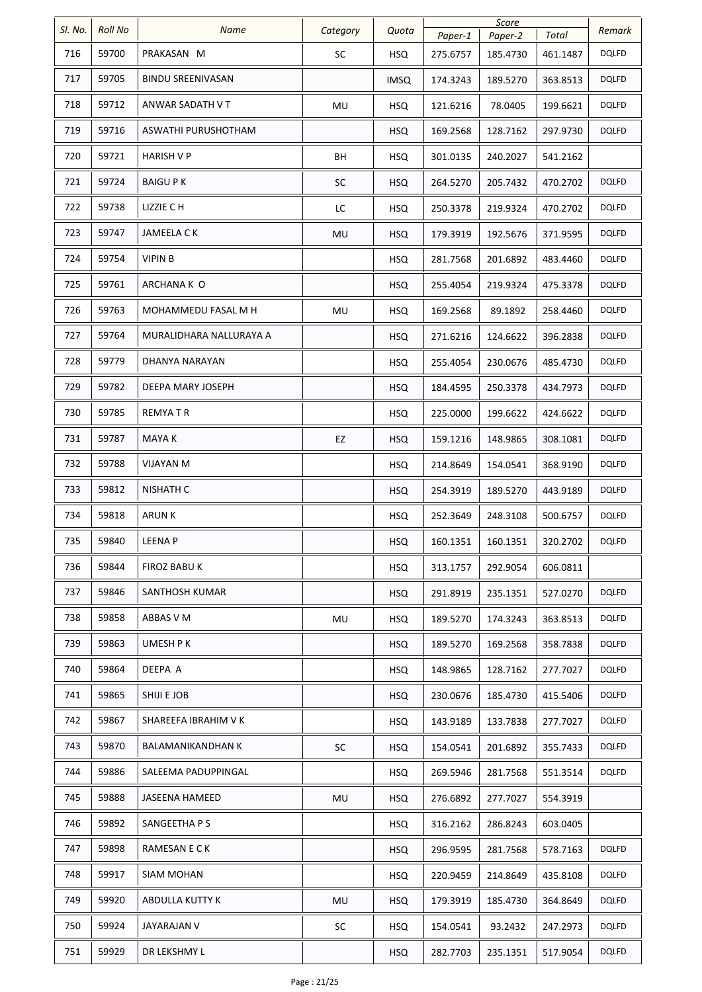| SI. No. | Roll No | Name                     | Category  | Quota      |                     | Score               | Total    | Remark       |
|---------|---------|--------------------------|-----------|------------|---------------------|---------------------|----------|--------------|
| 716     | 59700   | PRAKASAN M               | SC        | <b>HSQ</b> | Paper-1<br>275.6757 | Paper-2<br>185.4730 | 461.1487 | <b>DQLFD</b> |
| 717     | 59705   | <b>BINDU SREENIVASAN</b> |           | IMSQ       | 174.3243            | 189.5270            | 363.8513 | <b>DQLFD</b> |
| 718     | 59712   | ANWAR SADATH V T         | MU        | <b>HSQ</b> | 121.6216            | 78.0405             | 199.6621 | <b>DQLFD</b> |
| 719     | 59716   | ASWATHI PURUSHOTHAM      |           | <b>HSQ</b> | 169.2568            | 128.7162            | 297.9730 | <b>DQLFD</b> |
| 720     | 59721   | HARISH V P               | BH        | <b>HSQ</b> | 301.0135            | 240.2027            | 541.2162 |              |
| 721     | 59724   | <b>BAIGU PK</b>          | SC        | <b>HSQ</b> | 264.5270            | 205.7432            | 470.2702 | <b>DQLFD</b> |
| 722     | 59738   | LIZZIE C H               | LC        | <b>HSQ</b> | 250.3378            | 219.9324            | 470.2702 | <b>DQLFD</b> |
| 723     | 59747   | JAMEELA C K              | MU        | <b>HSQ</b> | 179.3919            | 192.5676            | 371.9595 | <b>DQLFD</b> |
| 724     | 59754   | <b>VIPIN B</b>           |           | <b>HSQ</b> | 281.7568            | 201.6892            | 483.4460 | <b>DQLFD</b> |
| 725     | 59761   | ARCHANA K O              |           | <b>HSQ</b> | 255.4054            | 219.9324            | 475.3378 | <b>DQLFD</b> |
| 726     | 59763   | MOHAMMEDU FASAL M H      | MU        | <b>HSQ</b> | 169.2568            | 89.1892             | 258.4460 | <b>DQLFD</b> |
| 727     | 59764   | MURALIDHARA NALLURAYA A  |           | <b>HSQ</b> | 271.6216            | 124.6622            | 396.2838 | <b>DQLFD</b> |
| 728     | 59779   | DHANYA NARAYAN           |           | <b>HSQ</b> | 255.4054            | 230.0676            | 485.4730 | <b>DQLFD</b> |
| 729     | 59782   | DEEPA MARY JOSEPH        |           | <b>HSQ</b> | 184.4595            | 250.3378            | 434.7973 | <b>DQLFD</b> |
| 730     | 59785   | <b>REMYATR</b>           |           | <b>HSQ</b> | 225.0000            | 199.6622            | 424.6622 | <b>DQLFD</b> |
| 731     | 59787   | MAYA K                   | EZ        | <b>HSQ</b> | 159.1216            | 148.9865            | 308.1081 | <b>DQLFD</b> |
| 732     | 59788   | VIJAYAN M                |           | <b>HSQ</b> | 214.8649            | 154.0541            | 368.9190 | <b>DQLFD</b> |
| 733     | 59812   | <b>NISHATH C</b>         |           | <b>HSQ</b> | 254.3919            | 189.5270            | 443.9189 | <b>DQLFD</b> |
| 734     | 59818   | <b>ARUNK</b>             |           | <b>HSQ</b> | 252.3649            | 248.3108            | 500.6757 | <b>DQLFD</b> |
| 735     | 59840   | LEENA P                  |           | <b>HSQ</b> | 160.1351            | 160.1351            | 320.2702 | <b>DQLFD</b> |
| 736     | 59844   | FIROZ BABU K             |           | <b>HSQ</b> | 313.1757            | 292.9054            | 606.0811 |              |
| 737     | 59846   | SANTHOSH KUMAR           |           | <b>HSQ</b> | 291.8919            | 235.1351            | 527.0270 | <b>DQLFD</b> |
| 738     | 59858   | ABBAS V M                | MU        | <b>HSQ</b> | 189.5270            | 174.3243            | 363.8513 | <b>DQLFD</b> |
| 739     | 59863   | UMESH P K                |           | <b>HSQ</b> | 189.5270            | 169.2568            | 358.7838 | <b>DQLFD</b> |
| 740     | 59864   | DEEPA A                  |           | <b>HSQ</b> | 148.9865            | 128.7162            | 277.7027 | <b>DQLFD</b> |
| 741     | 59865   | SHIJI E JOB              |           | <b>HSQ</b> | 230.0676            | 185.4730            | 415.5406 | <b>DQLFD</b> |
| 742     | 59867   | SHAREEFA IBRAHIM V K     |           | <b>HSQ</b> | 143.9189            | 133.7838            | 277.7027 | <b>DQLFD</b> |
| 743     | 59870   | BALAMANIKANDHAN K        | <b>SC</b> | <b>HSQ</b> | 154.0541            | 201.6892            | 355.7433 | <b>DQLFD</b> |
| 744     | 59886   | SALEEMA PADUPPINGAL      |           | <b>HSQ</b> | 269.5946            | 281.7568            | 551.3514 | <b>DQLFD</b> |
| 745     | 59888   | <b>JASEENA HAMEED</b>    | MU        | <b>HSQ</b> | 276.6892            | 277.7027            | 554.3919 |              |
| 746     | 59892   | SANGEETHA P S            |           | <b>HSQ</b> | 316.2162            | 286.8243            | 603.0405 |              |
| 747     | 59898   | RAMESAN E C K            |           | <b>HSQ</b> | 296.9595            | 281.7568            | 578.7163 | <b>DQLFD</b> |
| 748     | 59917   | SIAM MOHAN               |           | <b>HSQ</b> | 220.9459            | 214.8649            | 435.8108 | <b>DQLFD</b> |
| 749     | 59920   | ABDULLA KUTTY K          | MU        | <b>HSQ</b> | 179.3919            | 185.4730            | 364.8649 | <b>DQLFD</b> |
| 750     | 59924   | JAYARAJAN V              | <b>SC</b> | <b>HSQ</b> | 154.0541            | 93.2432             | 247.2973 | <b>DQLFD</b> |
| 751     | 59929   | DR LEKSHMY L             |           | <b>HSQ</b> | 282.7703            | 235.1351            | 517.9054 | <b>DQLFD</b> |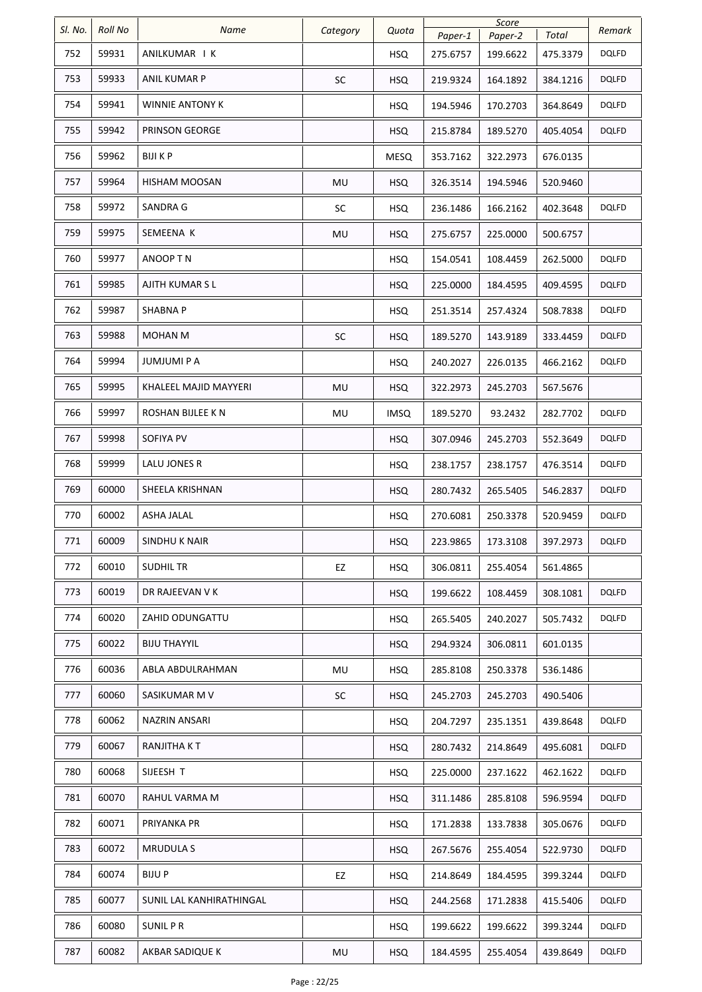| SI. No. | Roll No | Name                     | Category | Quota       | Paper-1  | Score<br>Paper-2 | Total    | Remark       |
|---------|---------|--------------------------|----------|-------------|----------|------------------|----------|--------------|
| 752     | 59931   | ANILKUMAR I K            |          | <b>HSQ</b>  | 275.6757 | 199.6622         | 475.3379 | <b>DQLFD</b> |
| 753     | 59933   | ANIL KUMAR P             | SC       | <b>HSQ</b>  | 219.9324 | 164.1892         | 384.1216 | <b>DQLFD</b> |
| 754     | 59941   | WINNIE ANTONY K          |          | <b>HSQ</b>  | 194.5946 | 170.2703         | 364.8649 | <b>DQLFD</b> |
| 755     | 59942   | PRINSON GEORGE           |          | <b>HSQ</b>  | 215.8784 | 189.5270         | 405.4054 | <b>DQLFD</b> |
| 756     | 59962   | BIJI K P                 |          | <b>MESQ</b> | 353.7162 | 322.2973         | 676.0135 |              |
| 757     | 59964   | HISHAM MOOSAN            | MU       | <b>HSQ</b>  | 326.3514 | 194.5946         | 520.9460 |              |
| 758     | 59972   | SANDRA G                 | SC       | <b>HSQ</b>  | 236.1486 | 166.2162         | 402.3648 | <b>DQLFD</b> |
| 759     | 59975   | SEMEENA K                | MU       | <b>HSQ</b>  | 275.6757 | 225.0000         | 500.6757 |              |
| 760     | 59977   | ANOOP T N                |          | <b>HSQ</b>  | 154.0541 | 108.4459         | 262.5000 | <b>DQLFD</b> |
| 761     | 59985   | AJITH KUMAR S L          |          | <b>HSQ</b>  | 225.0000 | 184.4595         | 409.4595 | <b>DQLFD</b> |
| 762     | 59987   | <b>SHABNA P</b>          |          | <b>HSQ</b>  | 251.3514 | 257.4324         | 508.7838 | <b>DQLFD</b> |
| 763     | 59988   | MOHAN M                  | SC       | <b>HSQ</b>  | 189.5270 | 143.9189         | 333.4459 | <b>DQLFD</b> |
| 764     | 59994   | JUMJUMI P A              |          | <b>HSQ</b>  | 240.2027 | 226.0135         | 466.2162 | <b>DQLFD</b> |
| 765     | 59995   | KHALEEL MAJID MAYYERI    | MU       | <b>HSQ</b>  | 322.2973 | 245.2703         | 567.5676 |              |
| 766     | 59997   | ROSHAN BIJLEE K N        | MU       | <b>IMSQ</b> | 189.5270 | 93.2432          | 282.7702 | <b>DQLFD</b> |
| 767     | 59998   | SOFIYA PV                |          | <b>HSQ</b>  | 307.0946 | 245.2703         | 552.3649 | <b>DQLFD</b> |
| 768     | 59999   | LALU JONES R             |          | <b>HSQ</b>  | 238.1757 | 238.1757         | 476.3514 | <b>DQLFD</b> |
| 769     | 60000   | SHEELA KRISHNAN          |          | <b>HSQ</b>  | 280.7432 | 265.5405         | 546.2837 | <b>DQLFD</b> |
| 770     | 60002   | ASHA JALAL               |          | <b>HSQ</b>  | 270.6081 | 250.3378         | 520.9459 | DQLFD        |
| 771     | 60009   | SINDHU K NAIR            |          | <b>HSQ</b>  | 223.9865 | 173.3108         | 397.2973 | <b>DQLFD</b> |
| 772     | 60010   | <b>SUDHILTR</b>          | EZ       | <b>HSQ</b>  | 306.0811 | 255.4054         | 561.4865 |              |
| 773     | 60019   | DR RAJEEVAN V K          |          | <b>HSQ</b>  | 199.6622 | 108.4459         | 308.1081 | <b>DQLFD</b> |
| 774     | 60020   | ZAHID ODUNGATTU          |          | <b>HSQ</b>  | 265.5405 | 240.2027         | 505.7432 | <b>DQLFD</b> |
| 775     | 60022   | <b>BIJU THAYYIL</b>      |          | <b>HSQ</b>  | 294.9324 | 306.0811         | 601.0135 |              |
| 776     | 60036   | ABLA ABDULRAHMAN         | MU       | <b>HSQ</b>  | 285.8108 | 250.3378         | 536.1486 |              |
| 777     | 60060   | SASIKUMAR M V            | SC       | <b>HSQ</b>  | 245.2703 | 245.2703         | 490.5406 |              |
| 778     | 60062   | NAZRIN ANSARI            |          | <b>HSQ</b>  | 204.7297 | 235.1351         | 439.8648 | <b>DQLFD</b> |
| 779     | 60067   | RANJITHA KT              |          | <b>HSQ</b>  | 280.7432 | 214.8649         | 495.6081 | <b>DQLFD</b> |
| 780     | 60068   | SIJEESH T                |          | <b>HSQ</b>  | 225.0000 | 237.1622         | 462.1622 | <b>DQLFD</b> |
| 781     | 60070   | RAHUL VARMA M            |          | <b>HSQ</b>  | 311.1486 | 285.8108         | 596.9594 | <b>DQLFD</b> |
| 782     | 60071   | PRIYANKA PR              |          | <b>HSQ</b>  | 171.2838 | 133.7838         | 305.0676 | <b>DQLFD</b> |
| 783     | 60072   | <b>MRUDULA S</b>         |          | <b>HSQ</b>  | 267.5676 | 255.4054         | 522.9730 | <b>DQLFD</b> |
| 784     | 60074   | BIJU P                   | EZ       | <b>HSQ</b>  | 214.8649 | 184.4595         | 399.3244 | <b>DQLFD</b> |
| 785     | 60077   | SUNIL LAL KANHIRATHINGAL |          | <b>HSQ</b>  | 244.2568 | 171.2838         | 415.5406 | <b>DQLFD</b> |
| 786     | 60080   | <b>SUNIL PR</b>          |          | <b>HSQ</b>  | 199.6622 | 199.6622         | 399.3244 | <b>DQLFD</b> |
| 787     | 60082   | AKBAR SADIQUE K          | MU       | <b>HSQ</b>  | 184.4595 | 255.4054         | 439.8649 | <b>DQLFD</b> |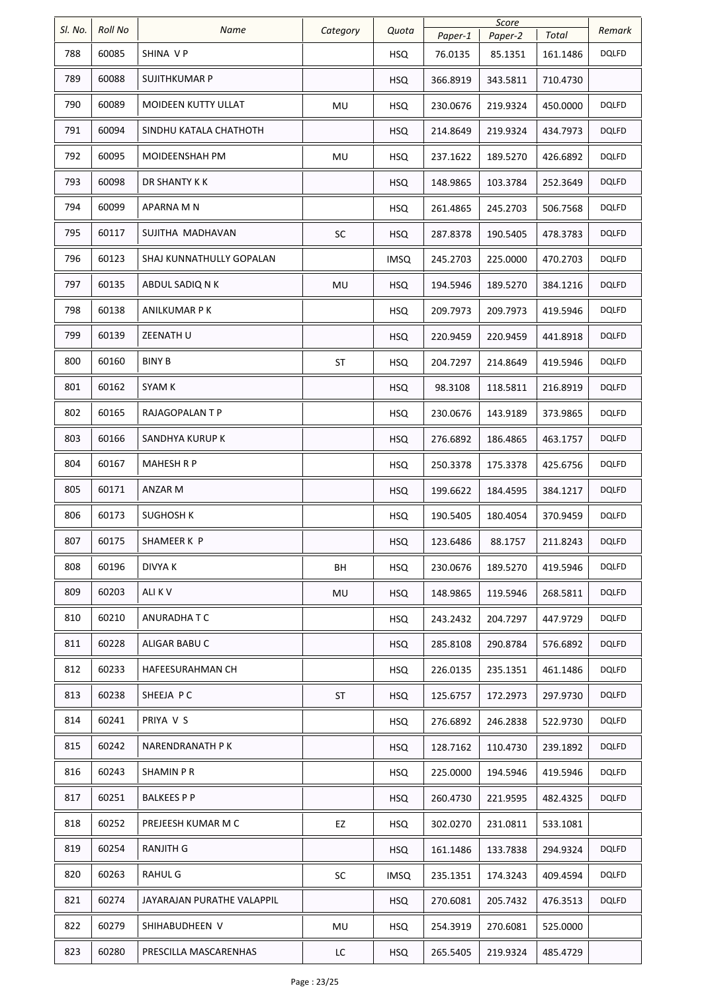| SI. No. | <b>Roll No</b> | Name                       | Category  | Quota       | Score    |          | Remark   |              |
|---------|----------------|----------------------------|-----------|-------------|----------|----------|----------|--------------|
|         |                |                            |           |             | Paper-1  | Paper-2  | Total    |              |
| 788     | 60085          | SHINA VP                   |           | <b>HSQ</b>  | 76.0135  | 85.1351  | 161.1486 | <b>DQLFD</b> |
| 789     | 60088          | SUJITHKUMAR P              |           | <b>HSQ</b>  | 366.8919 | 343.5811 | 710.4730 |              |
| 790     | 60089          | <b>MOIDEEN KUTTY ULLAT</b> | MU        | <b>HSQ</b>  | 230.0676 | 219.9324 | 450.0000 | <b>DQLFD</b> |
| 791     | 60094          | SINDHU KATALA CHATHOTH     |           | <b>HSQ</b>  | 214.8649 | 219.9324 | 434.7973 | <b>DQLFD</b> |
| 792     | 60095          | <b>MOIDEENSHAH PM</b>      | MU        | <b>HSQ</b>  | 237.1622 | 189.5270 | 426.6892 | <b>DQLFD</b> |
| 793     | 60098          | DR SHANTY K K              |           | <b>HSQ</b>  | 148.9865 | 103.3784 | 252.3649 | <b>DQLFD</b> |
| 794     | 60099          | APARNA M N                 |           | HSQ.        | 261.4865 | 245.2703 | 506.7568 | <b>DQLFD</b> |
| 795     | 60117          | SUJITHA MADHAVAN           | SC        | <b>HSQ</b>  | 287.8378 | 190.5405 | 478.3783 | <b>DQLFD</b> |
| 796     | 60123          | SHAJ KUNNATHULLY GOPALAN   |           | IMSQ        | 245.2703 | 225.0000 | 470.2703 | <b>DQLFD</b> |
| 797     | 60135          | ABDUL SADIQ N K            | MU        | <b>HSQ</b>  | 194.5946 | 189.5270 | 384.1216 | <b>DQLFD</b> |
| 798     | 60138          | ANILKUMAR P K              |           | <b>HSQ</b>  | 209.7973 | 209.7973 | 419.5946 | <b>DQLFD</b> |
| 799     | 60139          | ZEENATH U                  |           | <b>HSQ</b>  | 220.9459 | 220.9459 | 441.8918 | <b>DQLFD</b> |
| 800     | 60160          | <b>BINY B</b>              | <b>ST</b> | <b>HSQ</b>  | 204.7297 | 214.8649 | 419.5946 | <b>DQLFD</b> |
| 801     | 60162          | SYAM K                     |           | <b>HSQ</b>  | 98.3108  | 118.5811 | 216.8919 | <b>DQLFD</b> |
| 802     | 60165          | RAJAGOPALAN T P            |           | <b>HSQ</b>  | 230.0676 | 143.9189 | 373.9865 | <b>DQLFD</b> |
| 803     | 60166          | SANDHYA KURUP K            |           | <b>HSQ</b>  | 276.6892 | 186.4865 | 463.1757 | <b>DQLFD</b> |
| 804     | 60167          | <b>MAHESH R P</b>          |           | <b>HSQ</b>  | 250.3378 | 175.3378 | 425.6756 | <b>DQLFD</b> |
| 805     | 60171          | ANZAR M                    |           | <b>HSQ</b>  | 199.6622 | 184.4595 | 384.1217 | <b>DQLFD</b> |
| 806     | 60173          | <b>SUGHOSH K</b>           |           | <b>HSQ</b>  | 190.5405 | 180.4054 | 370.9459 | DQLFD        |
| 807     | 60175          | SHAMEER K P                |           | <b>HSQ</b>  | 123.6486 | 88.1757  | 211.8243 | <b>DQLFD</b> |
| 808     | 60196          | DIVYA K                    | BH        | <b>HSQ</b>  | 230.0676 | 189.5270 | 419.5946 | <b>DQLFD</b> |
| 809     | 60203          | ALI K V                    | MU        | <b>HSQ</b>  | 148.9865 | 119.5946 | 268.5811 | <b>DQLFD</b> |
| 810     | 60210          | ANURADHA T C               |           | <b>HSQ</b>  | 243.2432 | 204.7297 | 447.9729 | <b>DQLFD</b> |
| 811     | 60228          | ALIGAR BABU C              |           | <b>HSQ</b>  | 285.8108 | 290.8784 | 576.6892 | <b>DQLFD</b> |
| 812     | 60233          | HAFEESURAHMAN CH           |           | <b>HSQ</b>  | 226.0135 | 235.1351 | 461.1486 | <b>DQLFD</b> |
| 813     | 60238          | SHEEJA PC                  | ST        | <b>HSQ</b>  | 125.6757 | 172.2973 | 297.9730 | <b>DQLFD</b> |
| 814     | 60241          | PRIYA V S                  |           | <b>HSQ</b>  | 276.6892 | 246.2838 | 522.9730 | <b>DQLFD</b> |
| 815     | 60242          | NARENDRANATH P K           |           | <b>HSQ</b>  | 128.7162 | 110.4730 | 239.1892 | <b>DQLFD</b> |
| 816     | 60243          | SHAMIN P R                 |           | <b>HSQ</b>  | 225.0000 | 194.5946 | 419.5946 | <b>DQLFD</b> |
| 817     | 60251          | BALKEES P P                |           | <b>HSQ</b>  | 260.4730 | 221.9595 | 482.4325 | <b>DQLFD</b> |
| 818     | 60252          | PREJEESH KUMAR M C         | EZ        | HSQ         | 302.0270 | 231.0811 | 533.1081 |              |
| 819     | 60254          | RANJITH G                  |           | <b>HSQ</b>  | 161.1486 | 133.7838 | 294.9324 | <b>DQLFD</b> |
| 820     | 60263          | RAHUL G                    | <b>SC</b> | <b>IMSQ</b> | 235.1351 | 174.3243 | 409.4594 | <b>DQLFD</b> |
| 821     | 60274          | JAYARAJAN PURATHE VALAPPIL |           | <b>HSQ</b>  | 270.6081 | 205.7432 | 476.3513 | <b>DQLFD</b> |
| 822     | 60279          | SHIHABUDHEEN V             | MU        | <b>HSQ</b>  | 254.3919 | 270.6081 | 525.0000 |              |
| 823     | 60280          | PRESCILLA MASCARENHAS      | LC        | <b>HSQ</b>  | 265.5405 | 219.9324 | 485.4729 |              |
|         |                |                            |           |             |          |          |          |              |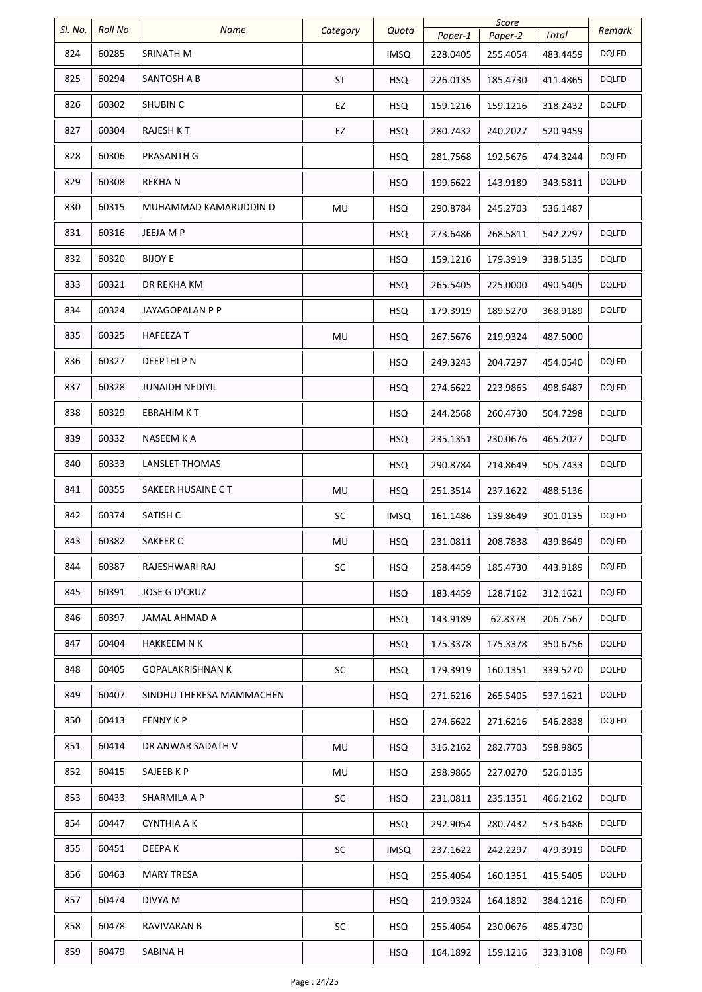| SI. No. | Roll No | Name                     | Category  | Quota       | Paper-1  | Score<br>Paper-2 | Total    | Remark       |
|---------|---------|--------------------------|-----------|-------------|----------|------------------|----------|--------------|
| 824     | 60285   | SRINATH M                |           | IMSQ        | 228.0405 | 255.4054         | 483.4459 | <b>DQLFD</b> |
| 825     | 60294   | SANTOSH A B              | <b>ST</b> | <b>HSQ</b>  | 226.0135 | 185.4730         | 411.4865 | <b>DQLFD</b> |
| 826     | 60302   | <b>SHUBIN C</b>          | EZ        | <b>HSQ</b>  | 159.1216 | 159.1216         | 318.2432 | DQLFD        |
| 827     | 60304   | <b>RAJESH KT</b>         | EZ        | <b>HSQ</b>  | 280.7432 | 240.2027         | 520.9459 |              |
| 828     | 60306   | PRASANTH G               |           | <b>HSQ</b>  | 281.7568 | 192.5676         | 474.3244 | DQLFD        |
| 829     | 60308   | <b>REKHAN</b>            |           | <b>HSQ</b>  | 199.6622 | 143.9189         | 343.5811 | <b>DQLFD</b> |
| 830     | 60315   | MUHAMMAD KAMARUDDIN D    | MU        | <b>HSQ</b>  | 290.8784 | 245.2703         | 536.1487 |              |
| 831     | 60316   | JEEJA M P                |           | <b>HSQ</b>  | 273.6486 | 268.5811         | 542.2297 | <b>DQLFD</b> |
| 832     | 60320   | <b>BIJOY E</b>           |           | <b>HSQ</b>  | 159.1216 | 179.3919         | 338.5135 | DQLFD        |
| 833     | 60321   | DR REKHA KM              |           | <b>HSQ</b>  | 265.5405 | 225.0000         | 490.5405 | <b>DQLFD</b> |
| 834     | 60324   | JAYAGOPALAN P P          |           | HSQ         | 179.3919 | 189.5270         | 368.9189 | <b>DQLFD</b> |
| 835     | 60325   | <b>HAFEEZAT</b>          | MU        | <b>HSQ</b>  | 267.5676 | 219.9324         | 487.5000 |              |
| 836     | 60327   | DEEPTHI P N              |           | <b>HSQ</b>  | 249.3243 | 204.7297         | 454.0540 | <b>DQLFD</b> |
| 837     | 60328   | JUNAIDH NEDIYIL          |           | <b>HSQ</b>  | 274.6622 | 223.9865         | 498.6487 | <b>DQLFD</b> |
| 838     | 60329   | EBRAHIM K T              |           | <b>HSQ</b>  | 244.2568 | 260.4730         | 504.7298 | <b>DQLFD</b> |
| 839     | 60332   | NASEEM K A               |           | <b>HSQ</b>  | 235.1351 | 230.0676         | 465.2027 | <b>DQLFD</b> |
| 840     | 60333   | LANSLET THOMAS           |           | <b>HSQ</b>  | 290.8784 | 214.8649         | 505.7433 | <b>DQLFD</b> |
| 841     | 60355   | SAKEER HUSAINE C T       | MU        | <b>HSQ</b>  | 251.3514 | 237.1622         | 488.5136 |              |
| 842     | 60374   | SATISH C                 | SC        | <b>IMSQ</b> | 161.1486 | 139.8649         | 301.0135 | <b>DQLFD</b> |
| 843     | 60382   | SAKEER C                 | MU        | <b>HSQ</b>  | 231.0811 | 208.7838         | 439.8649 | <b>DQLFD</b> |
| 844     | 60387   | RAJESHWARI RAJ           | SC        | <b>HSQ</b>  | 258.4459 | 185.4730         | 443.9189 | <b>DQLFD</b> |
| 845     | 60391   | <b>JOSE G D'CRUZ</b>     |           | <b>HSQ</b>  | 183.4459 | 128.7162         | 312.1621 | <b>DQLFD</b> |
| 846     | 60397   | JAMAL AHMAD A            |           | <b>HSQ</b>  | 143.9189 | 62.8378          | 206.7567 | <b>DQLFD</b> |
| 847     | 60404   | HAKKEEM N K              |           | <b>HSQ</b>  | 175.3378 | 175.3378         | 350.6756 | <b>DQLFD</b> |
| 848     | 60405   | <b>GOPALAKRISHNAN K</b>  | SC        | <b>HSQ</b>  | 179.3919 | 160.1351         | 339.5270 | DQLFD        |
| 849     | 60407   | SINDHU THERESA MAMMACHEN |           | <b>HSQ</b>  | 271.6216 | 265.5405         | 537.1621 | <b>DQLFD</b> |
| 850     | 60413   | <b>FENNY KP</b>          |           | <b>HSQ</b>  | 274.6622 | 271.6216         | 546.2838 | <b>DQLFD</b> |
| 851     | 60414   | DR ANWAR SADATH V        | MU        | <b>HSQ</b>  | 316.2162 | 282.7703         | 598.9865 |              |
| 852     | 60415   | SAJEEB K P               | MU        | <b>HSQ</b>  | 298.9865 | 227.0270         | 526.0135 |              |
| 853     | 60433   | SHARMILA A P             | <b>SC</b> | <b>HSQ</b>  | 231.0811 | 235.1351         | 466.2162 | <b>DQLFD</b> |
| 854     | 60447   | <b>CYNTHIA A K</b>       |           | <b>HSQ</b>  | 292.9054 | 280.7432         | 573.6486 | <b>DQLFD</b> |
| 855     | 60451   | DEEPA K                  | SC        | <b>IMSQ</b> | 237.1622 | 242.2297         | 479.3919 | <b>DQLFD</b> |
| 856     | 60463   | <b>MARY TRESA</b>        |           | <b>HSQ</b>  | 255.4054 | 160.1351         | 415.5405 | <b>DQLFD</b> |
| 857     | 60474   | DIVYA M                  |           | <b>HSQ</b>  | 219.9324 | 164.1892         | 384.1216 | DQLFD        |
| 858     | 60478   | RAVIVARAN B              | SC        | <b>HSQ</b>  | 255.4054 | 230.0676         | 485.4730 |              |
| 859     | 60479   | SABINA H                 |           | <b>HSQ</b>  | 164.1892 | 159.1216         | 323.3108 | <b>DQLFD</b> |